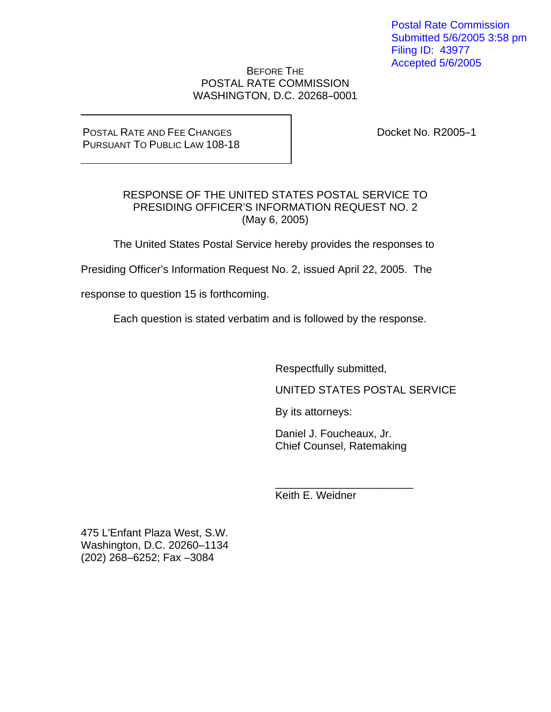Postal Rate Commission Submitted 5/6/2005 3:58 pm Filing ID: 43977 Accepted 5/6/2005

# BEFORE THE POSTAL RATE COMMISSION WASHINGTON, D.C. 20268-0001

# POSTAL RATE AND FEE CHANGES PURSUANT TO PUBLIC LAW 108-18

Docket No. R2005-1

# RESPONSE OF THE UNITED STATES POSTAL SERVICE TO PRESIDING OFFICER'S INFORMATION REQUEST NO. 2 (May 6, 2005)

The United States Postal Service hereby provides the responses to

Presiding Officer's Information Request No. 2, issued April 22, 2005. The

response to question 15 is forthcoming.

Each question is stated verbatim and is followed by the response.

Respectfully submitted,

UNITED STATES POSTAL SERVICE

By its attorneys:

Daniel J. Foucheaux, Jr. Chief Counsel, Ratemaking

\_\_\_\_\_\_\_\_\_\_\_\_\_\_\_\_\_\_\_\_\_\_\_ Keith E. Weidner

475 L'Enfant Plaza West, S.W. Washington, D.C. 20260–1134 (202) 268–6252; Fax –3084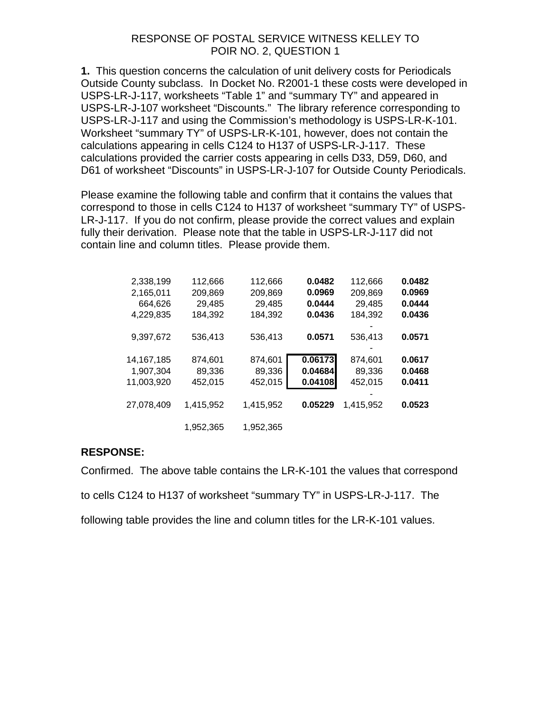# RESPONSE OF POSTAL SERVICE WITNESS KELLEY TO POIR NO. 2, QUESTION 1

**1.** This question concerns the calculation of unit delivery costs for Periodicals Outside County subclass. In Docket No. R2001-1 these costs were developed in USPS-LR-J-117, worksheets "Table 1" and "summary TY" and appeared in USPS-LR-J-107 worksheet "Discounts." The library reference corresponding to USPS-LR-J-117 and using the Commission's methodology is USPS-LR-K-101. Worksheet "summary TY" of USPS-LR-K-101, however, does not contain the calculations appearing in cells C124 to H137 of USPS-LR-J-117. These calculations provided the carrier costs appearing in cells D33, D59, D60, and D61 of worksheet "Discounts" in USPS-LR-J-107 for Outside County Periodicals.

Please examine the following table and confirm that it contains the values that correspond to those in cells C124 to H137 of worksheet "summary TY" of USPS-LR-J-117. If you do not confirm, please provide the correct values and explain fully their derivation. Please note that the table in USPS-LR-J-117 did not contain line and column titles. Please provide them.

| 2,338,199    | 112,666   | 112.666   | 0.0482  | 112,666   | 0.0482 |
|--------------|-----------|-----------|---------|-----------|--------|
| 2,165,011    | 209,869   | 209,869   | 0.0969  | 209,869   | 0.0969 |
| 664.626      | 29,485    | 29,485    | 0.0444  | 29,485    | 0.0444 |
| 4,229,835    | 184,392   | 184,392   | 0.0436  | 184,392   | 0.0436 |
|              |           |           |         |           |        |
| 9,397,672    | 536,413   | 536,413   | 0.0571  | 536,413   | 0.0571 |
|              |           |           |         |           |        |
| 14, 167, 185 | 874,601   | 874,601   | 0.06173 | 874,601   | 0.0617 |
| 1,907,304    | 89,336    | 89,336    | 0.04684 | 89,336    | 0.0468 |
| 11,003,920   | 452,015   | 452,015   | 0.04108 | 452,015   | 0.0411 |
|              |           |           |         |           |        |
| 27,078,409   | 1,415,952 | 1,415,952 | 0.05229 | 1,415,952 | 0.0523 |
|              |           |           |         |           |        |
|              | 1.952.365 | 1.952.365 |         |           |        |
|              |           |           |         |           |        |

# **RESPONSE:**

Confirmed. The above table contains the LR-K-101 the values that correspond to cells C124 to H137 of worksheet "summary TY" in USPS-LR-J-117. The following table provides the line and column titles for the LR-K-101 values.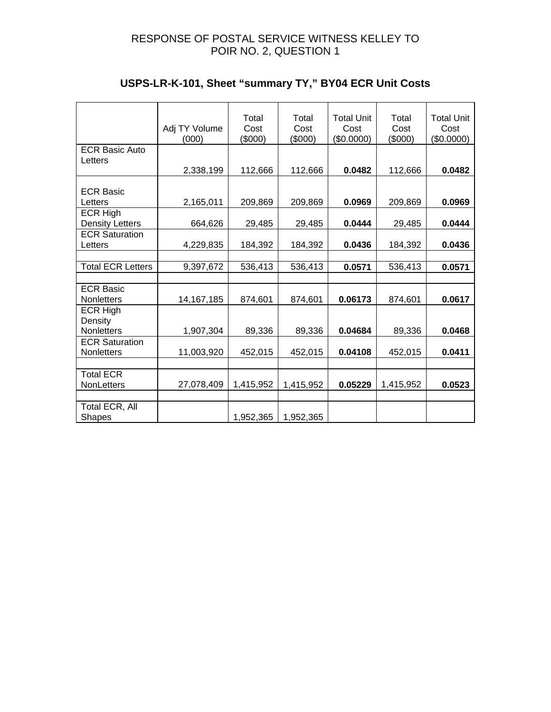# RESPONSE OF POSTAL SERVICE WITNESS KELLEY TO POIR NO. 2, QUESTION 1

|                          | Adj TY Volume<br>(000) | Total<br>Cost<br>(\$000) | Total<br>Cost<br>(\$000) | <b>Total Unit</b><br>Cost<br>(\$0.0000) | Total<br>Cost<br>(\$000) | <b>Total Unit</b><br>Cost<br>(\$0.0000) |
|--------------------------|------------------------|--------------------------|--------------------------|-----------------------------------------|--------------------------|-----------------------------------------|
| <b>ECR Basic Auto</b>    |                        |                          |                          |                                         |                          |                                         |
| Letters                  |                        |                          |                          |                                         |                          |                                         |
|                          | 2,338,199              | 112,666                  | 112,666                  | 0.0482                                  | 112,666                  | 0.0482                                  |
|                          |                        |                          |                          |                                         |                          |                                         |
| <b>ECR Basic</b>         |                        |                          |                          |                                         |                          |                                         |
| Letters                  | 2,165,011              | 209,869                  | 209,869                  | 0.0969                                  | 209,869                  | 0.0969                                  |
| <b>ECR High</b>          |                        |                          |                          |                                         |                          |                                         |
| <b>Density Letters</b>   | 664,626                |                          | 29,485                   | 0.0444                                  |                          | 0.0444                                  |
|                          |                        | 29,485                   |                          |                                         | 29,485                   |                                         |
| <b>ECR Saturation</b>    |                        |                          |                          |                                         |                          |                                         |
| Letters                  | 4,229,835              | 184,392                  | 184,392                  | 0.0436                                  | 184,392                  | 0.0436                                  |
|                          |                        |                          |                          |                                         |                          |                                         |
| <b>Total ECR Letters</b> | 9,397,672              | 536,413                  | 536,413                  | 0.0571                                  | 536,413                  | 0.0571                                  |
|                          |                        |                          |                          |                                         |                          |                                         |
| <b>ECR Basic</b>         |                        |                          |                          |                                         |                          |                                         |
| <b>Nonletters</b>        | 14, 167, 185           | 874,601                  | 874,601                  | 0.06173                                 | 874,601                  | 0.0617                                  |
| <b>ECR High</b>          |                        |                          |                          |                                         |                          |                                         |
| Density                  |                        |                          |                          |                                         |                          |                                         |
| <b>Nonletters</b>        | 1,907,304              | 89,336                   | 89,336                   | 0.04684                                 | 89,336                   | 0.0468                                  |
| <b>ECR Saturation</b>    |                        |                          |                          |                                         |                          |                                         |
| Nonletters               | 11,003,920             | 452,015                  | 452,015                  | 0.04108                                 | 452,015                  | 0.0411                                  |
|                          |                        |                          |                          |                                         |                          |                                         |
|                          |                        |                          |                          |                                         |                          |                                         |
| <b>Total ECR</b>         |                        |                          |                          |                                         |                          |                                         |
| <b>NonLetters</b>        | 27,078,409             | 1,415,952                | 1,415,952                | 0.05229                                 | 1,415,952                | 0.0523                                  |
|                          |                        |                          |                          |                                         |                          |                                         |
| Total ECR, All           |                        |                          |                          |                                         |                          |                                         |
| <b>Shapes</b>            |                        | 1,952,365                | 1,952,365                |                                         |                          |                                         |

# **USPS-LR-K-101, Sheet "summary TY," BY04 ECR Unit Costs**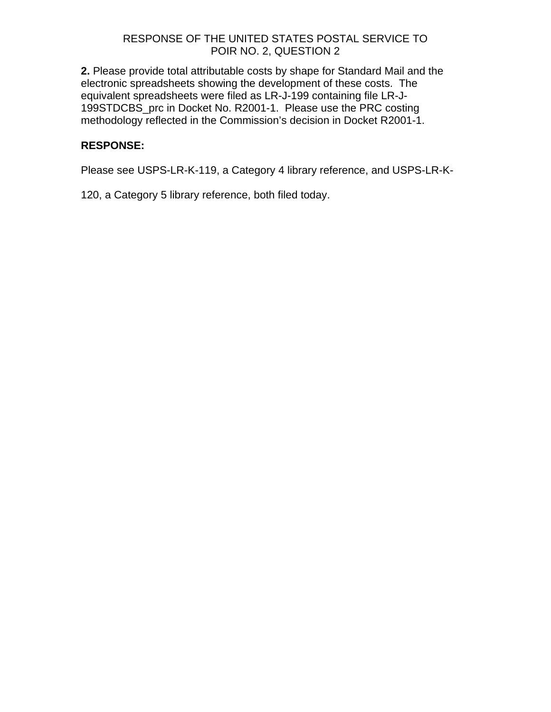**2.** Please provide total attributable costs by shape for Standard Mail and the electronic spreadsheets showing the development of these costs. The equivalent spreadsheets were filed as LR-J-199 containing file LR-J-199STDCBS\_prc in Docket No. R2001-1. Please use the PRC costing methodology reflected in the Commission's decision in Docket R2001-1.

# **RESPONSE:**

Please see USPS-LR-K-119, a Category 4 library reference, and USPS-LR-K-

120, a Category 5 library reference, both filed today.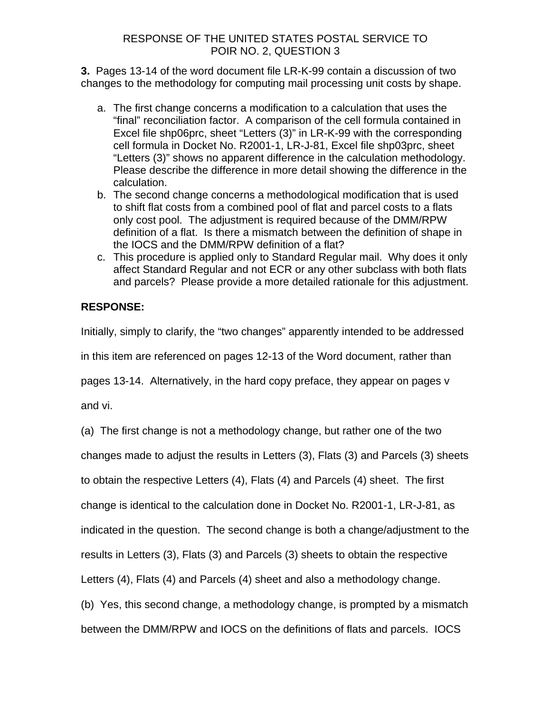**3.** Pages 13-14 of the word document file LR-K-99 contain a discussion of two changes to the methodology for computing mail processing unit costs by shape.

- a. The first change concerns a modification to a calculation that uses the "final" reconciliation factor. A comparison of the cell formula contained in Excel file shp06prc, sheet "Letters (3)" in LR-K-99 with the corresponding cell formula in Docket No. R2001-1, LR-J-81, Excel file shp03prc, sheet "Letters (3)" shows no apparent difference in the calculation methodology. Please describe the difference in more detail showing the difference in the calculation.
- b. The second change concerns a methodological modification that is used to shift flat costs from a combined pool of flat and parcel costs to a flats only cost pool. The adjustment is required because of the DMM/RPW definition of a flat. Is there a mismatch between the definition of shape in the IOCS and the DMM/RPW definition of a flat?
- c. This procedure is applied only to Standard Regular mail. Why does it only affect Standard Regular and not ECR or any other subclass with both flats and parcels? Please provide a more detailed rationale for this adjustment.

# **RESPONSE:**

Initially, simply to clarify, the "two changes" apparently intended to be addressed in this item are referenced on pages 12-13 of the Word document, rather than

pages 13-14. Alternatively, in the hard copy preface, they appear on pages v

and vi.

(a) The first change is not a methodology change, but rather one of the two

changes made to adjust the results in Letters (3), Flats (3) and Parcels (3) sheets

to obtain the respective Letters (4), Flats (4) and Parcels (4) sheet. The first

change is identical to the calculation done in Docket No. R2001-1, LR-J-81, as

indicated in the question. The second change is both a change/adjustment to the

results in Letters (3), Flats (3) and Parcels (3) sheets to obtain the respective

Letters (4), Flats (4) and Parcels (4) sheet and also a methodology change.

(b) Yes, this second change, a methodology change, is prompted by a mismatch

between the DMM/RPW and IOCS on the definitions of flats and parcels. IOCS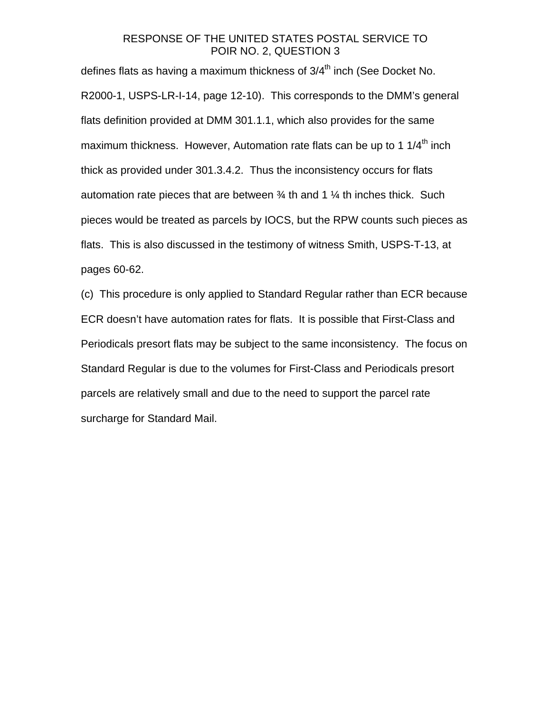defines flats as having a maximum thickness of  $3/4<sup>th</sup>$  inch (See Docket No. R2000-1, USPS-LR-I-14, page 12-10). This corresponds to the DMM's general flats definition provided at DMM 301.1.1, which also provides for the same maximum thickness. However, Automation rate flats can be up to 1  $1/4<sup>th</sup>$  inch thick as provided under 301.3.4.2. Thus the inconsistency occurs for flats automation rate pieces that are between  $\frac{3}{4}$  th and 1  $\frac{1}{4}$  th inches thick. Such pieces would be treated as parcels by IOCS, but the RPW counts such pieces as flats. This is also discussed in the testimony of witness Smith, USPS-T-13, at pages 60-62.

(c) This procedure is only applied to Standard Regular rather than ECR because ECR doesn't have automation rates for flats. It is possible that First-Class and Periodicals presort flats may be subject to the same inconsistency. The focus on Standard Regular is due to the volumes for First-Class and Periodicals presort parcels are relatively small and due to the need to support the parcel rate surcharge for Standard Mail.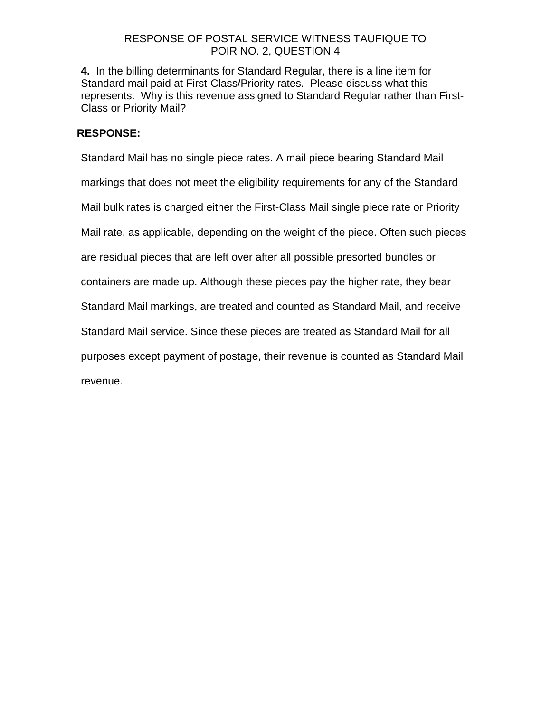# RESPONSE OF POSTAL SERVICE WITNESS TAUFIQUE TO POIR NO. 2, QUESTION 4

**4.** In the billing determinants for Standard Regular, there is a line item for Standard mail paid at First-Class/Priority rates. Please discuss what this represents. Why is this revenue assigned to Standard Regular rather than First-Class or Priority Mail?

# **RESPONSE:**

Standard Mail has no single piece rates. A mail piece bearing Standard Mail markings that does not meet the eligibility requirements for any of the Standard Mail bulk rates is charged either the First-Class Mail single piece rate or Priority Mail rate, as applicable, depending on the weight of the piece. Often such pieces are residual pieces that are left over after all possible presorted bundles or containers are made up. Although these pieces pay the higher rate, they bear Standard Mail markings, are treated and counted as Standard Mail, and receive Standard Mail service. Since these pieces are treated as Standard Mail for all purposes except payment of postage, their revenue is counted as Standard Mail revenue.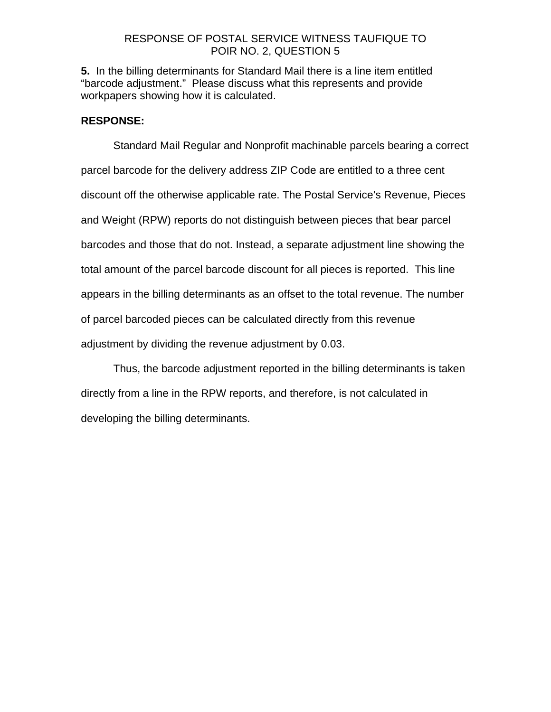# RESPONSE OF POSTAL SERVICE WITNESS TAUFIQUE TO POIR NO. 2, QUESTION 5

**5.** In the billing determinants for Standard Mail there is a line item entitled "barcode adjustment." Please discuss what this represents and provide workpapers showing how it is calculated.

# **RESPONSE:**

Standard Mail Regular and Nonprofit machinable parcels bearing a correct parcel barcode for the delivery address ZIP Code are entitled to a three cent discount off the otherwise applicable rate. The Postal Service's Revenue, Pieces and Weight (RPW) reports do not distinguish between pieces that bear parcel barcodes and those that do not. Instead, a separate adjustment line showing the total amount of the parcel barcode discount for all pieces is reported. This line appears in the billing determinants as an offset to the total revenue. The number of parcel barcoded pieces can be calculated directly from this revenue adjustment by dividing the revenue adjustment by 0.03.

Thus, the barcode adjustment reported in the billing determinants is taken directly from a line in the RPW reports, and therefore, is not calculated in developing the billing determinants.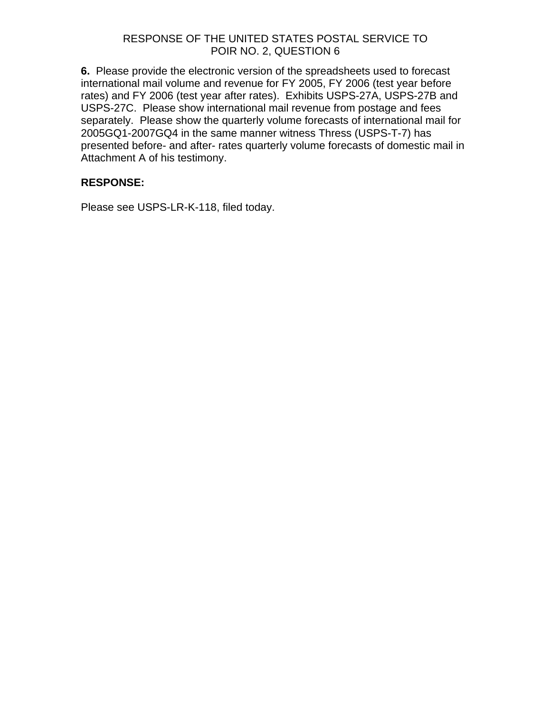**6.** Please provide the electronic version of the spreadsheets used to forecast international mail volume and revenue for FY 2005, FY 2006 (test year before rates) and FY 2006 (test year after rates). Exhibits USPS-27A, USPS-27B and USPS-27C. Please show international mail revenue from postage and fees separately. Please show the quarterly volume forecasts of international mail for 2005GQ1-2007GQ4 in the same manner witness Thress (USPS-T-7) has presented before- and after- rates quarterly volume forecasts of domestic mail in Attachment A of his testimony.

# **RESPONSE:**

Please see USPS-LR-K-118, filed today.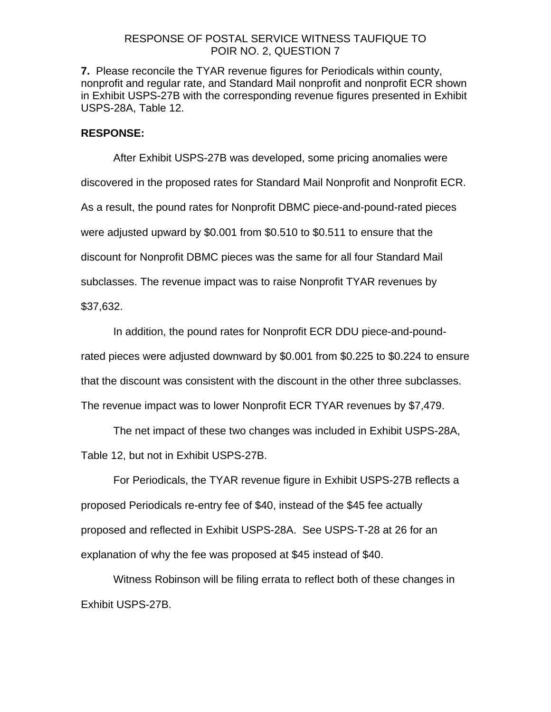### RESPONSE OF POSTAL SERVICE WITNESS TAUFIQUE TO POIR NO. 2, QUESTION 7

**7.** Please reconcile the TYAR revenue figures for Periodicals within county, nonprofit and regular rate, and Standard Mail nonprofit and nonprofit ECR shown in Exhibit USPS-27B with the corresponding revenue figures presented in Exhibit USPS-28A, Table 12.

# **RESPONSE:**

After Exhibit USPS-27B was developed, some pricing anomalies were discovered in the proposed rates for Standard Mail Nonprofit and Nonprofit ECR. As a result, the pound rates for Nonprofit DBMC piece-and-pound-rated pieces were adjusted upward by \$0.001 from \$0.510 to \$0.511 to ensure that the discount for Nonprofit DBMC pieces was the same for all four Standard Mail subclasses. The revenue impact was to raise Nonprofit TYAR revenues by \$37,632.

In addition, the pound rates for Nonprofit ECR DDU piece-and-poundrated pieces were adjusted downward by \$0.001 from \$0.225 to \$0.224 to ensure that the discount was consistent with the discount in the other three subclasses. The revenue impact was to lower Nonprofit ECR TYAR revenues by \$7,479.

The net impact of these two changes was included in Exhibit USPS-28A, Table 12, but not in Exhibit USPS-27B.

For Periodicals, the TYAR revenue figure in Exhibit USPS-27B reflects a proposed Periodicals re-entry fee of \$40, instead of the \$45 fee actually proposed and reflected in Exhibit USPS-28A. See USPS-T-28 at 26 for an explanation of why the fee was proposed at \$45 instead of \$40.

Witness Robinson will be filing errata to reflect both of these changes in Exhibit USPS-27B.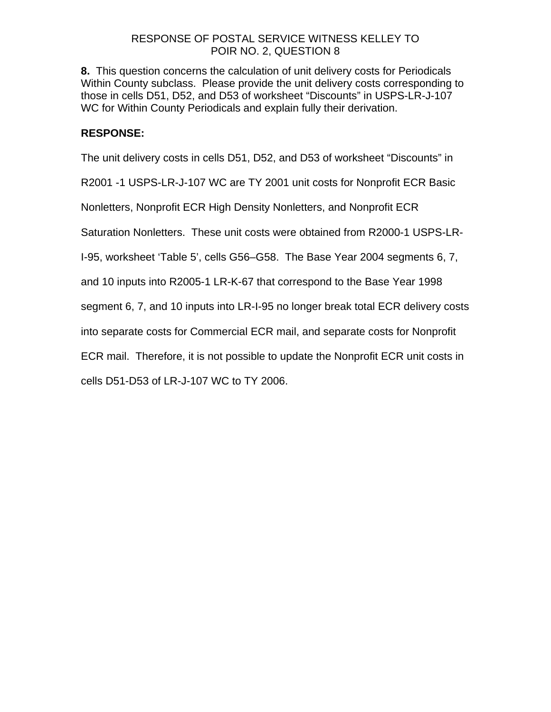# RESPONSE OF POSTAL SERVICE WITNESS KELLEY TO POIR NO. 2, QUESTION 8

**8.** This question concerns the calculation of unit delivery costs for Periodicals Within County subclass. Please provide the unit delivery costs corresponding to those in cells D51, D52, and D53 of worksheet "Discounts" in USPS-LR-J-107 WC for Within County Periodicals and explain fully their derivation.

# **RESPONSE:**

The unit delivery costs in cells D51, D52, and D53 of worksheet "Discounts" in

R2001 -1 USPS-LR-J-107 WC are TY 2001 unit costs for Nonprofit ECR Basic

Nonletters, Nonprofit ECR High Density Nonletters, and Nonprofit ECR

Saturation Nonletters. These unit costs were obtained from R2000-1 USPS-LR-

I-95, worksheet 'Table 5', cells G56–G58. The Base Year 2004 segments 6, 7,

and 10 inputs into R2005-1 LR-K-67 that correspond to the Base Year 1998

segment 6, 7, and 10 inputs into LR-I-95 no longer break total ECR delivery costs

into separate costs for Commercial ECR mail, and separate costs for Nonprofit

ECR mail. Therefore, it is not possible to update the Nonprofit ECR unit costs in

cells D51-D53 of LR-J-107 WC to TY 2006.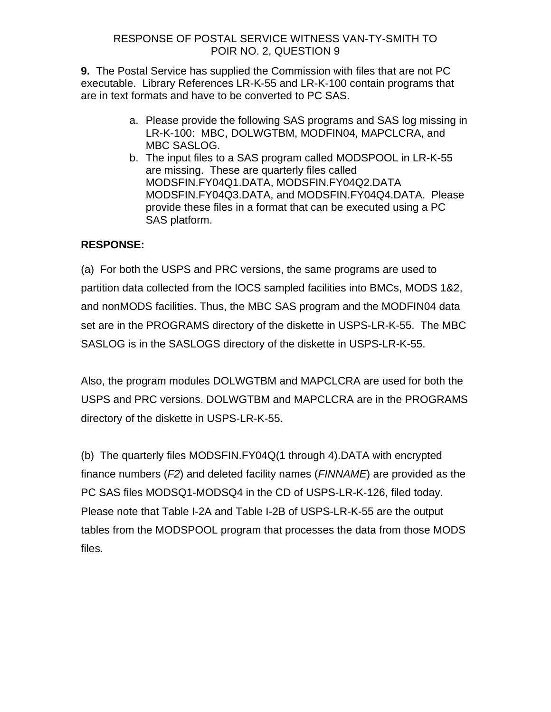# RESPONSE OF POSTAL SERVICE WITNESS VAN-TY-SMITH TO POIR NO. 2, QUESTION 9

**9.** The Postal Service has supplied the Commission with files that are not PC executable. Library References LR-K-55 and LR-K-100 contain programs that are in text formats and have to be converted to PC SAS.

- a. Please provide the following SAS programs and SAS log missing in LR-K-100: MBC, DOLWGTBM, MODFIN04, MAPCLCRA, and MBC SASLOG.
- b. The input files to a SAS program called MODSPOOL in LR-K-55 are missing. These are quarterly files called MODSFIN.FY04Q1.DATA, MODSFIN.FY04Q2.DATA MODSFIN.FY04Q3.DATA, and MODSFIN.FY04Q4.DATA. Please provide these files in a format that can be executed using a PC SAS platform.

# **RESPONSE:**

(a) For both the USPS and PRC versions, the same programs are used to partition data collected from the IOCS sampled facilities into BMCs, MODS 1&2, and nonMODS facilities. Thus, the MBC SAS program and the MODFIN04 data set are in the PROGRAMS directory of the diskette in USPS-LR-K-55. The MBC SASLOG is in the SASLOGS directory of the diskette in USPS-LR-K-55.

Also, the program modules DOLWGTBM and MAPCLCRA are used for both the USPS and PRC versions. DOLWGTBM and MAPCLCRA are in the PROGRAMS directory of the diskette in USPS-LR-K-55.

(b) The quarterly files MODSFIN.FY04Q(1 through 4).DATA with encrypted finance numbers (*F2*) and deleted facility names (*FINNAME*) are provided as the PC SAS files MODSQ1-MODSQ4 in the CD of USPS-LR-K-126, filed today. Please note that Table I-2A and Table I-2B of USPS-LR-K-55 are the output tables from the MODSPOOL program that processes the data from those MODS files.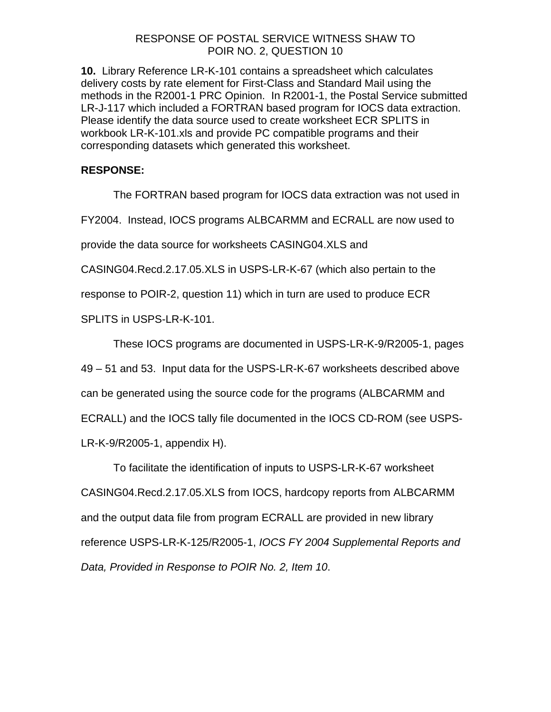# RESPONSE OF POSTAL SERVICE WITNESS SHAW TO POIR NO. 2, QUESTION 10

**10.** Library Reference LR-K-101 contains a spreadsheet which calculates delivery costs by rate element for First-Class and Standard Mail using the methods in the R2001-1 PRC Opinion. In R2001-1, the Postal Service submitted LR-J-117 which included a FORTRAN based program for IOCS data extraction. Please identify the data source used to create worksheet ECR SPLITS in workbook LR-K-101.xls and provide PC compatible programs and their corresponding datasets which generated this worksheet.

# **RESPONSE:**

The FORTRAN based program for IOCS data extraction was not used in

FY2004. Instead, IOCS programs ALBCARMM and ECRALL are now used to

provide the data source for worksheets CASING04.XLS and

CASING04.Recd.2.17.05.XLS in USPS-LR-K-67 (which also pertain to the

response to POIR-2, question 11) which in turn are used to produce ECR

SPLITS in USPS-LR-K-101.

These IOCS programs are documented in USPS-LR-K-9/R2005-1, pages

49 – 51 and 53. Input data for the USPS-LR-K-67 worksheets described above

can be generated using the source code for the programs (ALBCARMM and

ECRALL) and the IOCS tally file documented in the IOCS CD-ROM (see USPS-

LR-K-9/R2005-1, appendix H).

 To facilitate the identification of inputs to USPS-LR-K-67 worksheet CASING04.Recd.2.17.05.XLS from IOCS, hardcopy reports from ALBCARMM and the output data file from program ECRALL are provided in new library reference USPS-LR-K-125/R2005-1, *IOCS FY 2004 Supplemental Reports and Data, Provided in Response to POIR No. 2, Item 10*.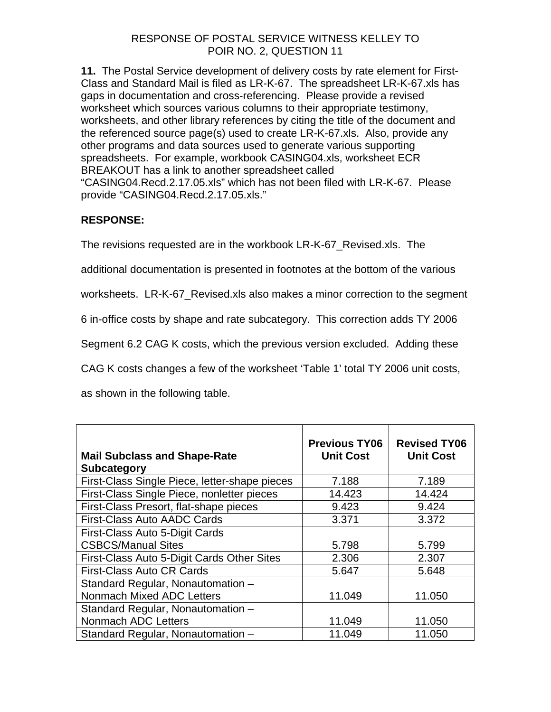# RESPONSE OF POSTAL SERVICE WITNESS KELLEY TO POIR NO. 2, QUESTION 11

**11.** The Postal Service development of delivery costs by rate element for First-Class and Standard Mail is filed as LR-K-67. The spreadsheet LR-K-67.xls has gaps in documentation and cross-referencing. Please provide a revised worksheet which sources various columns to their appropriate testimony, worksheets, and other library references by citing the title of the document and the referenced source page(s) used to create LR-K-67.xls. Also, provide any other programs and data sources used to generate various supporting spreadsheets. For example, workbook CASING04.xls, worksheet ECR BREAKOUT has a link to another spreadsheet called "CASING04.Recd.2.17.05.xls" which has not been filed with LR-K-67. Please provide "CASING04.Recd.2.17.05.xls."

# **RESPONSE:**

The revisions requested are in the workbook LR-K-67\_Revised.xls. The

additional documentation is presented in footnotes at the bottom of the various

worksheets. LR-K-67 Revised.xls also makes a minor correction to the segment

6 in-office costs by shape and rate subcategory. This correction adds TY 2006

Segment 6.2 CAG K costs, which the previous version excluded. Adding these

CAG K costs changes a few of the worksheet 'Table 1' total TY 2006 unit costs,

as shown in the following table.

| <b>Mail Subclass and Shape-Rate</b><br><b>Subcategory</b> | <b>Previous TY06</b><br><b>Unit Cost</b> | <b>Revised TY06</b><br><b>Unit Cost</b> |
|-----------------------------------------------------------|------------------------------------------|-----------------------------------------|
| First-Class Single Piece, letter-shape pieces             | 7.188                                    | 7.189                                   |
| First-Class Single Piece, nonletter pieces                | 14.423                                   | 14.424                                  |
| First-Class Presort, flat-shape pieces                    | 9.423                                    | 9.424                                   |
| <b>First-Class Auto AADC Cards</b>                        | 3.371                                    | 3.372                                   |
| First-Class Auto 5-Digit Cards                            |                                          |                                         |
| <b>CSBCS/Manual Sites</b>                                 | 5.798                                    | 5.799                                   |
| First-Class Auto 5-Digit Cards Other Sites                | 2.306                                    | 2.307                                   |
| <b>First-Class Auto CR Cards</b>                          | 5.647                                    | 5.648                                   |
| Standard Regular, Nonautomation -                         |                                          |                                         |
| Nonmach Mixed ADC Letters                                 | 11.049                                   | 11.050                                  |
| Standard Regular, Nonautomation -                         |                                          |                                         |
| Nonmach ADC Letters                                       | 11.049                                   | 11.050                                  |
| Standard Regular, Nonautomation -                         | 11.049                                   | 11.050                                  |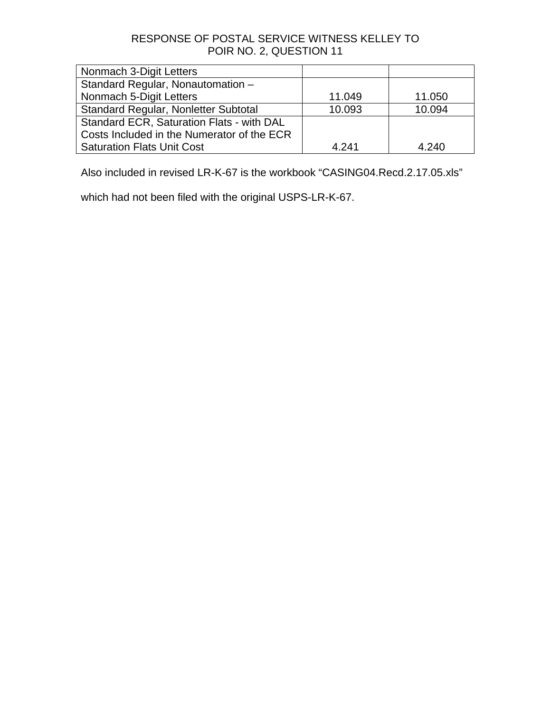# RESPONSE OF POSTAL SERVICE WITNESS KELLEY TO POIR NO. 2, QUESTION 11

| Nonmach 3-Digit Letters                    |        |        |
|--------------------------------------------|--------|--------|
| Standard Regular, Nonautomation -          |        |        |
| Nonmach 5-Digit Letters                    | 11.049 | 11.050 |
| Standard Regular, Nonletter Subtotal       | 10.093 | 10.094 |
| Standard ECR, Saturation Flats - with DAL  |        |        |
| Costs Included in the Numerator of the ECR |        |        |
| <b>Saturation Flats Unit Cost</b>          | 4.241  | 4.240  |

Also included in revised LR-K-67 is the workbook "CASING04.Recd.2.17.05.xls"

which had not been filed with the original USPS-LR-K-67.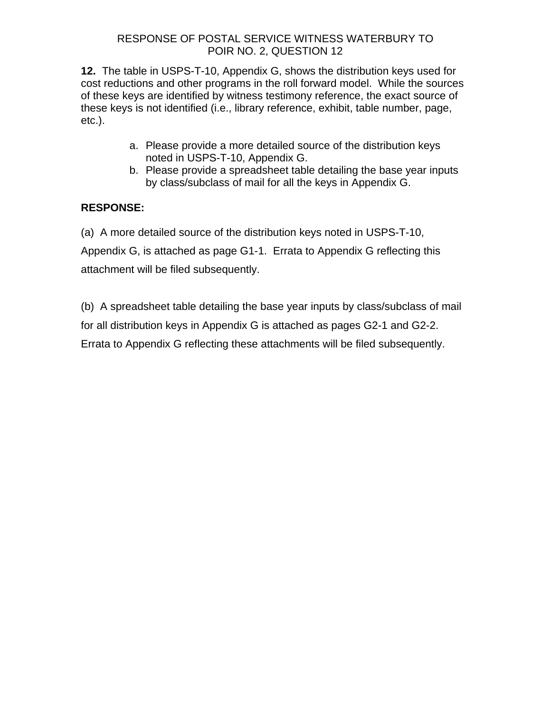# RESPONSE OF POSTAL SERVICE WITNESS WATERBURY TO POIR NO. 2, QUESTION 12

**12.** The table in USPS-T-10, Appendix G, shows the distribution keys used for cost reductions and other programs in the roll forward model. While the sources of these keys are identified by witness testimony reference, the exact source of these keys is not identified (i.e., library reference, exhibit, table number, page, etc.).

- a. Please provide a more detailed source of the distribution keys noted in USPS-T-10, Appendix G.
- b. Please provide a spreadsheet table detailing the base year inputs by class/subclass of mail for all the keys in Appendix G.

# **RESPONSE:**

(a) A more detailed source of the distribution keys noted in USPS-T-10,

Appendix G, is attached as page G1-1. Errata to Appendix G reflecting this attachment will be filed subsequently.

(b) A spreadsheet table detailing the base year inputs by class/subclass of mail for all distribution keys in Appendix G is attached as pages G2-1 and G2-2. Errata to Appendix G reflecting these attachments will be filed subsequently.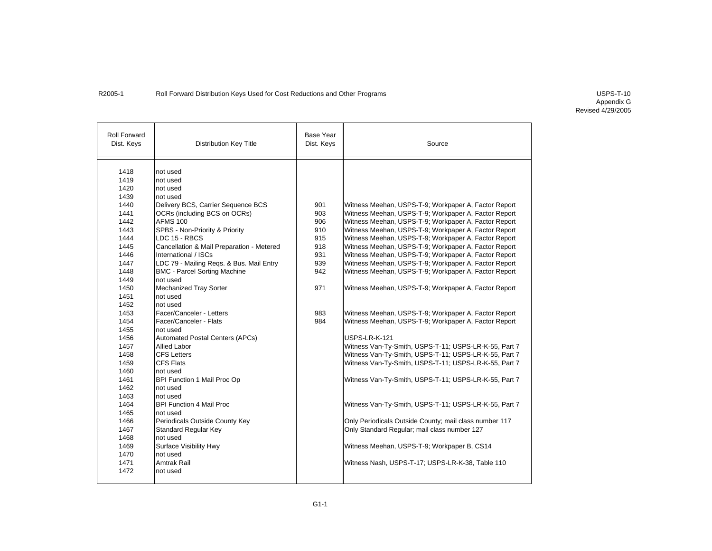### R2005-1 Roll Forward Distribution Keys Used for Cost Reductions and Other Programs COST 10 COST 10

| <b>Roll Forward</b><br>Dist. Keys | <b>Distribution Key Title</b>             | <b>Base Year</b><br>Dist. Keys | Source                                                 |
|-----------------------------------|-------------------------------------------|--------------------------------|--------------------------------------------------------|
| 1418                              | not used                                  |                                |                                                        |
| 1419                              | not used                                  |                                |                                                        |
| 1420                              | not used                                  |                                |                                                        |
| 1439                              | not used                                  |                                |                                                        |
| 1440                              | Delivery BCS, Carrier Sequence BCS        | 901                            | Witness Meehan, USPS-T-9; Workpaper A, Factor Report   |
| 1441                              | OCRs (including BCS on OCRs)              | 903                            | Witness Meehan, USPS-T-9; Workpaper A, Factor Report   |
| 1442                              | <b>AFMS 100</b>                           | 906                            | Witness Meehan, USPS-T-9; Workpaper A, Factor Report   |
| 1443                              | SPBS - Non-Priority & Priority            | 910                            | Witness Meehan, USPS-T-9; Workpaper A, Factor Report   |
| 1444                              | LDC 15 - RBCS                             |                                |                                                        |
|                                   |                                           | 915<br>918                     | Witness Meehan, USPS-T-9; Workpaper A, Factor Report   |
| 1445                              | Cancellation & Mail Preparation - Metered |                                | Witness Meehan, USPS-T-9; Workpaper A, Factor Report   |
| 1446                              | International / ISCs                      | 931                            | Witness Meehan, USPS-T-9; Workpaper A, Factor Report   |
| 1447                              | LDC 79 - Mailing Reqs. & Bus. Mail Entry  | 939                            | Witness Meehan, USPS-T-9; Workpaper A, Factor Report   |
| 1448                              | <b>BMC - Parcel Sorting Machine</b>       | 942                            | Witness Meehan, USPS-T-9; Workpaper A, Factor Report   |
| 1449                              | not used                                  |                                |                                                        |
| 1450                              | Mechanized Tray Sorter                    | 971                            | Witness Meehan, USPS-T-9; Workpaper A, Factor Report   |
| 1451                              | not used                                  |                                |                                                        |
| 1452                              | not used                                  |                                |                                                        |
| 1453                              | Facer/Canceler - Letters                  | 983                            | Witness Meehan, USPS-T-9; Workpaper A, Factor Report   |
| 1454                              | Facer/Canceler - Flats                    | 984                            | Witness Meehan, USPS-T-9; Workpaper A, Factor Report   |
| 1455                              | not used                                  |                                |                                                        |
| 1456                              | <b>Automated Postal Centers (APCs)</b>    |                                | USPS-LR-K-121                                          |
| 1457                              | <b>Allied Labor</b>                       |                                | Witness Van-Ty-Smith, USPS-T-11; USPS-LR-K-55, Part 7  |
| 1458                              | <b>CFS Letters</b>                        |                                | Witness Van-Ty-Smith, USPS-T-11; USPS-LR-K-55, Part 7  |
| 1459                              | <b>CFS Flats</b>                          |                                | Witness Van-Ty-Smith, USPS-T-11; USPS-LR-K-55, Part 7  |
| 1460                              | not used                                  |                                |                                                        |
| 1461                              | BPI Function 1 Mail Proc Op               |                                | Witness Van-Ty-Smith, USPS-T-11; USPS-LR-K-55, Part 7  |
| 1462                              | not used                                  |                                |                                                        |
| 1463                              | not used                                  |                                |                                                        |
| 1464                              | <b>BPI Function 4 Mail Proc</b>           |                                | Witness Van-Ty-Smith, USPS-T-11; USPS-LR-K-55, Part 7  |
| 1465                              | not used                                  |                                |                                                        |
| 1466                              | Periodicals Outside County Key            |                                | Only Periodicals Outside County; mail class number 117 |
| 1467                              | <b>Standard Regular Key</b>               |                                | Only Standard Regular; mail class number 127           |
| 1468                              | not used                                  |                                |                                                        |
| 1469                              | Surface Visibility Hwy                    |                                | Witness Meehan, USPS-T-9; Workpaper B, CS14            |
| 1470                              | not used                                  |                                |                                                        |
| 1471                              | Amtrak Rail                               |                                | Witness Nash, USPS-T-17; USPS-LR-K-38, Table 110       |
| 1472                              | not used                                  |                                |                                                        |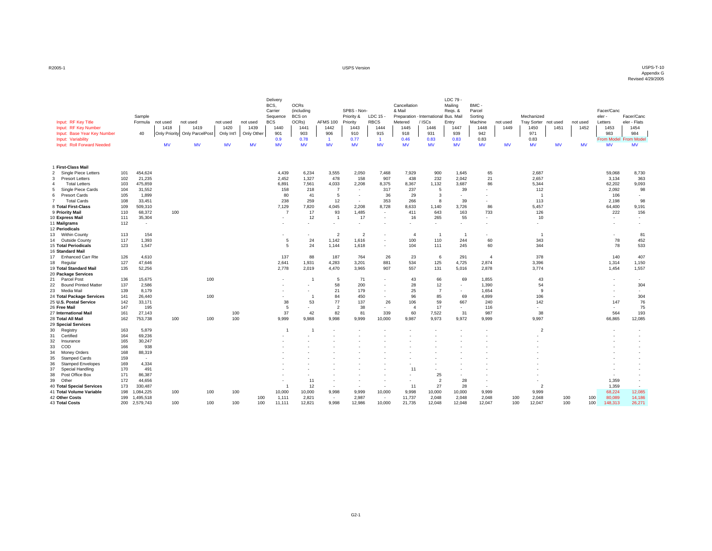#### USPS Version USPS-T-10 Appendix G Revised 4/29/2005

| Input: RF Key Title<br>Input: RF Key Number<br>Input: Base Year Key Number<br>Input: Variability<br>Input: Roll Forward Needed |            | Sample<br>Formula<br>40 | not used<br>1418<br>Only Priority Only ParcelPost<br>MV | not used<br>1419<br><b>MV</b> |     | not used<br>1420<br>Only Int'l<br><b>MV</b> | not used<br>1439<br>Only Other<br><b>MV</b> | Delivery<br>BCS,<br>Carrier<br>Sequence<br><b>BCS</b><br>1440<br>901<br>0.9<br><b>MV</b> | <b>OCRs</b><br>(including<br>BCS on<br>OCRs)<br>1441<br>903<br>0.78<br><b>MV</b> | <b>AFMS 100</b><br>1442<br>906<br>$\blacktriangleleft$<br><b>MV</b> | SPBS - Non-<br>Priority &<br>Priority<br>1443<br>910<br>0.77<br><b>MV</b> | $LDC 15 -$<br><b>RBCS</b><br>1444<br>915<br>$\overline{1}$<br><b>MV</b> | Cancellation<br>& Mail<br>Metered<br>1445<br>918<br>0.46<br><b>MV</b> | Preparation - International Bus. Mail<br><b>ISCs</b><br>1446<br>931<br>0.83<br><b>MV</b> | LDC 79 -<br>Mailing<br>Regs. &<br>Entry<br>1447<br>939<br>0.83<br><b>MV</b> | BMC -<br>Parcel<br>Sorting<br>Machine<br>1448<br>942<br>0.83<br><b>MV</b> | not used<br>1449<br><b>MV</b> | Mechanized<br><b>Tray Sorter</b><br>1450<br>971<br>0.83<br><b>MV</b> | not used<br>1451<br><b>MV</b> | not used<br>1452<br><b>MV</b> | Facer/Canc<br>eler -<br>Letters<br>1453<br>983<br>From Model From Mode<br><b>MV</b> |     | Facer/Cand<br>eler - Flats<br>1454<br>984<br><b>MV</b> |
|--------------------------------------------------------------------------------------------------------------------------------|------------|-------------------------|---------------------------------------------------------|-------------------------------|-----|---------------------------------------------|---------------------------------------------|------------------------------------------------------------------------------------------|----------------------------------------------------------------------------------|---------------------------------------------------------------------|---------------------------------------------------------------------------|-------------------------------------------------------------------------|-----------------------------------------------------------------------|------------------------------------------------------------------------------------------|-----------------------------------------------------------------------------|---------------------------------------------------------------------------|-------------------------------|----------------------------------------------------------------------|-------------------------------|-------------------------------|-------------------------------------------------------------------------------------|-----|--------------------------------------------------------|
| 1 First-Class Mail                                                                                                             |            |                         |                                                         |                               |     |                                             |                                             |                                                                                          |                                                                                  |                                                                     |                                                                           |                                                                         |                                                                       |                                                                                          |                                                                             |                                                                           |                               |                                                                      |                               |                               |                                                                                     |     |                                                        |
| $\overline{2}$<br>Single Piece Letters                                                                                         | 101        | 454,624                 |                                                         |                               |     |                                             |                                             | 4,439                                                                                    | 6,234                                                                            | 3,555                                                               | 2,050                                                                     | 7,468                                                                   | 7,929                                                                 | 900                                                                                      | 1,645                                                                       | 65                                                                        |                               | 2,687                                                                |                               |                               | 59,068                                                                              |     | 8,730                                                  |
| 3<br><b>Presort Letters</b>                                                                                                    | 102        | 21.235                  |                                                         |                               |     |                                             |                                             | 2.452                                                                                    | 1,327                                                                            | 478                                                                 | 158                                                                       | 907                                                                     | 438                                                                   | 232                                                                                      | 2.042                                                                       | 21                                                                        |                               | 2.657                                                                |                               |                               | 3,134                                                                               |     | 363                                                    |
| <b>Total Letters</b>                                                                                                           | 103        | 475,859                 |                                                         |                               |     |                                             |                                             | 6,891                                                                                    | 7,561                                                                            | 4,033                                                               | 2,208                                                                     | 8,375                                                                   | 8,367                                                                 | 1,132                                                                                    | 3,687                                                                       | 86                                                                        |                               | 5,344                                                                |                               |                               | 62,202                                                                              |     | 9,093                                                  |
| Single Piece Cards<br>5                                                                                                        | 104        | 31,552                  |                                                         |                               |     |                                             |                                             | 158                                                                                      | 218                                                                              | $\overline{7}$                                                      | $\overline{\phantom{a}}$                                                  | 317                                                                     | 237                                                                   | 5                                                                                        | 39                                                                          |                                                                           |                               | 112                                                                  |                               |                               | 2,092                                                                               |     | 98                                                     |
| <b>Presort Cards</b><br>6                                                                                                      | 105        | 1,899                   |                                                         |                               |     |                                             |                                             | 80                                                                                       | 41                                                                               | 5                                                                   | $\overline{\phantom{a}}$                                                  | 36                                                                      | 29                                                                    | 3                                                                                        | ٠                                                                           |                                                                           |                               |                                                                      | -1                            |                               |                                                                                     | 106 | $\overline{\phantom{a}}$                               |
| <b>Total Cards</b>                                                                                                             | 108        | 33,451                  |                                                         |                               |     |                                             |                                             | 238                                                                                      | 259                                                                              | 12                                                                  | $\overline{\phantom{a}}$                                                  | 353                                                                     | 266                                                                   | 8                                                                                        | 39                                                                          | ۰.                                                                        |                               |                                                                      | 113                           |                               | 2,198                                                                               |     | 98                                                     |
| 8 Total First-Class                                                                                                            | 109        | 509,310                 |                                                         |                               |     |                                             |                                             | 7,129                                                                                    | 7,820                                                                            | 4,045                                                               | 2,208                                                                     | 8,728                                                                   | 8,633                                                                 | 1,140                                                                                    | 3,726                                                                       | 86                                                                        |                               | 5,457                                                                |                               |                               | 64,400                                                                              |     | 9,191                                                  |
| 9 Priority Mail                                                                                                                | 110        | 68,372                  | 100                                                     |                               |     |                                             |                                             | $\overline{7}$                                                                           | 17                                                                               | 93                                                                  | 1,485                                                                     | ÷                                                                       | 411                                                                   | 643                                                                                      | 163                                                                         | 733                                                                       |                               |                                                                      | 126                           |                               |                                                                                     | 222 | 156                                                    |
| 10 Express Mail                                                                                                                | 111        | 35,304                  |                                                         |                               |     |                                             |                                             | $\sim$                                                                                   | 12                                                                               | $\overline{1}$                                                      | 17                                                                        | $\overline{\phantom{a}}$                                                | 16                                                                    | 265                                                                                      | 55                                                                          | $\sim$                                                                    |                               |                                                                      | 10                            |                               | $\overline{\phantom{a}}$                                                            |     | $\overline{\phantom{a}}$                               |
| 11 Mailgrams                                                                                                                   | 112        | $\sim$                  |                                                         |                               |     |                                             |                                             |                                                                                          |                                                                                  |                                                                     |                                                                           |                                                                         |                                                                       | $\overline{\phantom{a}}$                                                                 | $\overline{\phantom{a}}$                                                    |                                                                           |                               | $\overline{\phantom{a}}$                                             |                               |                               | $\overline{\phantom{a}}$                                                            |     | $\overline{\phantom{a}}$                               |
| 12 Periodicals                                                                                                                 |            |                         |                                                         |                               |     |                                             |                                             |                                                                                          |                                                                                  |                                                                     |                                                                           |                                                                         |                                                                       |                                                                                          |                                                                             |                                                                           |                               |                                                                      |                               |                               |                                                                                     |     |                                                        |
| 13 Within County                                                                                                               | 113        | 154                     |                                                         |                               |     |                                             |                                             |                                                                                          |                                                                                  | $\overline{2}$                                                      | $\overline{2}$                                                            |                                                                         | $\overline{4}$                                                        | $\overline{1}$                                                                           | $\overline{1}$                                                              |                                                                           |                               |                                                                      | $\overline{1}$                |                               | $\sim$                                                                              |     | 81                                                     |
| 14 Outside County                                                                                                              | 117        | 1,393                   |                                                         |                               |     |                                             |                                             | 5                                                                                        | 24                                                                               | 1,142                                                               | 1,616                                                                     | $\sim$                                                                  | 100                                                                   | 110                                                                                      | 244                                                                         | 60                                                                        |                               |                                                                      | 343                           |                               |                                                                                     | 78  | 452                                                    |
| 15 Total Periodicals                                                                                                           | 123        | 1,547                   |                                                         |                               |     |                                             |                                             | 5                                                                                        | 24                                                                               | 1,144                                                               | 1,618                                                                     | $\sim$                                                                  | 104                                                                   | 111                                                                                      | 245                                                                         | 60                                                                        |                               |                                                                      | 344                           |                               |                                                                                     | 78  | 533                                                    |
| 16 Standard Mail                                                                                                               |            |                         |                                                         |                               |     |                                             |                                             |                                                                                          |                                                                                  |                                                                     |                                                                           |                                                                         |                                                                       |                                                                                          |                                                                             |                                                                           |                               |                                                                      |                               |                               |                                                                                     |     |                                                        |
| 17 Enhanced Carr Rte                                                                                                           | 126        | 4,610                   |                                                         |                               |     |                                             |                                             | 137                                                                                      | 88                                                                               | 187                                                                 | 764                                                                       | 26                                                                      | 23                                                                    | 6                                                                                        | 291                                                                         | $\mathbf{A}$                                                              |                               |                                                                      | 378                           |                               |                                                                                     | 140 | 407                                                    |
| 18 Regular                                                                                                                     | 127        | 47,646                  |                                                         |                               |     |                                             |                                             | 2,641                                                                                    | 1,931                                                                            | 4,283                                                               | 3,201                                                                     | 881                                                                     | 534                                                                   | 125                                                                                      | 4,725                                                                       | 2,874                                                                     |                               | 3,396                                                                |                               |                               | 1,314                                                                               |     | 1,150                                                  |
| 19 Total Standard Mail                                                                                                         | 135        | 52,256                  |                                                         |                               |     |                                             |                                             | 2,778                                                                                    | 2,019                                                                            | 4,470                                                               | 3,965                                                                     | 907                                                                     | 557                                                                   | 131                                                                                      | 5,016                                                                       | 2,878                                                                     |                               | 3,774                                                                |                               |                               | 1,454                                                                               |     | 1,557                                                  |
| 20 Package Services                                                                                                            |            |                         |                                                         |                               |     |                                             |                                             |                                                                                          |                                                                                  |                                                                     |                                                                           |                                                                         |                                                                       |                                                                                          |                                                                             |                                                                           |                               |                                                                      |                               |                               |                                                                                     |     |                                                        |
| Parcel Post<br>21                                                                                                              | 136        | 15,675                  |                                                         |                               | 100 |                                             |                                             | $\overline{\phantom{a}}$                                                                 |                                                                                  | 5                                                                   | 71                                                                        |                                                                         | 43                                                                    | 66                                                                                       | 69<br>٠                                                                     | 1,855                                                                     |                               |                                                                      | 43                            |                               |                                                                                     |     | $\overline{\phantom{a}}$                               |
| <b>Bound Printed Matter</b><br>22                                                                                              | 137        | 2,586                   |                                                         |                               |     |                                             |                                             |                                                                                          |                                                                                  | 58                                                                  | 200                                                                       |                                                                         | 28                                                                    | 12                                                                                       |                                                                             | 1,390                                                                     |                               |                                                                      | 54<br>9                       |                               | $\overline{\phantom{a}}$                                                            |     | 304                                                    |
| 23<br>Media Mail<br>24 Total Package Services                                                                                  | 139<br>141 | 8,179<br>26,440         |                                                         |                               | 100 |                                             |                                             |                                                                                          | -1                                                                               | 21<br>84                                                            | 179<br>450                                                                | $\sim$                                                                  | 25<br>96                                                              | $\overline{7}$<br>85                                                                     | 69                                                                          | 1,654<br>4,899                                                            |                               |                                                                      | 106                           |                               | $\overline{\phantom{a}}$                                                            |     | $\overline{\phantom{a}}$<br>304                        |
| 25 U.S. Postal Service                                                                                                         | 142        | 33,171                  |                                                         |                               |     |                                             |                                             | 38                                                                                       | 53                                                                               | 77                                                                  | 137                                                                       | 26                                                                      | 106                                                                   | 59                                                                                       | 667                                                                         | 240                                                                       |                               |                                                                      | 142                           |                               |                                                                                     | 147 | 76                                                     |
| 26 Free Mail                                                                                                                   | 147        | 195                     |                                                         |                               |     |                                             |                                             | 5                                                                                        | $\sim$                                                                           | $\overline{2}$                                                      | 38                                                                        | $\overline{\phantom{a}}$                                                | $\mathbf{A}$                                                          | 17                                                                                       | $\overline{\phantom{a}}$                                                    | 116                                                                       |                               | $\overline{\phantom{a}}$                                             |                               |                               | $\overline{\phantom{a}}$                                                            |     | 75                                                     |
| 27 International Mail                                                                                                          | 161        | 27.143                  |                                                         |                               |     | 100                                         |                                             | 37                                                                                       | 42                                                                               | 82                                                                  | 81                                                                        | 339                                                                     | 60                                                                    | 7.522                                                                                    | 31                                                                          | 987                                                                       |                               |                                                                      | 38                            |                               |                                                                                     | 564 | 193                                                    |
| 28 Total All Mail                                                                                                              | 162        | 753,738                 | 100                                                     |                               | 100 | 100                                         |                                             | 9.999                                                                                    | 9.988                                                                            | 9,998                                                               | 9,999                                                                     | 10,000                                                                  | 9,987                                                                 | 9,973                                                                                    | 9,972                                                                       | 9,999                                                                     |                               | 9,997                                                                |                               |                               | 66,865                                                                              |     | 12,085                                                 |
| 29 Special Services                                                                                                            |            |                         |                                                         |                               |     |                                             |                                             |                                                                                          |                                                                                  |                                                                     |                                                                           |                                                                         |                                                                       |                                                                                          |                                                                             |                                                                           |                               |                                                                      |                               |                               |                                                                                     |     |                                                        |
| 30<br>Registry                                                                                                                 | 163        | 5,879                   |                                                         |                               |     |                                             |                                             | $\overline{1}$                                                                           |                                                                                  |                                                                     |                                                                           |                                                                         |                                                                       |                                                                                          |                                                                             |                                                                           |                               |                                                                      | $\overline{2}$                |                               |                                                                                     |     | ٠                                                      |
| 31<br>Certified                                                                                                                | 164        | 69,236                  |                                                         |                               |     |                                             |                                             |                                                                                          |                                                                                  |                                                                     |                                                                           |                                                                         |                                                                       |                                                                                          |                                                                             |                                                                           |                               |                                                                      |                               |                               |                                                                                     |     |                                                        |
| 32<br>Insurance                                                                                                                | 165        | 30,247                  |                                                         |                               |     |                                             |                                             |                                                                                          |                                                                                  |                                                                     |                                                                           |                                                                         |                                                                       |                                                                                          |                                                                             |                                                                           |                               |                                                                      |                               |                               |                                                                                     |     | $\overline{\phantom{a}}$                               |
| COD<br>33                                                                                                                      | 166        | 938                     |                                                         |                               |     |                                             |                                             |                                                                                          |                                                                                  |                                                                     |                                                                           |                                                                         |                                                                       |                                                                                          |                                                                             |                                                                           |                               |                                                                      |                               |                               |                                                                                     |     |                                                        |
| 34<br>Money Orders                                                                                                             | 168        | 88,319                  |                                                         |                               |     |                                             |                                             |                                                                                          |                                                                                  |                                                                     |                                                                           |                                                                         |                                                                       |                                                                                          |                                                                             |                                                                           |                               |                                                                      |                               |                               |                                                                                     |     |                                                        |
| Stamped Cards<br>35                                                                                                            | 159        | $\sim$                  |                                                         |                               |     |                                             |                                             |                                                                                          |                                                                                  |                                                                     |                                                                           |                                                                         |                                                                       |                                                                                          |                                                                             |                                                                           |                               |                                                                      |                               |                               |                                                                                     |     |                                                        |
| <b>Stamped Envelopes</b><br>36                                                                                                 | 169        | 4,334                   |                                                         |                               |     |                                             |                                             |                                                                                          |                                                                                  |                                                                     |                                                                           |                                                                         |                                                                       |                                                                                          |                                                                             |                                                                           |                               |                                                                      |                               |                               |                                                                                     |     |                                                        |
| 37<br>Special Handling                                                                                                         | 170        | 491                     |                                                         |                               |     |                                             |                                             |                                                                                          |                                                                                  |                                                                     |                                                                           |                                                                         | 11                                                                    |                                                                                          |                                                                             |                                                                           |                               |                                                                      |                               |                               |                                                                                     |     |                                                        |
| Post Office Box<br>38                                                                                                          | 171        | 86.387                  |                                                         |                               |     |                                             |                                             |                                                                                          |                                                                                  |                                                                     |                                                                           |                                                                         |                                                                       | 25                                                                                       |                                                                             |                                                                           |                               |                                                                      |                               |                               | $\overline{\phantom{a}}$                                                            |     |                                                        |
| Other<br>39                                                                                                                    | 172        | 44,656                  |                                                         |                               |     |                                             |                                             | ٠                                                                                        | 11                                                                               | $\sim$                                                              | $\overline{\phantom{a}}$                                                  |                                                                         | $\overline{\phantom{a}}$                                              | $\overline{2}$                                                                           | 28                                                                          | $\overline{\phantom{a}}$                                                  |                               | $\overline{\phantom{a}}$                                             |                               |                               | 1,359                                                                               |     | $\sim$                                                 |
| 40 Total Special Services                                                                                                      | 173        | 330,487                 |                                                         |                               |     |                                             |                                             | -1                                                                                       | 12                                                                               |                                                                     |                                                                           | $\overline{\phantom{a}}$                                                | 11                                                                    | 27                                                                                       | 28                                                                          |                                                                           |                               |                                                                      | $\overline{2}$                |                               | 1,359                                                                               |     | $\overline{\phantom{a}}$                               |
| 41 Total Volume Variable                                                                                                       | 198        | 1.084.225               | 100                                                     |                               | 100 | 100                                         |                                             | 10,000                                                                                   | 10,000                                                                           | 9.998                                                               | 9.999                                                                     | 10,000                                                                  | 9.998                                                                 | 10,000                                                                                   | 10,000                                                                      | 9.999                                                                     |                               | 9.999                                                                |                               |                               | 68,224                                                                              |     | 12,085                                                 |
| 42 Other Costs                                                                                                                 | 199        | 1,495,518               |                                                         |                               |     |                                             | 100                                         | 1,111                                                                                    | 2,821                                                                            | $\sim$                                                              | 2,987                                                                     | $\sim$                                                                  | 11,737                                                                | 2,048                                                                                    | 2,048                                                                       | 2,048                                                                     | 100                           | 2,048                                                                |                               | 100                           | 100<br>80,089                                                                       |     | 14,186                                                 |
| 43 Total Costs                                                                                                                 | 200        | 2,579,743               | 100                                                     |                               | 100 | 100                                         | 100                                         | 11,111                                                                                   | 12,821                                                                           | 9,998                                                               | 12,986                                                                    | 10,000                                                                  | 21,735                                                                | 12,048                                                                                   | 12,048                                                                      | 12,047                                                                    |                               | 100<br>12,047                                                        |                               | 100                           | 100<br>148,313                                                                      |     | 26,271                                                 |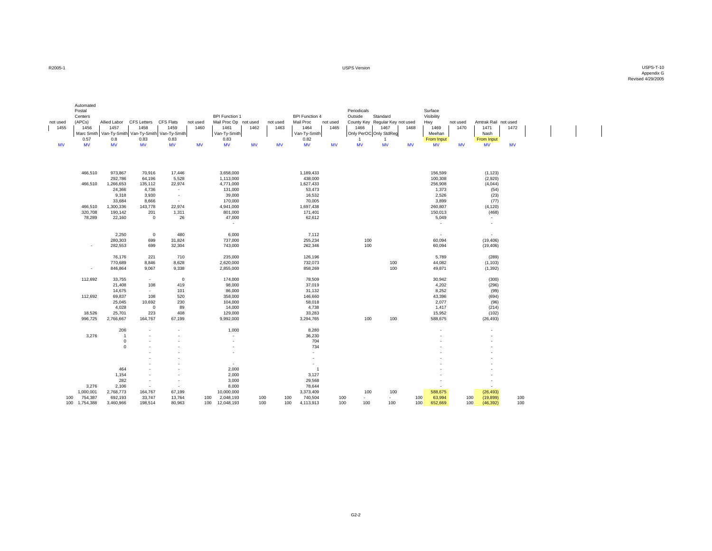R2005-1

 USPS Version USPS-T-10 Appendix G Revised 4/29/2005

| not used<br>1455<br><b>MV</b> | Automated<br>Postal<br>Centers<br>(APCs)<br>1456<br>0.57<br><b>MV</b> | Allied Labor<br>1457<br>0.8<br><b>MV</b> | <b>CFS Letters</b><br>1458<br>Marc Smith Van-Ty-Smith Van-Ty-Smith Van-Ty-Smith<br>0.83<br><b>MV</b> | <b>CFS Flats</b><br>1459<br>0.83<br><b>MV</b> | not used<br>1460<br>MV | <b>BPI Function 1</b><br>Mail Proc Op not used<br>1461<br>Van-Ty-Smith<br>0.83<br><b>MV</b> | 1462<br><b>MV</b> | not used<br>1463<br><b>MV</b> | <b>BPI Function 4</b><br>Mail Proc<br>1464<br>Van-Ty-Smith<br>0.82<br><b>MV</b> | not used<br>1465<br><b>MV</b> | Periodicals<br>Outside<br>1466<br>1<br><b>MV</b> | Standard<br>County Key Regular Key not used<br>1467<br>Only PerOC Only StdReg<br>-1<br><b>MV</b> | 1468<br><b>MV</b> | Surface<br>Visibility<br>Hwy<br>1469<br>Meehan<br>From Input<br><b>MV</b> | not used<br>1470<br><b>MV</b> | Amtrak Rail not used<br>1471<br>Nash<br>From Input<br><b>MV</b> | 1472<br><b>MV</b> |  |
|-------------------------------|-----------------------------------------------------------------------|------------------------------------------|------------------------------------------------------------------------------------------------------|-----------------------------------------------|------------------------|---------------------------------------------------------------------------------------------|-------------------|-------------------------------|---------------------------------------------------------------------------------|-------------------------------|--------------------------------------------------|--------------------------------------------------------------------------------------------------|-------------------|---------------------------------------------------------------------------|-------------------------------|-----------------------------------------------------------------|-------------------|--|
|                               |                                                                       |                                          |                                                                                                      |                                               |                        |                                                                                             |                   |                               |                                                                                 |                               |                                                  |                                                                                                  |                   |                                                                           |                               |                                                                 |                   |  |
|                               | 466,510                                                               | 973,867<br>292,786                       | 70,916<br>64,196                                                                                     | 17,446<br>5,528                               |                        | 3,658,000<br>1,113,000                                                                      |                   |                               | 1,189,433<br>438,000                                                            |                               |                                                  |                                                                                                  |                   | 156,599<br>100,308                                                        |                               | (1, 123)<br>(2,920)                                             |                   |  |
|                               | 466,510                                                               | 1,266,653                                | 135,112                                                                                              | 22,974                                        |                        | 4,771,000                                                                                   |                   |                               | 1,627,433                                                                       |                               |                                                  |                                                                                                  |                   | 256,908                                                                   |                               | (4,044)                                                         |                   |  |
|                               |                                                                       | 24,366                                   | 4,736                                                                                                | $\blacksquare$                                |                        | 131,000                                                                                     |                   |                               | 53,473                                                                          |                               |                                                  |                                                                                                  |                   | 1,373                                                                     |                               | (54)                                                            |                   |  |
|                               |                                                                       | 9,318                                    | 3,930                                                                                                | $\sim$                                        |                        | 39,000                                                                                      |                   |                               | 16,532                                                                          |                               |                                                  |                                                                                                  |                   | 2,526                                                                     |                               | (23)                                                            |                   |  |
|                               |                                                                       | 33,684                                   | 8,666                                                                                                | $\sim$                                        |                        | 170,000                                                                                     |                   |                               | 70,005                                                                          |                               |                                                  |                                                                                                  |                   | 3,899                                                                     |                               | (77)                                                            |                   |  |
|                               | 466,510                                                               | 1,300,336                                | 143,778                                                                                              | 22,974                                        |                        | 4,941,000                                                                                   |                   |                               | 1,697,438                                                                       |                               |                                                  |                                                                                                  |                   | 260,807                                                                   |                               | (4, 120)                                                        |                   |  |
|                               | 320,708                                                               | 190,142                                  | 201                                                                                                  | 1,311                                         |                        | 801,000                                                                                     |                   |                               | 171,401                                                                         |                               |                                                  |                                                                                                  |                   | 150,013                                                                   |                               | (468)                                                           |                   |  |
|                               | 78,289                                                                | 22,160                                   | 0                                                                                                    | 26                                            |                        | 47,000                                                                                      |                   |                               | 62,612                                                                          |                               |                                                  |                                                                                                  |                   | 5,049                                                                     |                               | $\sim$                                                          |                   |  |
|                               |                                                                       |                                          |                                                                                                      |                                               |                        | $\sim$                                                                                      |                   |                               |                                                                                 |                               |                                                  |                                                                                                  |                   | $\sim$                                                                    |                               | $\sim$                                                          |                   |  |
|                               |                                                                       | 2,250                                    | 0                                                                                                    | 480                                           |                        | 6,000                                                                                       |                   |                               | 7,112                                                                           |                               |                                                  |                                                                                                  |                   | $\sim$                                                                    |                               | $\sim$                                                          |                   |  |
|                               |                                                                       | 280,303                                  | 699                                                                                                  | 31,824                                        |                        | 737,000                                                                                     |                   |                               | 255,234                                                                         |                               | 100                                              |                                                                                                  |                   | 60,094                                                                    |                               | (19, 406)                                                       |                   |  |
|                               | $\overline{\phantom{a}}$                                              | 282,553                                  | 699                                                                                                  | 32,304                                        |                        | 743,000                                                                                     |                   |                               | 262,346                                                                         |                               | 100                                              |                                                                                                  |                   | 60,094                                                                    |                               | (19, 406)                                                       |                   |  |
|                               |                                                                       |                                          |                                                                                                      |                                               |                        |                                                                                             |                   |                               |                                                                                 |                               |                                                  |                                                                                                  |                   |                                                                           |                               |                                                                 |                   |  |
|                               |                                                                       | 76,176                                   | 221                                                                                                  | 710                                           |                        | 235,000                                                                                     |                   |                               | 126,196                                                                         |                               |                                                  |                                                                                                  |                   | 5,789                                                                     |                               | (289)                                                           |                   |  |
|                               |                                                                       | 770,689                                  | 8,846                                                                                                | 8,628                                         |                        | 2,620,000                                                                                   |                   |                               | 732,073                                                                         |                               |                                                  | 100                                                                                              |                   | 44,082                                                                    |                               | (1, 103)                                                        |                   |  |
|                               | $\overline{\phantom{a}}$                                              | 846,864                                  | 9,067                                                                                                | 9,338                                         |                        | 2,855,000                                                                                   |                   |                               | 858,269                                                                         |                               |                                                  | 100                                                                                              |                   | 49,871                                                                    |                               | (1, 392)                                                        |                   |  |
|                               |                                                                       |                                          |                                                                                                      |                                               |                        |                                                                                             |                   |                               |                                                                                 |                               |                                                  |                                                                                                  |                   |                                                                           |                               |                                                                 |                   |  |
|                               | 112,692                                                               | 33,755                                   | $\sim$                                                                                               | $\mathbf 0$                                   |                        | 174,000                                                                                     |                   |                               | 78,509                                                                          |                               |                                                  |                                                                                                  |                   | 30,942                                                                    |                               | (300)                                                           |                   |  |
|                               |                                                                       | 21,408<br>14,675                         | 108<br>$\sim$                                                                                        | 419<br>101                                    |                        | 98,000<br>86,000                                                                            |                   |                               | 37,019<br>31,132                                                                |                               |                                                  |                                                                                                  |                   | 4,202<br>8,252                                                            |                               | (296)<br>(99)                                                   |                   |  |
|                               | 112,692                                                               | 69,837                                   | 108                                                                                                  | 520                                           |                        | 358,000                                                                                     |                   |                               | 146,660                                                                         |                               |                                                  |                                                                                                  |                   | 43,396                                                                    |                               | (694)                                                           |                   |  |
|                               |                                                                       | 25,045                                   | 10,692                                                                                               | 230                                           |                        | 104,000                                                                                     |                   |                               | 58,018                                                                          |                               |                                                  |                                                                                                  |                   | 2,077                                                                     |                               | (96)                                                            |                   |  |
|                               |                                                                       | 4,028                                    | $\mathbf 0$                                                                                          | 89                                            |                        | 14,000                                                                                      |                   |                               | 4,738                                                                           |                               |                                                  |                                                                                                  |                   | 1,417                                                                     |                               | (214)                                                           |                   |  |
|                               | 18,526                                                                | 25,701                                   | 223                                                                                                  | 408                                           |                        | 129,000                                                                                     |                   |                               | 33,283                                                                          |                               |                                                  |                                                                                                  |                   | 15,952                                                                    |                               | (102)                                                           |                   |  |
|                               | 996,725                                                               | 2,766,667                                | 164,767                                                                                              | 67,199                                        |                        | 9,992,000                                                                                   |                   |                               | 3,294,765                                                                       |                               | 100                                              | 100                                                                                              |                   | 588,675                                                                   |                               | (26, 493)                                                       |                   |  |
|                               |                                                                       |                                          |                                                                                                      |                                               |                        |                                                                                             |                   |                               |                                                                                 |                               |                                                  |                                                                                                  |                   |                                                                           |                               |                                                                 |                   |  |
|                               |                                                                       | 206                                      | $\sim$                                                                                               | $\sim$                                        |                        | 1,000                                                                                       |                   |                               | 8,280                                                                           |                               |                                                  |                                                                                                  |                   | $\overline{\phantom{a}}$                                                  |                               | $\sim$                                                          |                   |  |
|                               | 3,276                                                                 | $\overline{1}$                           | $\sim$                                                                                               | ÷.                                            |                        | $\overline{\phantom{a}}$                                                                    |                   |                               | 36,230                                                                          |                               |                                                  |                                                                                                  |                   |                                                                           |                               |                                                                 |                   |  |
|                               |                                                                       | $\mathbf 0$<br>$\mathsf 0$               |                                                                                                      |                                               |                        | $\overline{\phantom{a}}$<br>$\blacksquare$                                                  |                   |                               | 704<br>734                                                                      |                               |                                                  |                                                                                                  |                   |                                                                           |                               |                                                                 |                   |  |
|                               |                                                                       |                                          |                                                                                                      |                                               |                        | ÷                                                                                           |                   |                               | ÷                                                                               |                               |                                                  |                                                                                                  |                   |                                                                           |                               |                                                                 |                   |  |
|                               |                                                                       |                                          |                                                                                                      | ÷                                             |                        |                                                                                             |                   |                               | $\tilde{\phantom{a}}$                                                           |                               |                                                  |                                                                                                  |                   |                                                                           |                               |                                                                 |                   |  |
|                               |                                                                       |                                          |                                                                                                      |                                               |                        | $\sim$                                                                                      |                   |                               | $\sim$                                                                          |                               |                                                  |                                                                                                  |                   |                                                                           |                               |                                                                 |                   |  |
|                               |                                                                       | 464                                      |                                                                                                      |                                               |                        | 2,000                                                                                       |                   |                               | $\overline{1}$                                                                  |                               |                                                  |                                                                                                  |                   |                                                                           |                               |                                                                 |                   |  |
|                               |                                                                       | 1,154                                    | $\sim$                                                                                               | $\sim$                                        |                        | 2,000                                                                                       |                   |                               | 3,127                                                                           |                               |                                                  |                                                                                                  |                   |                                                                           |                               |                                                                 |                   |  |
|                               |                                                                       | 282                                      | ٠                                                                                                    | $\overline{\phantom{a}}$                      |                        | 3,000                                                                                       |                   |                               | 29,568                                                                          |                               |                                                  |                                                                                                  |                   |                                                                           |                               |                                                                 |                   |  |
|                               | 3,276                                                                 | 2,106                                    | $\sim$                                                                                               | ÷                                             |                        | 8,000                                                                                       |                   |                               | 78,644                                                                          |                               |                                                  |                                                                                                  |                   |                                                                           |                               |                                                                 |                   |  |
|                               | 1,000,001                                                             | 2,768,773                                | 164,767                                                                                              | 67,199                                        |                        | 10,000,000                                                                                  |                   |                               | 3,373,409                                                                       |                               | 100                                              | 100                                                                                              |                   | 588,675                                                                   |                               | (26, 493)                                                       |                   |  |
| 100                           | 754,387                                                               | 692,193                                  | 33,747                                                                                               | 13,764                                        | 100                    | 2,048,193                                                                                   | 100               | 100                           | 740,504                                                                         |                               | 100<br>$\sim$                                    | $\sim$                                                                                           | 100               | 63,994                                                                    | 100                           | (19, 899)                                                       | 100               |  |
|                               | 100<br>1,754,388                                                      | 3,460,966                                | 198,514                                                                                              | 80,963                                        | 100                    | 12,048,193                                                                                  |                   | 100<br>100                    | 4,113,913                                                                       |                               | 100<br>100                                       | 100                                                                                              | 100               | 652,669                                                                   | 100                           | (46, 392)                                                       | 100               |  |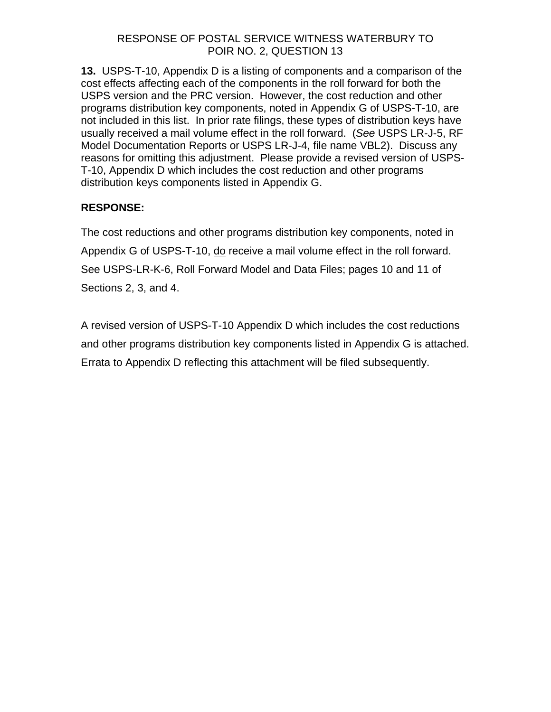# RESPONSE OF POSTAL SERVICE WITNESS WATERBURY TO POIR NO. 2, QUESTION 13

**13.** USPS-T-10, Appendix D is a listing of components and a comparison of the cost effects affecting each of the components in the roll forward for both the USPS version and the PRC version. However, the cost reduction and other programs distribution key components, noted in Appendix G of USPS-T-10, are not included in this list. In prior rate filings, these types of distribution keys have usually received a mail volume effect in the roll forward. (*See* USPS LR-J-5, RF Model Documentation Reports or USPS LR-J-4, file name VBL2). Discuss any reasons for omitting this adjustment. Please provide a revised version of USPS-T-10, Appendix D which includes the cost reduction and other programs distribution keys components listed in Appendix G.

# **RESPONSE:**

The cost reductions and other programs distribution key components, noted in Appendix G of USPS-T-10, do receive a mail volume effect in the roll forward. See USPS-LR-K-6, Roll Forward Model and Data Files; pages 10 and 11 of Sections 2, 3, and 4.

A revised version of USPS-T-10 Appendix D which includes the cost reductions and other programs distribution key components listed in Appendix G is attached. Errata to Appendix D reflecting this attachment will be filed subsequently.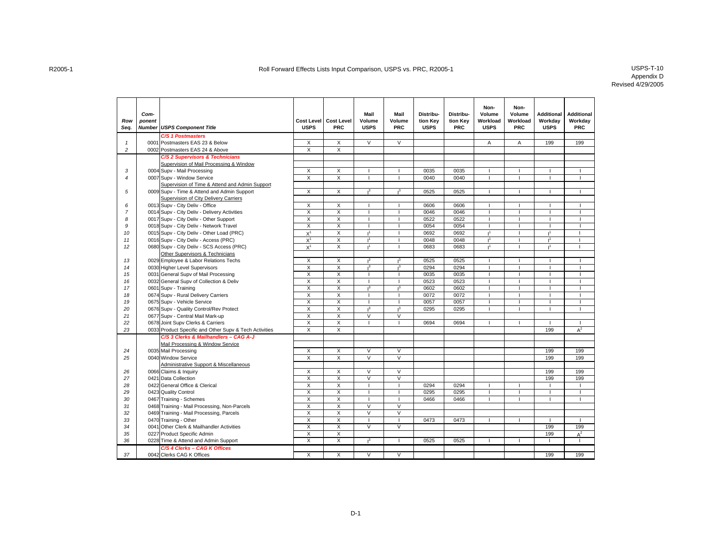| Row<br>Seq.    | Com-<br>ponent | <b>Number USPS Component Title</b>                     | <b>USPS</b>             | Cost Level   Cost Level<br><b>PRC</b> | Mail<br>Volume<br><b>USPS</b> | Mail<br>Volume<br>PRC    | Distribu-<br>tion Key<br><b>USPS</b> | Distribu-<br>tion Key<br><b>PRC</b> | Non-<br>Volume<br>Workload<br><b>USPS</b> | Non-<br>Volume<br>Workload<br>PRC | <b>Additional</b><br>Workday<br><b>USPS</b> | <b>Additional</b><br>Workday<br><b>PRC</b> |
|----------------|----------------|--------------------------------------------------------|-------------------------|---------------------------------------|-------------------------------|--------------------------|--------------------------------------|-------------------------------------|-------------------------------------------|-----------------------------------|---------------------------------------------|--------------------------------------------|
|                |                | <b>C/S 1 Postmasters</b>                               |                         |                                       |                               |                          |                                      |                                     |                                           |                                   |                                             |                                            |
| $\mathbf{1}$   |                | 0001 Postmasters EAS 23 & Below                        | Х                       | X                                     | V                             | $\overline{\mathsf{v}}$  |                                      |                                     | Α                                         | A                                 | 199                                         | 199                                        |
| 2              |                | 0002 Postmasters EAS 24 & Above                        | $\overline{\mathsf{x}}$ | $\overline{X}$                        |                               |                          |                                      |                                     |                                           |                                   |                                             |                                            |
|                |                | C/S 2 Supervisors & Technicians                        |                         |                                       |                               |                          |                                      |                                     |                                           |                                   |                                             |                                            |
|                |                | Supervision of Mail Processing & Window                |                         |                                       |                               |                          |                                      |                                     |                                           |                                   |                                             |                                            |
| 3              |                | 0004 Supv - Mail Processing                            | Χ                       | X                                     |                               |                          | 0035                                 | 0035                                |                                           |                                   |                                             |                                            |
| $\overline{4}$ |                | 0007 Supv - Window Service                             | $\overline{X}$          | $\overline{\mathsf{x}}$               | $\mathbf{I}$                  | $\overline{1}$           | 0040                                 | 0040                                |                                           | п.                                |                                             | $\mathbf{I}$                               |
|                |                | Supervision of Time & Attend and Admin Support         |                         |                                       |                               |                          |                                      |                                     |                                           |                                   |                                             |                                            |
| 5              |                | 0009 Supv - Time & Attend and Admin Support            | X                       | X                                     | 1 <sup>3</sup>                | 1 <sup>3</sup>           | 0525                                 | 0525                                |                                           |                                   |                                             |                                            |
|                |                | Supervision of City Delivery Carriers                  |                         |                                       |                               |                          |                                      |                                     |                                           |                                   |                                             |                                            |
| 6              |                | 0013 Supv - City Deliv - Office                        | X                       | X                                     |                               |                          | 0606                                 | 0606                                |                                           |                                   |                                             |                                            |
| $\overline{7}$ |                | 0014 Supv - City Deliv - Delivery Activities           | $\overline{\mathsf{x}}$ | Χ                                     |                               |                          | 0046                                 | 0046                                |                                           |                                   |                                             |                                            |
| 8              |                | 0017 Supv - City Deliv - Other Support                 | $\overline{X}$          | $\overline{\mathsf{x}}$               | $\overline{1}$                |                          | 0522                                 | 0522                                |                                           |                                   |                                             | $\overline{1}$                             |
| 9              |                | 0018 Supv - City Deliv - Network Travel                | $\overline{X}$          | $\overline{X}$                        | $\mathbf{I}$                  | $\overline{\phantom{a}}$ | 0054                                 | 0054                                |                                           | $\mathbf{I}$                      |                                             | $\overline{1}$                             |
| 10             |                | 0015 Supv - City Deliv - Other Load (PRC)              | $X^1$                   | X                                     | 1 <sup>1</sup>                | $\overline{\phantom{a}}$ | 0692                                 | 0692                                | $\mathbf{I}^1$                            |                                   | 11                                          | $\overline{1}$                             |
| 11             |                | 0016 Supv - City Deliv - Access (PRC)                  | $X^1$                   | $\overline{X}$                        | I,                            | $\mathbf{I}$             | 0048                                 | 0048                                | $\mathbf{I}^1$                            | $\mathbf{I}$                      | 1 <sup>1</sup>                              | $\overline{1}$                             |
| 12             |                | 0680 Supv - City Deliv - SCS Access (PRC)              | $X^1$                   | X                                     | $\mathbf{I}^1$                |                          | 0683                                 | 0683                                |                                           |                                   |                                             | $\overline{\phantom{a}}$                   |
|                |                | Other Supervisors & Technicians                        |                         |                                       |                               |                          |                                      |                                     |                                           |                                   |                                             |                                            |
| 13             |                | 0029 Employee & Labor Relations Techs                  | $\overline{X}$          | $\overline{X}$                        | 1 <sup>3</sup>                | 1 <sup>3</sup>           | 0525                                 | 0525                                |                                           |                                   |                                             |                                            |
| 14             |                | 0030 Higher Level Supervisors                          | Χ                       | X                                     | 1 <sup>3</sup>                | $\overline{13}$          | 0294                                 | 0294                                |                                           |                                   |                                             |                                            |
| 15             |                | 0031 General Supv of Mail Processing                   | $\overline{\mathsf{x}}$ | $\overline{X}$                        | $\mathbf{I}$                  |                          | 0035                                 | 0035                                | $\overline{1}$                            | $\mathbf{I}$                      |                                             | $\mathbf{I}$                               |
| 16             |                | 0032 General Supv of Collection & Deliv                | $\overline{X}$          | X                                     | <b>I</b>                      |                          | 0523                                 | 0523                                |                                           |                                   |                                             | $\overline{1}$                             |
| 17             |                | 0601 Supv - Training                                   | $\overline{X}$          | X                                     | $1^3$                         | $1^3$                    | 0602                                 | 0602                                | $\overline{1}$                            | $\mathbf{I}$                      |                                             | $\mathbf{I}$                               |
| 18             |                | 0674 Supv - Rural Delivery Carriers                    | X                       | X                                     | $\overline{\phantom{a}}$      | п                        | 0072                                 | 0072                                |                                           |                                   |                                             | $\overline{\phantom{a}}$                   |
| 19             |                | 0675 Supv - Vehicle Service                            | $\overline{X}$          | X                                     |                               |                          | 0057                                 | 0057                                |                                           |                                   |                                             | $\overline{1}$                             |
| 20             |                | 0676 Supv - Quality Control/Rev Protect                | X                       | X                                     | 1 <sup>3</sup>                | 1 <sup>3</sup>           | 0295                                 | 0295                                |                                           |                                   |                                             |                                            |
| 21             |                | 0677 Supv - Central Mail Mark-up                       | Χ                       | $\overline{\mathsf{x}}$               | $\overline{\mathsf{v}}$       | $\overline{\mathsf{v}}$  |                                      |                                     |                                           |                                   |                                             |                                            |
| 22             |                | 0678 Joint Supv Clerks & Carriers                      | $\times$                | $\mathsf{X}$                          | $\overline{1}$                | $\overline{1}$           | 0694                                 | 0694                                |                                           | $\blacksquare$                    |                                             | $\overline{1}$                             |
| 23             |                | 0033 Product Specific and Other Supv & Tech Activities | $\overline{X}$          | X                                     |                               |                          |                                      |                                     |                                           |                                   | 199                                         | $A^2$                                      |
|                |                | C/S 3 Clerks & Mailhandlers - CAG A-J                  |                         |                                       |                               |                          |                                      |                                     |                                           |                                   |                                             |                                            |
|                |                | Mail Processing & Window Service                       |                         |                                       |                               |                          |                                      |                                     |                                           |                                   |                                             |                                            |
| 24             |                | 0035 Mail Processing                                   | X                       | $\overline{X}$                        | $\overline{\mathsf{v}}$       | $\overline{\mathsf{v}}$  |                                      |                                     |                                           |                                   | 199                                         | 199                                        |
| 25             |                | 0040 Window Service                                    | X                       | X                                     | $\vee$                        | $\vee$                   |                                      |                                     |                                           |                                   | 199                                         | 199                                        |
|                |                | Administrative Support & Miscellaneous                 |                         |                                       |                               |                          |                                      |                                     |                                           |                                   |                                             |                                            |
| 26             |                | 0066 Claims & Inquiry                                  | $\overline{X}$          | X                                     | $\overline{\mathsf{v}}$       | $\overline{V}$           |                                      |                                     |                                           |                                   | 199                                         | 199                                        |
| 27             |                | 0421 Data Collection                                   | $\overline{\mathsf{x}}$ | X                                     | $\overline{\mathsf{v}}$       | $\overline{\mathsf{v}}$  |                                      |                                     |                                           |                                   | 199                                         | 199                                        |
| 28             |                | 0422 General Office & Clerical                         | $\overline{\mathsf{x}}$ | $\overline{X}$                        | $\mathbf{I}$                  | $\mathbf{I}$             | 0294                                 | 0294                                |                                           |                                   |                                             | $\mathbf{I}$                               |
| 29             |                | 0423 Quality Control                                   | $\overline{X}$          | X                                     | $\mathbf{I}$                  | $\overline{1}$           | 0295                                 | 0295                                |                                           |                                   |                                             | $\mathbf{I}$                               |
| 30             |                | 0467 Training - Schemes                                | X                       | X                                     | $\overline{1}$                | $\mathbf{I}$             | 0466                                 | 0466                                |                                           | $\mathbf{I}$                      |                                             | $\mathbf{I}$                               |
| 31             |                | 0468 Training - Mail Processing, Non-Parcels           | X                       | X                                     | $\vee$                        | $\vee$                   |                                      |                                     |                                           |                                   |                                             |                                            |
| 32             |                | 0469 Training - Mail Processing, Parcels               | Χ                       | X                                     | V                             | V                        |                                      |                                     |                                           |                                   |                                             |                                            |
| 33             |                | 0470 Training - Other                                  | X                       | X                                     |                               |                          | 0473                                 | 0473                                |                                           |                                   |                                             |                                            |
| 34             |                | 0041 Other Clerk & Mailhandler Activities              | $\overline{X}$          | $\overline{\mathsf{x}}$               | $\overline{\mathsf{v}}$       | $\overline{\vee}$        |                                      |                                     |                                           |                                   | 199                                         | 199                                        |
| 35             |                | 0227 Product Specific Admin                            | $\times$                | $\mathsf{X}$                          |                               |                          |                                      |                                     |                                           |                                   | 199                                         | $A^2$                                      |
| 36             |                | 0228 Time & Attend and Admin Support                   | X                       | X                                     | 1 <sup>3</sup>                |                          | 0525                                 | 0525                                |                                           |                                   |                                             |                                            |
|                |                | C/S 4 Clerks - CAG K Offices                           |                         |                                       |                               |                          |                                      |                                     |                                           |                                   |                                             |                                            |
| 37             |                | 0042 Clerks CAG K Offices                              | X                       | X                                     | $\overline{\mathsf{v}}$       | $\vee$                   |                                      |                                     |                                           |                                   | 199                                         | 199                                        |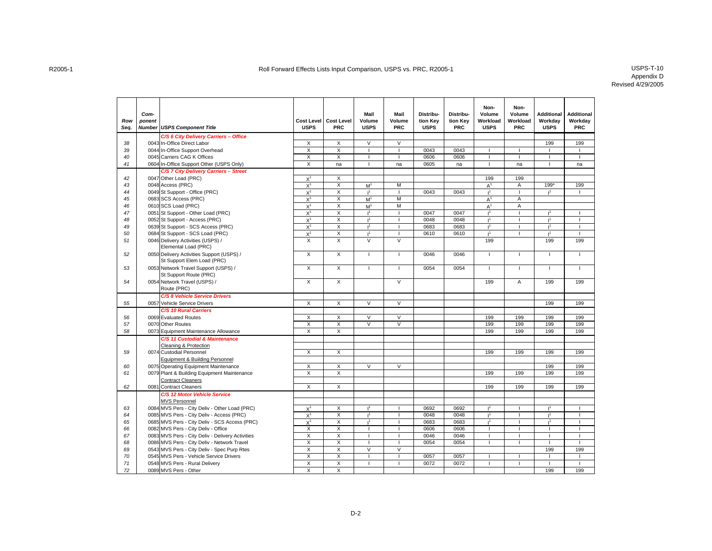| Row<br>Seq. | Com-<br>ponent | <b>Number USPS Component Title</b>                                   | <b>Cost Level</b><br><b>USPS</b> | <b>Cost Level</b><br><b>PRC</b> | Mail<br>Volume<br><b>USPS</b> | Mail<br>Volume<br><b>PRC</b> | Distribu-<br>tion Key<br><b>USPS</b> | Distribu-<br>tion Key<br><b>PRC</b> | Non-<br>Volume<br>Workload<br><b>USPS</b> | Non-<br>Volume<br>Workload<br><b>PRC</b> | <b>Additional</b><br>Workday<br><b>USPS</b> | <b>Additional</b><br>Workday<br><b>PRC</b> |
|-------------|----------------|----------------------------------------------------------------------|----------------------------------|---------------------------------|-------------------------------|------------------------------|--------------------------------------|-------------------------------------|-------------------------------------------|------------------------------------------|---------------------------------------------|--------------------------------------------|
|             |                | C/S 6 City Delivery Carriers - Office                                |                                  |                                 |                               |                              |                                      |                                     |                                           |                                          |                                             |                                            |
| 38          |                | 0043 In-Office Direct Labor                                          | X                                | $\overline{X}$                  | $\overline{\mathsf{v}}$       | $\overline{\mathsf{v}}$      |                                      |                                     |                                           |                                          | 199                                         | 199                                        |
| 39          |                | 0044 In-Office Support Overhead                                      | Χ                                | X                               |                               |                              | 0043                                 | 0043                                |                                           |                                          |                                             |                                            |
| 40          |                | 0045 Carriers CAG K Offices                                          | $\overline{X}$                   | $\overline{\mathsf{x}}$         |                               |                              | 0606                                 | 0606                                |                                           |                                          |                                             |                                            |
| 41          |                | 0604 In-Office Support Other (USPS Only)                             | Χ                                | na                              |                               | na                           | 0605                                 | na                                  |                                           | na                                       |                                             | na                                         |
|             |                | C/S 7 City Delivery Carriers - Street                                |                                  |                                 |                               |                              |                                      |                                     |                                           |                                          |                                             |                                            |
| 42          |                | 0047 Other Load (PRC)                                                | $X^1$                            | X                               |                               |                              |                                      |                                     | 199                                       | 199                                      |                                             |                                            |
| 43          |                | 0048 Access (PRC)                                                    | $X^1$                            | X                               | M <sup>1</sup>                | M                            |                                      |                                     | A <sup>1</sup>                            | Α                                        | 199*                                        | 199                                        |
| 44          |                | 0049 St Support - Office (PRC)                                       | $X^1$                            | X                               | 1 <sup>1</sup>                |                              | 0043                                 | 0043                                | 1 <sup>1</sup>                            |                                          |                                             |                                            |
| 45          |                | 0683 SCS Access (PRC)                                                | $X^1$                            | $\overline{\mathsf{x}}$         | M <sup>1</sup>                | M                            |                                      |                                     | A <sup>1</sup>                            | A                                        |                                             |                                            |
| 46          |                | 0610 SCS Load (PRC)                                                  | $X^1$                            | X                               | M <sup>1</sup>                | M                            |                                      |                                     | $A^1$                                     | Α                                        |                                             |                                            |
| 47          |                | 0051 St Support - Other Load (PRC)                                   | $X^1$                            | X                               | $\mathsf{I}^1$                |                              | 0047                                 | 0047                                |                                           |                                          |                                             |                                            |
| 48          |                | 0052 St Support - Access (PRC)                                       | $X^1$                            | X                               | $11$                          |                              | 0048                                 | 0048                                | $\mathbf{1}$                              |                                          | $\cdot$ 1                                   |                                            |
| 49          |                | 0639 St Support - SCS Access (PRC)                                   | $X^1$                            | X                               | 1 <sup>1</sup>                | $\mathbf{I}$                 | 0683                                 | 0683                                | 1 <sup>1</sup>                            | $\mathbf{I}$                             | 1 <sup>1</sup>                              | $\mathbf{I}$                               |
| 50          |                | 0684 St Support - SCS Load (PRC)                                     | $X^1$                            | X                               | $\mathbf{I}^1$                |                              | 0610                                 | 0610                                | $\mathbf{I}^1$                            |                                          | 1 <sup>1</sup>                              |                                            |
| 51          |                | 0046 Delivery Activities (USPS) /                                    | $\overline{X}$                   | $\overline{X}$                  | $\overline{\mathsf{v}}$       | $\overline{\mathsf{v}}$      |                                      |                                     | 199                                       |                                          | 199                                         | 199                                        |
|             |                | Elemental Load (PRC)                                                 |                                  |                                 |                               |                              |                                      |                                     |                                           |                                          |                                             |                                            |
| 52          |                | 0050 Delivery Activities Support (USPS) /                            | X                                | X                               | $\mathbf{I}$                  |                              | 0046                                 | 0046                                | $\mathbf{I}$                              | T                                        |                                             |                                            |
|             |                | St Support Elem Load (PRC)                                           | $\overline{\mathsf{x}}$          | $\overline{X}$                  | $\overline{1}$                | $\mathbf{I}$                 | 0054                                 |                                     | $\mathbf{I}$                              | $\mathbf{I}$                             |                                             |                                            |
| 53          |                | 0053 Network Travel Support (USPS) /                                 |                                  |                                 |                               |                              |                                      | 0054                                |                                           |                                          |                                             |                                            |
|             |                | St Support Route (PRC)                                               | X                                | $\overline{X}$                  |                               | $\overline{\mathsf{v}}$      |                                      |                                     | 199                                       | $\overline{A}$                           | 199                                         | 199                                        |
| 54          |                | 0054 Network Travel (USPS) /<br>Route (PRC)                          |                                  |                                 |                               |                              |                                      |                                     |                                           |                                          |                                             |                                            |
|             |                |                                                                      |                                  |                                 |                               |                              |                                      |                                     |                                           |                                          |                                             |                                            |
| 55          |                | <b>C/S 8 Vehicle Service Drivers</b><br>0057 Vehicle Service Drivers | $\overline{\mathsf{x}}$          | $\overline{X}$                  | $\overline{\mathsf{v}}$       | $\overline{\mathsf{v}}$      |                                      |                                     |                                           |                                          | 199                                         | 199                                        |
|             |                |                                                                      |                                  |                                 |                               |                              |                                      |                                     |                                           |                                          |                                             |                                            |
| 56          |                | C/S 10 Rural Carriers<br>0069 Evaluated Routes                       | X                                | X                               | $\vee$                        | $\vee$                       |                                      |                                     | 199                                       | 199                                      | 199                                         | 199                                        |
| 57          |                | 0070 Other Routes                                                    | Χ                                | X                               | V                             | V                            |                                      |                                     | 199                                       | 199                                      | 199                                         | 199                                        |
| 58          |                | 0073 Equipment Maintenance Allowance                                 | X                                | $\overline{\mathsf{x}}$         |                               |                              |                                      |                                     | 199                                       | 199                                      | 199                                         | 199                                        |
|             |                | C/S 11 Custodial & Maintenance                                       |                                  |                                 |                               |                              |                                      |                                     |                                           |                                          |                                             |                                            |
|             |                | Cleaning & Protection                                                |                                  |                                 |                               |                              |                                      |                                     |                                           |                                          |                                             |                                            |
| 59          |                | 0074 Custodial Personnel                                             | X                                | X                               |                               |                              |                                      |                                     | 199                                       | 199                                      | 199                                         | 199                                        |
|             |                | Equipment & Building Personnel                                       |                                  |                                 |                               |                              |                                      |                                     |                                           |                                          |                                             |                                            |
| 60          |                | 0075 Operating Equipment Maintenance                                 | X                                | X                               | V                             | $\overline{\mathsf{v}}$      |                                      |                                     |                                           |                                          | 199                                         | 199                                        |
| 61          |                | 0079 Plant & Building Equipment Maintenance                          | X                                | X                               |                               |                              |                                      |                                     | 199                                       | 199                                      | 199                                         | 199                                        |
|             |                | <b>Contract Cleaners</b>                                             |                                  |                                 |                               |                              |                                      |                                     |                                           |                                          |                                             |                                            |
| 62          |                | 0081 Contract Cleaners                                               | X                                | $\mathsf X$                     |                               |                              |                                      |                                     | 199                                       | 199                                      | 199                                         | 199                                        |
|             |                | C/S 12 Motor Vehicle Service                                         |                                  |                                 |                               |                              |                                      |                                     |                                           |                                          |                                             |                                            |
|             |                | <b>MVS Personnel</b>                                                 |                                  |                                 |                               |                              |                                      |                                     |                                           |                                          |                                             |                                            |
| 63          |                | 0084 MVS Pers - City Deliv - Other Load (PRC)                        | $X^1$                            | X                               | 1 <sup>1</sup>                | H                            | 0692                                 | 0692                                | 1 <sup>1</sup>                            | $\overline{1}$                           | 1 <sup>1</sup>                              |                                            |
| 64          |                | 0085 MVS Pers - City Deliv - Access (PRC)                            | $X^1$                            | X                               | $\mathbf{I}^1$                |                              | 0048                                 | 0048                                | $\mathbf{I}^1$                            | ı                                        | $\mathbf{I}^1$                              |                                            |
| 65          |                | 0685 MVS Pers - City Deliv - SCS Access (PRC)                        | $X^1$                            | X                               | 1 <sup>1</sup>                |                              | 0683                                 | 0683                                |                                           | ı                                        |                                             |                                            |
| 66          |                | 0082 MVS Pers - City Deliv - Office                                  | X                                | X                               |                               |                              | 0606                                 | 0606                                |                                           |                                          |                                             |                                            |
| 67          |                | 0083 MVS Pers - City Deliv - Delivery Activities                     | $\overline{\mathsf{x}}$          | X                               | $\mathbf{I}$                  |                              | 0046                                 | 0046                                | $\mathbf{I}$                              | $\overline{1}$                           |                                             | $\mathbf{I}$                               |
| 68          |                | 0086 MVS Pers - City Deliv - Network Travel                          | X                                | X                               |                               |                              | 0054                                 | 0054                                | $\mathbf{I}$                              | $\overline{\phantom{a}}$                 |                                             |                                            |
| 69          |                | 0543 MVS Pers - City Deliv - Spec Purp Rtes                          | X                                | $\overline{\mathsf{x}}$         | $\overline{\mathsf{v}}$       | $\overline{\mathsf{v}}$      |                                      |                                     |                                           |                                          | 199                                         | 199                                        |
| 70          |                | 0545 MVS Pers - Vehicle Service Drivers                              | Χ                                | X                               |                               |                              | 0057                                 | 0057                                |                                           |                                          |                                             |                                            |
| 71          |                | 0548 MVS Pers - Rural Delivery                                       | $\overline{X}$                   | $\overline{X}$                  | $\mathbf{I}$                  |                              | 0072                                 | 0072                                | $\mathbf{I}$                              | $\overline{1}$                           |                                             | $\overline{1}$                             |
| 72          |                | 0089 MVS Pers - Other                                                | X                                | X                               |                               |                              |                                      |                                     |                                           |                                          | 199                                         | 199                                        |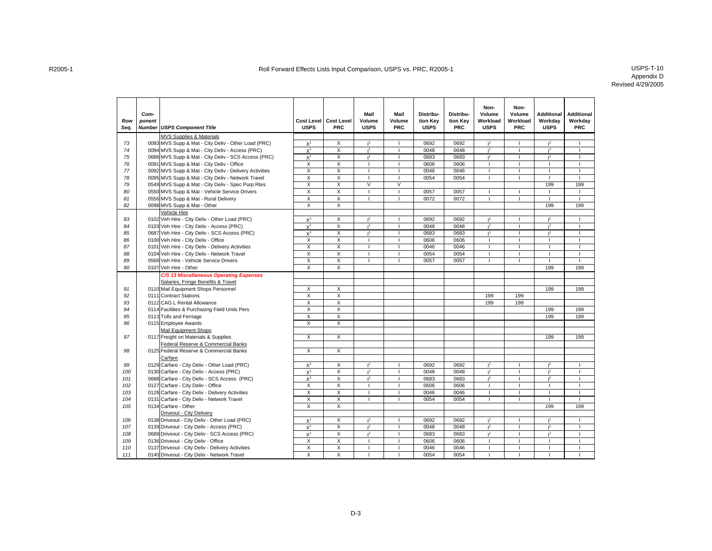| Row<br>Sea. | Com-<br>ponent | <b>Number USPS Component Title</b>                     | <b>USPS</b>             | Cost Level   Cost Level<br>PRC | Mail<br>Volume<br><b>USPS</b> | Mail<br>Volume<br>PRC | Distribu-<br>tion Kev<br><b>USPS</b> | Distribu-<br>tion Kev<br><b>PRC</b> | Non-<br>Volume<br>Workload<br><b>USPS</b> | Non-<br>Volume<br>Workload<br><b>PRC</b> | <b>Additional</b><br>Workdav<br><b>USPS</b> | <b>Additional</b><br>Workdav<br><b>PRC</b> |
|-------------|----------------|--------------------------------------------------------|-------------------------|--------------------------------|-------------------------------|-----------------------|--------------------------------------|-------------------------------------|-------------------------------------------|------------------------------------------|---------------------------------------------|--------------------------------------------|
|             |                | <b>MVS Supplies &amp; Materials</b>                    |                         |                                |                               |                       |                                      |                                     |                                           |                                          |                                             |                                            |
| 73          |                | 0093 MVS Supp & Mat - City Deliv - Other Load (PRC)    | $X^1$                   | X                              | 1 <sup>1</sup>                | п                     | 0692                                 | 0692                                | 1 <sup>1</sup>                            | $\overline{1}$                           | 1 <sup>1</sup>                              |                                            |
| 74          |                | 0094 MVS Supp & Mat - City Deliv - Access (PRC)        | $X^1$                   | X                              | ť                             |                       | 0048                                 | 0048                                | $\mathsf{I}^1$                            |                                          |                                             |                                            |
| 75          |                | 0686 MVS Supp & Mat - City Deliv - SCS Access (PRC)    | $X^1$                   | $\overline{X}$                 | 1 <sup>1</sup>                |                       | 0683                                 | 0683                                | 1 <sup>1</sup>                            |                                          | 1 <sup>1</sup>                              |                                            |
| 76          |                | 0091 MVS Supp & Mat - City Deliv - Office              | X                       | X                              |                               |                       | 0606                                 | 0606                                |                                           |                                          |                                             |                                            |
| 77          |                | 0092 MVS Supp & Mat - City Deliv - Delivery Activities | Χ                       | X                              |                               |                       | 0046                                 | 0046                                |                                           |                                          |                                             |                                            |
| 78          |                | 0095 MVS Supp & Mat - City Deliv - Network Travel      | $\overline{X}$          | $\overline{X}$                 | $\mathbf{I}$                  | $\overline{1}$        | 0054                                 | 0054                                | $\mathbf{I}$                              |                                          |                                             | $\overline{1}$                             |
| 79          |                | 0549 MVS Supp & Mat - City Deliv - Spec Purp Rtes      | X                       | $\overline{\mathsf{x}}$        | $\overline{\mathsf{v}}$       | $\overline{V}$        |                                      |                                     |                                           |                                          | 199                                         | 199                                        |
| 80          |                | 0550 MVS Supp & Mat - Vehicle Service Drivers          | Χ                       | X                              | $\mathbf{I}$                  | $\mathbf{I}$          | 0057                                 | 0057                                | $\mathbf{I}$                              | $\mathbf{I}$                             |                                             | $\mathbf{I}$                               |
| 81          |                | 0556 MVS Supp & Mat - Rural Delivery                   | X                       | X                              |                               |                       | 0072                                 | 0072                                | $\overline{\phantom{a}}$                  |                                          |                                             | $\overline{\phantom{a}}$                   |
| 82          |                | 0098 MVS Supp & Mat - Other                            | X                       | $\overline{\mathsf{x}}$        |                               |                       |                                      |                                     |                                           |                                          | 199                                         | 199                                        |
|             |                | Vehicle Hire                                           |                         |                                |                               |                       |                                      |                                     |                                           |                                          |                                             |                                            |
| 83          |                | 0102 Veh Hire - City Deliv - Other Load (PRC)          | $\mathsf{X}^1$          | X                              | 1 <sup>1</sup>                |                       | 0692                                 | 0692                                | 1 <sup>1</sup>                            |                                          | ï1                                          |                                            |
| 84          |                | 0103 Veh Hire - City Deliv - Access (PRC)              | $X^1$                   | $\overline{X}$                 | 1 <sup>1</sup>                | $\overline{1}$        | 0048                                 | 0048                                | 1 <sup>1</sup>                            | $\overline{1}$                           | 1 <sup>1</sup>                              |                                            |
| 85          |                | 0687 Veh Hire - City Deliv - SCS Access (PRC)          | $X^1$                   | X                              | 1 <sup>1</sup>                | T                     | 0683                                 | 0683                                | 1 <sup>1</sup>                            | T                                        | 1 <sup>1</sup>                              |                                            |
| 86          |                | 0100 Veh Hire - City Deliv - Office                    | X                       | X                              |                               |                       | 0606                                 | 0606                                | 1                                         |                                          |                                             |                                            |
| 87          |                | 0101 Veh Hire - City Deliv - Delivery Activities       | X                       | X                              | $\overline{1}$                |                       | 0046                                 | 0046                                | $\overline{\phantom{a}}$                  |                                          |                                             |                                            |
| 88          |                | 0104 Veh Hire - City Deliv - Network Travel            | X                       | X                              |                               |                       | 0054                                 | 0054                                |                                           |                                          |                                             |                                            |
| 89          |                | 0568 Veh Hire - Vehicle Service Drivers                | X                       | $\mathsf{x}$                   |                               |                       | 0057                                 | 0057                                |                                           |                                          |                                             |                                            |
| 90          |                | 0107 Veh Hire - Other                                  | $\overline{X}$          | X                              |                               |                       |                                      |                                     |                                           |                                          | 199                                         | 199                                        |
|             |                | C/S 13 Miscellaneous Operating Expenses                |                         |                                |                               |                       |                                      |                                     |                                           |                                          |                                             |                                            |
|             |                | Salaries, Fringe Benefits & Travel                     |                         |                                |                               |                       |                                      |                                     |                                           |                                          |                                             |                                            |
| 91          |                | 0110 Mail Equipment Shops Personnel                    | X                       | X                              |                               |                       |                                      |                                     |                                           |                                          | 199                                         | 199                                        |
| 92          |                | 0111 Contract Stations                                 | X                       | X                              |                               |                       |                                      |                                     | 199                                       | 199                                      |                                             |                                            |
| 93          |                | 0112 CAG L Rental Allowance                            | X                       | $\overline{\mathsf{x}}$        |                               |                       |                                      |                                     | 199                                       | 199                                      |                                             |                                            |
| 94          |                | 0114 Facilities & Purchasing Field Units Pers          | $\overline{\mathsf{x}}$ | X                              |                               |                       |                                      |                                     |                                           |                                          | 199                                         | 199                                        |
| 95          |                | 0113 Tolls and Ferriage                                | X                       | X                              |                               |                       |                                      |                                     |                                           |                                          | 199                                         | 199                                        |
| 96          |                | 0115 Employee Awards                                   | Χ                       | $\overline{X}$                 |                               |                       |                                      |                                     |                                           |                                          |                                             |                                            |
|             |                | <b>Mail Equipment Shops</b>                            |                         |                                |                               |                       |                                      |                                     |                                           |                                          |                                             |                                            |
| 97          |                | 0117 Freight on Materials & Supplies                   | X                       | $\overline{X}$                 |                               |                       |                                      |                                     |                                           |                                          | 199                                         | 199                                        |
|             |                | Federal Reserve & Commercial Banks                     |                         |                                |                               |                       |                                      |                                     |                                           |                                          |                                             |                                            |
| 98          |                | 0125 Federal Reserve & Commercial Banks                | X                       | X                              |                               |                       |                                      |                                     |                                           |                                          |                                             |                                            |
|             |                | Carfare                                                |                         |                                |                               |                       |                                      |                                     |                                           |                                          |                                             |                                            |
| 99          |                | 0129 Carfare - City Deliv - Other Load (PRC)           | $X^1$                   | X                              |                               |                       | 0692                                 | 0692                                |                                           |                                          |                                             |                                            |
| 100         |                | 0130 Carfare - City Deliv - Access (PRC)               | $X^1$                   | $\overline{X}$                 | 1 <sup>1</sup>                | $\overline{1}$        | 0048                                 | 0048                                | 1 <sup>1</sup>                            | $\overline{1}$                           | 1 <sup>1</sup>                              | $\overline{1}$                             |
| 101         |                | 0688 Carfare - City Deliv - SCS Access (PRC)           | $X^1$                   | X                              | 1 <sup>1</sup>                | $\blacksquare$        | 0683                                 | 0683                                | 1 <sup>1</sup>                            | I                                        | 1 <sup>1</sup>                              |                                            |
| 102         |                | 0127 Carfare - City Deliv - Office                     | Χ                       | $\overline{\mathsf{x}}$        |                               |                       | 0606                                 | 0606                                | $\overline{\phantom{a}}$                  |                                          |                                             |                                            |
| 103         |                | 0128 Carfare - City Deliv - Delivery Activities        | Χ                       | X                              |                               |                       | 0046                                 | 0046                                |                                           |                                          |                                             |                                            |
| 104         |                | 0131 Carfare - City Deliv - Network Travel             | X                       | X                              |                               |                       | 0054                                 | 0054                                |                                           |                                          |                                             |                                            |
| 105         |                | 0134 Carfare - Other                                   | X                       | $\overline{\mathsf{x}}$        |                               |                       |                                      |                                     |                                           |                                          | 199                                         | 199                                        |
|             |                | Driveout - City Delivery                               |                         |                                |                               |                       |                                      |                                     |                                           |                                          |                                             |                                            |
| 106         |                | 0138 Driveout - City Deliv - Other Load (PRC)          | $X^1$                   | X                              | 1 <sup>1</sup>                | $\overline{1}$        | 0692                                 | 0692                                | 1 <sup>1</sup>                            | $\overline{\phantom{a}}$                 | 1 <sup>1</sup>                              |                                            |
| 107         |                | 0139 Driveout - City Deliv - Access (PRC)              | $X^1$                   | X                              | 1 <sup>1</sup>                | п                     | 0048                                 | 0048                                | 1 <sup>1</sup>                            | T                                        | $\mathbf{I}^1$                              |                                            |
| 108         |                | 0689 Driveout - City Deliv - SCS Access (PRC)          | $X^1$                   | X                              | 1 <sup>1</sup>                |                       | 0683                                 | 0683                                | $\mathbf{I}^1$                            |                                          | 1 <sup>1</sup>                              |                                            |
| 109         |                | 0136 Driveout - City Deliv - Office                    | X                       | X                              |                               |                       | 0606                                 | 0606                                |                                           |                                          |                                             |                                            |
| 110         |                | 0137 Driveout - City Deliv - Delivery Activities       | X                       | Χ                              |                               |                       | 0046                                 | 0046                                |                                           |                                          |                                             |                                            |
| 111         |                | 0140 Driveout - City Deliv - Network Travel            | Χ                       | X                              |                               |                       | 0054                                 | 0054                                |                                           |                                          |                                             |                                            |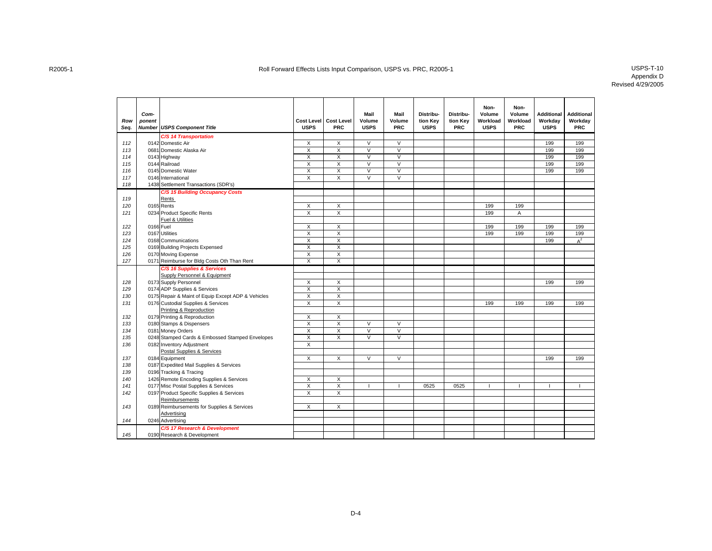| <b>C/S 14 Transportation</b><br>X<br>$\vee$<br>$\vee$<br>112<br>0142 Domestic Air<br>X<br>199<br>199<br>0681 Domestic Alaska Air<br>X<br>X<br>$\vee$<br>V<br>199<br>199<br>113<br>$\overline{\mathsf{v}}$<br>0143 Highway<br>X<br>X<br>V<br>199<br>199<br>114<br>$\overline{\mathsf{x}}$<br>$\overline{\mathsf{v}}$<br>$\overline{\mathsf{v}}$<br>199<br>199<br>115<br>0144 Railroad<br>X<br>$\overline{X}$<br>$\overline{\mathsf{v}}$<br>$\overline{\mathsf{v}}$<br>199<br>199<br>116<br>0145 Domestic Water<br>X<br>X<br>$\overline{\mathsf{v}}$<br>$\overline{V}$<br>X<br>117<br>0146 International<br>118<br>1438 Settlement Transactions (SDR's)<br>C/S 15 Building Occupancy Costs<br>119<br>Rents<br>120<br>0165 Rents<br>X<br>X<br>199<br>199<br>0234 Product Specific Rents<br>$\overline{\mathsf{x}}$<br>199<br>121<br>X<br>Α<br>Fuel & Utilities<br>0166 Fuel<br>X<br>X<br>199<br>199<br>199<br>199<br>122<br>$\overline{\mathsf{x}}$<br>$\overline{\mathsf{x}}$<br>123<br>0167 Utilities<br>199<br>199<br>199<br>199<br>$\overline{X}$<br>X<br>124<br>0168 Communications<br>199<br>$A^2$<br>$\overline{X}$<br>X<br>125<br>0169 Building Projects Expensed<br>$\overline{X}$<br>$\overline{X}$<br>126<br>0170 Moving Expense<br>$\overline{X}$<br>$\overline{\mathsf{x}}$<br>127<br>0171 Reimburse for Bldg Costs Oth Than Rent<br>C/S 16 Supplies & Services<br>Supply Personnel & Equipment<br>0173 Supply Personnel<br>X<br>X<br>199<br>199<br>128<br>$\overline{X}$<br>129<br>0174 ADP Supplies & Services<br>X<br>$\overline{X}$<br>X<br>130<br>0175 Repair & Maint of Equip Except ADP & Vehicles<br>$\overline{\mathsf{x}}$<br>X<br>131<br>0176 Custodial Supplies & Services<br>199<br>199<br>199<br>199<br>Printing & Reproduction<br>0179 Printing & Reproduction<br>X<br>X<br>132<br>$\overline{\mathsf{x}}$<br>X<br>$\overline{\mathsf{v}}$<br>$\overline{V}$<br>133<br>0180 Stamps & Dispensers<br>$\overline{\mathsf{x}}$<br>$\overline{\mathsf{V}}$<br>0181 Money Orders<br>$\overline{\mathsf{v}}$<br>134<br>X<br>$\overline{\mathsf{x}}$<br>$\overline{X}$<br>$\overline{\mathsf{v}}$<br>$\overline{V}$<br>0248 Stamped Cards & Embossed Stamped Envelopes<br>135<br>X<br>136<br>0182 Inventory Adjustment<br>Postal Supplies & Services<br>0184 Equipment<br>X<br>X<br>$\vee$<br>$\vee$<br>199<br>199<br>137<br>0187 Expedited Mail Supplies & Services<br>138<br>139<br>0196 Tracking & Tracing<br>1426 Remote Encoding Supplies & Services<br>X<br>X<br>140<br>$\overline{X}$<br>0177 Misc Postal Supplies & Services<br>X<br>0525<br>0525<br>141<br>$\overline{\mathsf{x}}$<br>$\overline{\mathsf{x}}$<br>142<br>0197 Product Specific Supplies & Services<br>Reimbursements<br>0189 Reimbursements for Supplies & Services<br>$\overline{\mathsf{x}}$<br>X<br>143<br>Advertising<br>0246 Advertising<br>144<br>C/S 17 Research & Development<br>145<br>0190 Research & Development | Row<br>Seq. | Com-<br>ponent | <b>Number USPS Component Title</b> | <b>USPS</b> | Cost Level Cost Level<br><b>PRC</b> | Mail<br>Volume<br><b>USPS</b> | Mail<br>Volume<br><b>PRC</b> | Distribu-<br>tion Key<br><b>USPS</b> | Distribu-<br>tion Kev<br><b>PRC</b> | Non-<br>Volume<br>Workload<br><b>USPS</b> | Non-<br>Volume<br>Workload<br><b>PRC</b> | <b>Additional</b><br>Workdav<br><b>USPS</b> | <b>Additional</b><br>Workdav<br><b>PRC</b> |
|----------------------------------------------------------------------------------------------------------------------------------------------------------------------------------------------------------------------------------------------------------------------------------------------------------------------------------------------------------------------------------------------------------------------------------------------------------------------------------------------------------------------------------------------------------------------------------------------------------------------------------------------------------------------------------------------------------------------------------------------------------------------------------------------------------------------------------------------------------------------------------------------------------------------------------------------------------------------------------------------------------------------------------------------------------------------------------------------------------------------------------------------------------------------------------------------------------------------------------------------------------------------------------------------------------------------------------------------------------------------------------------------------------------------------------------------------------------------------------------------------------------------------------------------------------------------------------------------------------------------------------------------------------------------------------------------------------------------------------------------------------------------------------------------------------------------------------------------------------------------------------------------------------------------------------------------------------------------------------------------------------------------------------------------------------------------------------------------------------------------------------------------------------------------------------------------------------------------------------------------------------------------------------------------------------------------------------------------------------------------------------------------------------------------------------------------------------------------------------------------------------------------------------------------------------------------------------------------------------------------------------------------------------------------------------------------------------------------------------------------------------------------------------------------------------------------------------------------------------------------------------------------------------------------|-------------|----------------|------------------------------------|-------------|-------------------------------------|-------------------------------|------------------------------|--------------------------------------|-------------------------------------|-------------------------------------------|------------------------------------------|---------------------------------------------|--------------------------------------------|
|                                                                                                                                                                                                                                                                                                                                                                                                                                                                                                                                                                                                                                                                                                                                                                                                                                                                                                                                                                                                                                                                                                                                                                                                                                                                                                                                                                                                                                                                                                                                                                                                                                                                                                                                                                                                                                                                                                                                                                                                                                                                                                                                                                                                                                                                                                                                                                                                                                                                                                                                                                                                                                                                                                                                                                                                                                                                                                                      |             |                |                                    |             |                                     |                               |                              |                                      |                                     |                                           |                                          |                                             |                                            |
|                                                                                                                                                                                                                                                                                                                                                                                                                                                                                                                                                                                                                                                                                                                                                                                                                                                                                                                                                                                                                                                                                                                                                                                                                                                                                                                                                                                                                                                                                                                                                                                                                                                                                                                                                                                                                                                                                                                                                                                                                                                                                                                                                                                                                                                                                                                                                                                                                                                                                                                                                                                                                                                                                                                                                                                                                                                                                                                      |             |                |                                    |             |                                     |                               |                              |                                      |                                     |                                           |                                          |                                             |                                            |
|                                                                                                                                                                                                                                                                                                                                                                                                                                                                                                                                                                                                                                                                                                                                                                                                                                                                                                                                                                                                                                                                                                                                                                                                                                                                                                                                                                                                                                                                                                                                                                                                                                                                                                                                                                                                                                                                                                                                                                                                                                                                                                                                                                                                                                                                                                                                                                                                                                                                                                                                                                                                                                                                                                                                                                                                                                                                                                                      |             |                |                                    |             |                                     |                               |                              |                                      |                                     |                                           |                                          |                                             |                                            |
|                                                                                                                                                                                                                                                                                                                                                                                                                                                                                                                                                                                                                                                                                                                                                                                                                                                                                                                                                                                                                                                                                                                                                                                                                                                                                                                                                                                                                                                                                                                                                                                                                                                                                                                                                                                                                                                                                                                                                                                                                                                                                                                                                                                                                                                                                                                                                                                                                                                                                                                                                                                                                                                                                                                                                                                                                                                                                                                      |             |                |                                    |             |                                     |                               |                              |                                      |                                     |                                           |                                          |                                             |                                            |
|                                                                                                                                                                                                                                                                                                                                                                                                                                                                                                                                                                                                                                                                                                                                                                                                                                                                                                                                                                                                                                                                                                                                                                                                                                                                                                                                                                                                                                                                                                                                                                                                                                                                                                                                                                                                                                                                                                                                                                                                                                                                                                                                                                                                                                                                                                                                                                                                                                                                                                                                                                                                                                                                                                                                                                                                                                                                                                                      |             |                |                                    |             |                                     |                               |                              |                                      |                                     |                                           |                                          |                                             |                                            |
|                                                                                                                                                                                                                                                                                                                                                                                                                                                                                                                                                                                                                                                                                                                                                                                                                                                                                                                                                                                                                                                                                                                                                                                                                                                                                                                                                                                                                                                                                                                                                                                                                                                                                                                                                                                                                                                                                                                                                                                                                                                                                                                                                                                                                                                                                                                                                                                                                                                                                                                                                                                                                                                                                                                                                                                                                                                                                                                      |             |                |                                    |             |                                     |                               |                              |                                      |                                     |                                           |                                          |                                             |                                            |
|                                                                                                                                                                                                                                                                                                                                                                                                                                                                                                                                                                                                                                                                                                                                                                                                                                                                                                                                                                                                                                                                                                                                                                                                                                                                                                                                                                                                                                                                                                                                                                                                                                                                                                                                                                                                                                                                                                                                                                                                                                                                                                                                                                                                                                                                                                                                                                                                                                                                                                                                                                                                                                                                                                                                                                                                                                                                                                                      |             |                |                                    |             |                                     |                               |                              |                                      |                                     |                                           |                                          |                                             |                                            |
|                                                                                                                                                                                                                                                                                                                                                                                                                                                                                                                                                                                                                                                                                                                                                                                                                                                                                                                                                                                                                                                                                                                                                                                                                                                                                                                                                                                                                                                                                                                                                                                                                                                                                                                                                                                                                                                                                                                                                                                                                                                                                                                                                                                                                                                                                                                                                                                                                                                                                                                                                                                                                                                                                                                                                                                                                                                                                                                      |             |                |                                    |             |                                     |                               |                              |                                      |                                     |                                           |                                          |                                             |                                            |
|                                                                                                                                                                                                                                                                                                                                                                                                                                                                                                                                                                                                                                                                                                                                                                                                                                                                                                                                                                                                                                                                                                                                                                                                                                                                                                                                                                                                                                                                                                                                                                                                                                                                                                                                                                                                                                                                                                                                                                                                                                                                                                                                                                                                                                                                                                                                                                                                                                                                                                                                                                                                                                                                                                                                                                                                                                                                                                                      |             |                |                                    |             |                                     |                               |                              |                                      |                                     |                                           |                                          |                                             |                                            |
|                                                                                                                                                                                                                                                                                                                                                                                                                                                                                                                                                                                                                                                                                                                                                                                                                                                                                                                                                                                                                                                                                                                                                                                                                                                                                                                                                                                                                                                                                                                                                                                                                                                                                                                                                                                                                                                                                                                                                                                                                                                                                                                                                                                                                                                                                                                                                                                                                                                                                                                                                                                                                                                                                                                                                                                                                                                                                                                      |             |                |                                    |             |                                     |                               |                              |                                      |                                     |                                           |                                          |                                             |                                            |
|                                                                                                                                                                                                                                                                                                                                                                                                                                                                                                                                                                                                                                                                                                                                                                                                                                                                                                                                                                                                                                                                                                                                                                                                                                                                                                                                                                                                                                                                                                                                                                                                                                                                                                                                                                                                                                                                                                                                                                                                                                                                                                                                                                                                                                                                                                                                                                                                                                                                                                                                                                                                                                                                                                                                                                                                                                                                                                                      |             |                |                                    |             |                                     |                               |                              |                                      |                                     |                                           |                                          |                                             |                                            |
|                                                                                                                                                                                                                                                                                                                                                                                                                                                                                                                                                                                                                                                                                                                                                                                                                                                                                                                                                                                                                                                                                                                                                                                                                                                                                                                                                                                                                                                                                                                                                                                                                                                                                                                                                                                                                                                                                                                                                                                                                                                                                                                                                                                                                                                                                                                                                                                                                                                                                                                                                                                                                                                                                                                                                                                                                                                                                                                      |             |                |                                    |             |                                     |                               |                              |                                      |                                     |                                           |                                          |                                             |                                            |
|                                                                                                                                                                                                                                                                                                                                                                                                                                                                                                                                                                                                                                                                                                                                                                                                                                                                                                                                                                                                                                                                                                                                                                                                                                                                                                                                                                                                                                                                                                                                                                                                                                                                                                                                                                                                                                                                                                                                                                                                                                                                                                                                                                                                                                                                                                                                                                                                                                                                                                                                                                                                                                                                                                                                                                                                                                                                                                                      |             |                |                                    |             |                                     |                               |                              |                                      |                                     |                                           |                                          |                                             |                                            |
|                                                                                                                                                                                                                                                                                                                                                                                                                                                                                                                                                                                                                                                                                                                                                                                                                                                                                                                                                                                                                                                                                                                                                                                                                                                                                                                                                                                                                                                                                                                                                                                                                                                                                                                                                                                                                                                                                                                                                                                                                                                                                                                                                                                                                                                                                                                                                                                                                                                                                                                                                                                                                                                                                                                                                                                                                                                                                                                      |             |                |                                    |             |                                     |                               |                              |                                      |                                     |                                           |                                          |                                             |                                            |
|                                                                                                                                                                                                                                                                                                                                                                                                                                                                                                                                                                                                                                                                                                                                                                                                                                                                                                                                                                                                                                                                                                                                                                                                                                                                                                                                                                                                                                                                                                                                                                                                                                                                                                                                                                                                                                                                                                                                                                                                                                                                                                                                                                                                                                                                                                                                                                                                                                                                                                                                                                                                                                                                                                                                                                                                                                                                                                                      |             |                |                                    |             |                                     |                               |                              |                                      |                                     |                                           |                                          |                                             |                                            |
|                                                                                                                                                                                                                                                                                                                                                                                                                                                                                                                                                                                                                                                                                                                                                                                                                                                                                                                                                                                                                                                                                                                                                                                                                                                                                                                                                                                                                                                                                                                                                                                                                                                                                                                                                                                                                                                                                                                                                                                                                                                                                                                                                                                                                                                                                                                                                                                                                                                                                                                                                                                                                                                                                                                                                                                                                                                                                                                      |             |                |                                    |             |                                     |                               |                              |                                      |                                     |                                           |                                          |                                             |                                            |
|                                                                                                                                                                                                                                                                                                                                                                                                                                                                                                                                                                                                                                                                                                                                                                                                                                                                                                                                                                                                                                                                                                                                                                                                                                                                                                                                                                                                                                                                                                                                                                                                                                                                                                                                                                                                                                                                                                                                                                                                                                                                                                                                                                                                                                                                                                                                                                                                                                                                                                                                                                                                                                                                                                                                                                                                                                                                                                                      |             |                |                                    |             |                                     |                               |                              |                                      |                                     |                                           |                                          |                                             |                                            |
|                                                                                                                                                                                                                                                                                                                                                                                                                                                                                                                                                                                                                                                                                                                                                                                                                                                                                                                                                                                                                                                                                                                                                                                                                                                                                                                                                                                                                                                                                                                                                                                                                                                                                                                                                                                                                                                                                                                                                                                                                                                                                                                                                                                                                                                                                                                                                                                                                                                                                                                                                                                                                                                                                                                                                                                                                                                                                                                      |             |                |                                    |             |                                     |                               |                              |                                      |                                     |                                           |                                          |                                             |                                            |
|                                                                                                                                                                                                                                                                                                                                                                                                                                                                                                                                                                                                                                                                                                                                                                                                                                                                                                                                                                                                                                                                                                                                                                                                                                                                                                                                                                                                                                                                                                                                                                                                                                                                                                                                                                                                                                                                                                                                                                                                                                                                                                                                                                                                                                                                                                                                                                                                                                                                                                                                                                                                                                                                                                                                                                                                                                                                                                                      |             |                |                                    |             |                                     |                               |                              |                                      |                                     |                                           |                                          |                                             |                                            |
|                                                                                                                                                                                                                                                                                                                                                                                                                                                                                                                                                                                                                                                                                                                                                                                                                                                                                                                                                                                                                                                                                                                                                                                                                                                                                                                                                                                                                                                                                                                                                                                                                                                                                                                                                                                                                                                                                                                                                                                                                                                                                                                                                                                                                                                                                                                                                                                                                                                                                                                                                                                                                                                                                                                                                                                                                                                                                                                      |             |                |                                    |             |                                     |                               |                              |                                      |                                     |                                           |                                          |                                             |                                            |
|                                                                                                                                                                                                                                                                                                                                                                                                                                                                                                                                                                                                                                                                                                                                                                                                                                                                                                                                                                                                                                                                                                                                                                                                                                                                                                                                                                                                                                                                                                                                                                                                                                                                                                                                                                                                                                                                                                                                                                                                                                                                                                                                                                                                                                                                                                                                                                                                                                                                                                                                                                                                                                                                                                                                                                                                                                                                                                                      |             |                |                                    |             |                                     |                               |                              |                                      |                                     |                                           |                                          |                                             |                                            |
|                                                                                                                                                                                                                                                                                                                                                                                                                                                                                                                                                                                                                                                                                                                                                                                                                                                                                                                                                                                                                                                                                                                                                                                                                                                                                                                                                                                                                                                                                                                                                                                                                                                                                                                                                                                                                                                                                                                                                                                                                                                                                                                                                                                                                                                                                                                                                                                                                                                                                                                                                                                                                                                                                                                                                                                                                                                                                                                      |             |                |                                    |             |                                     |                               |                              |                                      |                                     |                                           |                                          |                                             |                                            |
|                                                                                                                                                                                                                                                                                                                                                                                                                                                                                                                                                                                                                                                                                                                                                                                                                                                                                                                                                                                                                                                                                                                                                                                                                                                                                                                                                                                                                                                                                                                                                                                                                                                                                                                                                                                                                                                                                                                                                                                                                                                                                                                                                                                                                                                                                                                                                                                                                                                                                                                                                                                                                                                                                                                                                                                                                                                                                                                      |             |                |                                    |             |                                     |                               |                              |                                      |                                     |                                           |                                          |                                             |                                            |
|                                                                                                                                                                                                                                                                                                                                                                                                                                                                                                                                                                                                                                                                                                                                                                                                                                                                                                                                                                                                                                                                                                                                                                                                                                                                                                                                                                                                                                                                                                                                                                                                                                                                                                                                                                                                                                                                                                                                                                                                                                                                                                                                                                                                                                                                                                                                                                                                                                                                                                                                                                                                                                                                                                                                                                                                                                                                                                                      |             |                |                                    |             |                                     |                               |                              |                                      |                                     |                                           |                                          |                                             |                                            |
|                                                                                                                                                                                                                                                                                                                                                                                                                                                                                                                                                                                                                                                                                                                                                                                                                                                                                                                                                                                                                                                                                                                                                                                                                                                                                                                                                                                                                                                                                                                                                                                                                                                                                                                                                                                                                                                                                                                                                                                                                                                                                                                                                                                                                                                                                                                                                                                                                                                                                                                                                                                                                                                                                                                                                                                                                                                                                                                      |             |                |                                    |             |                                     |                               |                              |                                      |                                     |                                           |                                          |                                             |                                            |
|                                                                                                                                                                                                                                                                                                                                                                                                                                                                                                                                                                                                                                                                                                                                                                                                                                                                                                                                                                                                                                                                                                                                                                                                                                                                                                                                                                                                                                                                                                                                                                                                                                                                                                                                                                                                                                                                                                                                                                                                                                                                                                                                                                                                                                                                                                                                                                                                                                                                                                                                                                                                                                                                                                                                                                                                                                                                                                                      |             |                |                                    |             |                                     |                               |                              |                                      |                                     |                                           |                                          |                                             |                                            |
|                                                                                                                                                                                                                                                                                                                                                                                                                                                                                                                                                                                                                                                                                                                                                                                                                                                                                                                                                                                                                                                                                                                                                                                                                                                                                                                                                                                                                                                                                                                                                                                                                                                                                                                                                                                                                                                                                                                                                                                                                                                                                                                                                                                                                                                                                                                                                                                                                                                                                                                                                                                                                                                                                                                                                                                                                                                                                                                      |             |                |                                    |             |                                     |                               |                              |                                      |                                     |                                           |                                          |                                             |                                            |
|                                                                                                                                                                                                                                                                                                                                                                                                                                                                                                                                                                                                                                                                                                                                                                                                                                                                                                                                                                                                                                                                                                                                                                                                                                                                                                                                                                                                                                                                                                                                                                                                                                                                                                                                                                                                                                                                                                                                                                                                                                                                                                                                                                                                                                                                                                                                                                                                                                                                                                                                                                                                                                                                                                                                                                                                                                                                                                                      |             |                |                                    |             |                                     |                               |                              |                                      |                                     |                                           |                                          |                                             |                                            |
|                                                                                                                                                                                                                                                                                                                                                                                                                                                                                                                                                                                                                                                                                                                                                                                                                                                                                                                                                                                                                                                                                                                                                                                                                                                                                                                                                                                                                                                                                                                                                                                                                                                                                                                                                                                                                                                                                                                                                                                                                                                                                                                                                                                                                                                                                                                                                                                                                                                                                                                                                                                                                                                                                                                                                                                                                                                                                                                      |             |                |                                    |             |                                     |                               |                              |                                      |                                     |                                           |                                          |                                             |                                            |
|                                                                                                                                                                                                                                                                                                                                                                                                                                                                                                                                                                                                                                                                                                                                                                                                                                                                                                                                                                                                                                                                                                                                                                                                                                                                                                                                                                                                                                                                                                                                                                                                                                                                                                                                                                                                                                                                                                                                                                                                                                                                                                                                                                                                                                                                                                                                                                                                                                                                                                                                                                                                                                                                                                                                                                                                                                                                                                                      |             |                |                                    |             |                                     |                               |                              |                                      |                                     |                                           |                                          |                                             |                                            |
|                                                                                                                                                                                                                                                                                                                                                                                                                                                                                                                                                                                                                                                                                                                                                                                                                                                                                                                                                                                                                                                                                                                                                                                                                                                                                                                                                                                                                                                                                                                                                                                                                                                                                                                                                                                                                                                                                                                                                                                                                                                                                                                                                                                                                                                                                                                                                                                                                                                                                                                                                                                                                                                                                                                                                                                                                                                                                                                      |             |                |                                    |             |                                     |                               |                              |                                      |                                     |                                           |                                          |                                             |                                            |
|                                                                                                                                                                                                                                                                                                                                                                                                                                                                                                                                                                                                                                                                                                                                                                                                                                                                                                                                                                                                                                                                                                                                                                                                                                                                                                                                                                                                                                                                                                                                                                                                                                                                                                                                                                                                                                                                                                                                                                                                                                                                                                                                                                                                                                                                                                                                                                                                                                                                                                                                                                                                                                                                                                                                                                                                                                                                                                                      |             |                |                                    |             |                                     |                               |                              |                                      |                                     |                                           |                                          |                                             |                                            |
|                                                                                                                                                                                                                                                                                                                                                                                                                                                                                                                                                                                                                                                                                                                                                                                                                                                                                                                                                                                                                                                                                                                                                                                                                                                                                                                                                                                                                                                                                                                                                                                                                                                                                                                                                                                                                                                                                                                                                                                                                                                                                                                                                                                                                                                                                                                                                                                                                                                                                                                                                                                                                                                                                                                                                                                                                                                                                                                      |             |                |                                    |             |                                     |                               |                              |                                      |                                     |                                           |                                          |                                             |                                            |
|                                                                                                                                                                                                                                                                                                                                                                                                                                                                                                                                                                                                                                                                                                                                                                                                                                                                                                                                                                                                                                                                                                                                                                                                                                                                                                                                                                                                                                                                                                                                                                                                                                                                                                                                                                                                                                                                                                                                                                                                                                                                                                                                                                                                                                                                                                                                                                                                                                                                                                                                                                                                                                                                                                                                                                                                                                                                                                                      |             |                |                                    |             |                                     |                               |                              |                                      |                                     |                                           |                                          |                                             |                                            |
|                                                                                                                                                                                                                                                                                                                                                                                                                                                                                                                                                                                                                                                                                                                                                                                                                                                                                                                                                                                                                                                                                                                                                                                                                                                                                                                                                                                                                                                                                                                                                                                                                                                                                                                                                                                                                                                                                                                                                                                                                                                                                                                                                                                                                                                                                                                                                                                                                                                                                                                                                                                                                                                                                                                                                                                                                                                                                                                      |             |                |                                    |             |                                     |                               |                              |                                      |                                     |                                           |                                          |                                             |                                            |
|                                                                                                                                                                                                                                                                                                                                                                                                                                                                                                                                                                                                                                                                                                                                                                                                                                                                                                                                                                                                                                                                                                                                                                                                                                                                                                                                                                                                                                                                                                                                                                                                                                                                                                                                                                                                                                                                                                                                                                                                                                                                                                                                                                                                                                                                                                                                                                                                                                                                                                                                                                                                                                                                                                                                                                                                                                                                                                                      |             |                |                                    |             |                                     |                               |                              |                                      |                                     |                                           |                                          |                                             |                                            |
|                                                                                                                                                                                                                                                                                                                                                                                                                                                                                                                                                                                                                                                                                                                                                                                                                                                                                                                                                                                                                                                                                                                                                                                                                                                                                                                                                                                                                                                                                                                                                                                                                                                                                                                                                                                                                                                                                                                                                                                                                                                                                                                                                                                                                                                                                                                                                                                                                                                                                                                                                                                                                                                                                                                                                                                                                                                                                                                      |             |                |                                    |             |                                     |                               |                              |                                      |                                     |                                           |                                          |                                             |                                            |
|                                                                                                                                                                                                                                                                                                                                                                                                                                                                                                                                                                                                                                                                                                                                                                                                                                                                                                                                                                                                                                                                                                                                                                                                                                                                                                                                                                                                                                                                                                                                                                                                                                                                                                                                                                                                                                                                                                                                                                                                                                                                                                                                                                                                                                                                                                                                                                                                                                                                                                                                                                                                                                                                                                                                                                                                                                                                                                                      |             |                |                                    |             |                                     |                               |                              |                                      |                                     |                                           |                                          |                                             |                                            |
|                                                                                                                                                                                                                                                                                                                                                                                                                                                                                                                                                                                                                                                                                                                                                                                                                                                                                                                                                                                                                                                                                                                                                                                                                                                                                                                                                                                                                                                                                                                                                                                                                                                                                                                                                                                                                                                                                                                                                                                                                                                                                                                                                                                                                                                                                                                                                                                                                                                                                                                                                                                                                                                                                                                                                                                                                                                                                                                      |             |                |                                    |             |                                     |                               |                              |                                      |                                     |                                           |                                          |                                             |                                            |
|                                                                                                                                                                                                                                                                                                                                                                                                                                                                                                                                                                                                                                                                                                                                                                                                                                                                                                                                                                                                                                                                                                                                                                                                                                                                                                                                                                                                                                                                                                                                                                                                                                                                                                                                                                                                                                                                                                                                                                                                                                                                                                                                                                                                                                                                                                                                                                                                                                                                                                                                                                                                                                                                                                                                                                                                                                                                                                                      |             |                |                                    |             |                                     |                               |                              |                                      |                                     |                                           |                                          |                                             |                                            |
|                                                                                                                                                                                                                                                                                                                                                                                                                                                                                                                                                                                                                                                                                                                                                                                                                                                                                                                                                                                                                                                                                                                                                                                                                                                                                                                                                                                                                                                                                                                                                                                                                                                                                                                                                                                                                                                                                                                                                                                                                                                                                                                                                                                                                                                                                                                                                                                                                                                                                                                                                                                                                                                                                                                                                                                                                                                                                                                      |             |                |                                    |             |                                     |                               |                              |                                      |                                     |                                           |                                          |                                             |                                            |
|                                                                                                                                                                                                                                                                                                                                                                                                                                                                                                                                                                                                                                                                                                                                                                                                                                                                                                                                                                                                                                                                                                                                                                                                                                                                                                                                                                                                                                                                                                                                                                                                                                                                                                                                                                                                                                                                                                                                                                                                                                                                                                                                                                                                                                                                                                                                                                                                                                                                                                                                                                                                                                                                                                                                                                                                                                                                                                                      |             |                |                                    |             |                                     |                               |                              |                                      |                                     |                                           |                                          |                                             |                                            |
|                                                                                                                                                                                                                                                                                                                                                                                                                                                                                                                                                                                                                                                                                                                                                                                                                                                                                                                                                                                                                                                                                                                                                                                                                                                                                                                                                                                                                                                                                                                                                                                                                                                                                                                                                                                                                                                                                                                                                                                                                                                                                                                                                                                                                                                                                                                                                                                                                                                                                                                                                                                                                                                                                                                                                                                                                                                                                                                      |             |                |                                    |             |                                     |                               |                              |                                      |                                     |                                           |                                          |                                             |                                            |
|                                                                                                                                                                                                                                                                                                                                                                                                                                                                                                                                                                                                                                                                                                                                                                                                                                                                                                                                                                                                                                                                                                                                                                                                                                                                                                                                                                                                                                                                                                                                                                                                                                                                                                                                                                                                                                                                                                                                                                                                                                                                                                                                                                                                                                                                                                                                                                                                                                                                                                                                                                                                                                                                                                                                                                                                                                                                                                                      |             |                |                                    |             |                                     |                               |                              |                                      |                                     |                                           |                                          |                                             |                                            |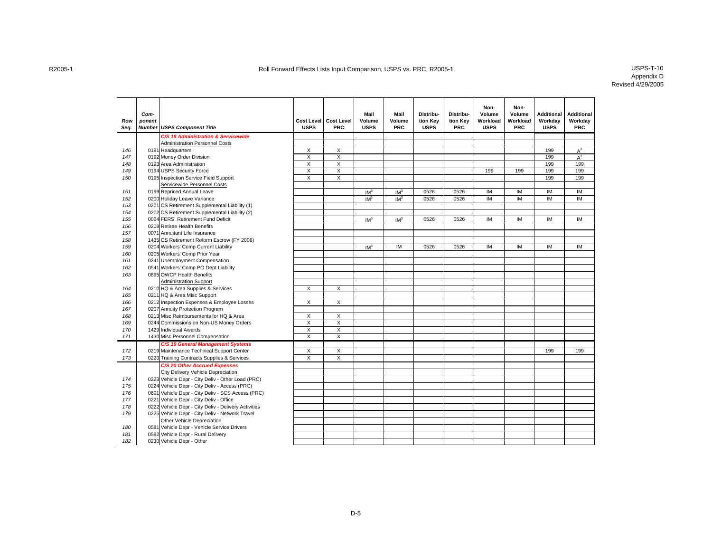| Row<br>Seq. | Com-<br>ponent | <b>Number USPS Component Title</b>                                        | <b>Cost Level</b><br><b>USPS</b> | <b>Cost Level</b><br><b>PRC</b> | Mail<br>Volume<br><b>USPS</b> | Mail<br>Volume<br><b>PRC</b> | Distribu-<br>tion Key<br><b>USPS</b> | Distribu-<br>tion Key<br><b>PRC</b> | Non-<br>Volume<br>Workload<br><b>USPS</b> | Non-<br>Volume<br>Workload<br><b>PRC</b> | <b>Additional</b><br>Workday<br><b>USPS</b> | <b>Additional</b><br>Workday<br><b>PRC</b> |
|-------------|----------------|---------------------------------------------------------------------------|----------------------------------|---------------------------------|-------------------------------|------------------------------|--------------------------------------|-------------------------------------|-------------------------------------------|------------------------------------------|---------------------------------------------|--------------------------------------------|
|             |                | C/S 18 Administration & Servicewide                                       |                                  |                                 |                               |                              |                                      |                                     |                                           |                                          |                                             |                                            |
|             |                | <b>Administration Personnel Costs</b>                                     |                                  |                                 |                               |                              |                                      |                                     |                                           |                                          |                                             |                                            |
| 146         |                | 0191 Headquarters                                                         | X                                | X                               |                               |                              |                                      |                                     |                                           |                                          | 199                                         | $A^2$                                      |
| 147         |                | 0192 Money Order Division                                                 | $\overline{\mathsf{x}}$          | $\overline{\mathsf{x}}$         |                               |                              |                                      |                                     |                                           |                                          | 199                                         | $A^2$                                      |
| 148         |                | 0193 Area Administration                                                  | $\overline{\mathsf{x}}$          | $\overline{\mathsf{x}}$         |                               |                              |                                      |                                     |                                           |                                          | 199                                         | 199                                        |
| 149         |                | 0194 USPS Security Force                                                  | $\overline{\mathsf{x}}$          | $\overline{\mathsf{x}}$         |                               |                              |                                      |                                     | 199                                       | 199                                      | 199                                         | 199                                        |
| 150         |                | 0195 Inspection Service Field Support                                     | $\overline{X}$                   | $\overline{\mathsf{x}}$         |                               |                              |                                      |                                     |                                           |                                          | 199                                         | 199                                        |
|             |                | Servicewide Personnel Costs                                               |                                  |                                 |                               |                              |                                      |                                     |                                           |                                          |                                             |                                            |
| 151         |                | 0199 Repriced Annual Leave                                                |                                  |                                 | IM <sup>3</sup>               | IM <sup>3</sup>              | 0526                                 | 0526                                | IM                                        | IM                                       | IM                                          | IM                                         |
| 152         |                | 0200 Holiday Leave Variance                                               |                                  |                                 | IM <sup>3</sup>               | IM <sup>3</sup>              | 0526                                 | 0526                                | IM                                        | <b>IM</b>                                | IM                                          | IM                                         |
| 153         |                | 0201 CS Retirement Supplemental Liability (1)                             |                                  |                                 |                               |                              |                                      |                                     |                                           |                                          |                                             |                                            |
| 154         |                | 0202 CS Retirement Supplemental Liability (2)                             |                                  |                                 |                               |                              |                                      |                                     |                                           |                                          |                                             |                                            |
| 155         |                | 0064 FERS Retirement Fund Deficit                                         |                                  |                                 | IM <sup>3</sup>               | IM <sup>3</sup>              | 0526                                 | 0526                                | IM                                        | <b>IM</b>                                | IM                                          | IM                                         |
| 156         |                | 0208 Retiree Health Benefits                                              |                                  |                                 |                               |                              |                                      |                                     |                                           |                                          |                                             |                                            |
| 157         |                | 0071 Annuitant Life Insurance                                             |                                  |                                 |                               |                              |                                      |                                     |                                           |                                          |                                             |                                            |
| 158         |                | 1435 CS Retirement Reform Escrow (FY 2006)                                |                                  |                                 |                               |                              |                                      |                                     |                                           |                                          |                                             |                                            |
| 159         |                | 0204 Workers' Comp Current Liability                                      |                                  |                                 | IM <sup>3</sup>               | IM                           | 0526                                 | 0526                                | IM                                        | IM                                       | IM                                          | IM                                         |
| 160         |                | 0205 Workers' Comp Prior Year                                             |                                  |                                 |                               |                              |                                      |                                     |                                           |                                          |                                             |                                            |
| 161         |                | 0241 Unemployment Compensation                                            |                                  |                                 |                               |                              |                                      |                                     |                                           |                                          |                                             |                                            |
| 162         |                | 0541 Workers' Comp PO Dept Liability                                      |                                  |                                 |                               |                              |                                      |                                     |                                           |                                          |                                             |                                            |
| 163         |                | 0895 OWCP Health Benefits                                                 |                                  |                                 |                               |                              |                                      |                                     |                                           |                                          |                                             |                                            |
|             |                | <b>Administration Support</b>                                             | X                                | X                               |                               |                              |                                      |                                     |                                           |                                          |                                             |                                            |
| 164         |                | 0210 HQ & Area Supplies & Services                                        |                                  |                                 |                               |                              |                                      |                                     |                                           |                                          |                                             |                                            |
| 165<br>166  |                | 0211 HQ & Area Misc Support                                               | X                                | X                               |                               |                              |                                      |                                     |                                           |                                          |                                             |                                            |
| 167         |                | 0212 Inspection Expenses & Employee Losses                                |                                  |                                 |                               |                              |                                      |                                     |                                           |                                          |                                             |                                            |
| 168         |                | 0207 Annuity Protection Program<br>0213 Misc Reimbursements for HQ & Area | X                                | X                               |                               |                              |                                      |                                     |                                           |                                          |                                             |                                            |
| 169         |                | 0244 Commissions on Non-US Money Orders                                   | $\overline{\mathsf{x}}$          | $\overline{\mathsf{x}}$         |                               |                              |                                      |                                     |                                           |                                          |                                             |                                            |
| 170         |                | 1429 Individual Awards                                                    | $\overline{X}$                   | $\overline{\mathsf{x}}$         |                               |                              |                                      |                                     |                                           |                                          |                                             |                                            |
| 171         |                | 1430 Misc Personnel Compensation                                          | $\overline{X}$                   | $\overline{\mathsf{x}}$         |                               |                              |                                      |                                     |                                           |                                          |                                             |                                            |
|             |                | C/S 19 General Management Systems                                         |                                  |                                 |                               |                              |                                      |                                     |                                           |                                          |                                             |                                            |
| 172         |                | 0219 Maintenance Technical Support Center                                 | Χ                                | X                               |                               |                              |                                      |                                     |                                           |                                          | 199                                         | 199                                        |
| 173         |                | 0220 Training Contracts Supplies & Services                               | X                                | $\overline{X}$                  |                               |                              |                                      |                                     |                                           |                                          |                                             |                                            |
|             |                | C/S 20 Other Accrued Expenses                                             |                                  |                                 |                               |                              |                                      |                                     |                                           |                                          |                                             |                                            |
|             |                | City Delivery Vehicle Depreciation                                        |                                  |                                 |                               |                              |                                      |                                     |                                           |                                          |                                             |                                            |
| 174         |                | 0223 Vehicle Depr - City Deliv - Other Load (PRC)                         |                                  |                                 |                               |                              |                                      |                                     |                                           |                                          |                                             |                                            |
| 175         |                | 0224 Vehicle Depr - City Deliv - Access (PRC)                             |                                  |                                 |                               |                              |                                      |                                     |                                           |                                          |                                             |                                            |
| 176         |                | 0691 Vehicle Depr - City Deliv - SCS Access (PRC)                         |                                  |                                 |                               |                              |                                      |                                     |                                           |                                          |                                             |                                            |
| 177         |                | 0221 Vehicle Depr - City Deliv - Office                                   |                                  |                                 |                               |                              |                                      |                                     |                                           |                                          |                                             |                                            |
| 178         |                | 0222 Vehicle Depr - City Deliv - Delivery Activities                      |                                  |                                 |                               |                              |                                      |                                     |                                           |                                          |                                             |                                            |
| 179         |                | 0225 Vehicle Depr - City Deliv - Network Travel                           |                                  |                                 |                               |                              |                                      |                                     |                                           |                                          |                                             |                                            |
|             |                | Other Vehicle Depreciation                                                |                                  |                                 |                               |                              |                                      |                                     |                                           |                                          |                                             |                                            |
| 180         |                | 0581 Vehicle Depr - Vehicle Service Drivers                               |                                  |                                 |                               |                              |                                      |                                     |                                           |                                          |                                             |                                            |
| 181         |                | 0582 Vehicle Depr - Rural Delivery                                        |                                  |                                 |                               |                              |                                      |                                     |                                           |                                          |                                             |                                            |
| 182         |                | 0230 Vehicle Depr - Other                                                 |                                  |                                 |                               |                              |                                      |                                     |                                           |                                          |                                             |                                            |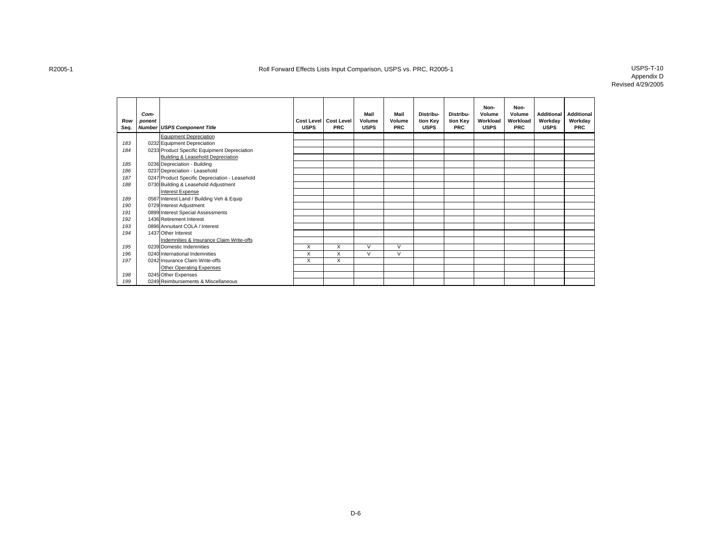| Row<br>Seq. | Com-<br>ponent | <b>Number USPS Component Title</b>             | <b>USPS</b> | Cost Level   Cost Level<br><b>PRC</b> | Mail<br>Volume<br><b>USPS</b> | Mail<br>Volume<br><b>PRC</b> | Distribu-<br>tion Key<br><b>USPS</b> | Distribu-<br>tion Key<br><b>PRC</b> | Non-<br>Volume<br>Workload<br><b>USPS</b> | Non-<br>Volume<br>Workload<br><b>PRC</b> | <b>Additional</b><br>Workday<br><b>USPS</b> | <b>Additional</b><br>Workday<br><b>PRC</b> |
|-------------|----------------|------------------------------------------------|-------------|---------------------------------------|-------------------------------|------------------------------|--------------------------------------|-------------------------------------|-------------------------------------------|------------------------------------------|---------------------------------------------|--------------------------------------------|
|             |                | <b>Equipment Depreciation</b>                  |             |                                       |                               |                              |                                      |                                     |                                           |                                          |                                             |                                            |
| 183         |                | 0232 Equipment Depreciation                    |             |                                       |                               |                              |                                      |                                     |                                           |                                          |                                             |                                            |
| 184         |                | 0233 Product Specific Equipment Depreciation   |             |                                       |                               |                              |                                      |                                     |                                           |                                          |                                             |                                            |
|             |                | Building & Leasehold Depreciation              |             |                                       |                               |                              |                                      |                                     |                                           |                                          |                                             |                                            |
| 185         |                | 0236 Depreciation - Building                   |             |                                       |                               |                              |                                      |                                     |                                           |                                          |                                             |                                            |
| 186         |                | 0237 Depreciation - Leasehold                  |             |                                       |                               |                              |                                      |                                     |                                           |                                          |                                             |                                            |
| 187         |                | 0247 Product Specific Depreciation - Leasehold |             |                                       |                               |                              |                                      |                                     |                                           |                                          |                                             |                                            |
| 188         |                | 0730 Building & Leasehold Adjustment           |             |                                       |                               |                              |                                      |                                     |                                           |                                          |                                             |                                            |
|             |                | Interest Expense                               |             |                                       |                               |                              |                                      |                                     |                                           |                                          |                                             |                                            |
| 189         |                | 0587 Interest Land / Building Veh & Equip      |             |                                       |                               |                              |                                      |                                     |                                           |                                          |                                             |                                            |
| 190         |                | 0729 Interest Adjustment                       |             |                                       |                               |                              |                                      |                                     |                                           |                                          |                                             |                                            |
| 191         |                | 0899 Interest Special Assessments              |             |                                       |                               |                              |                                      |                                     |                                           |                                          |                                             |                                            |
| 192         |                | 1436 Retirement Interest                       |             |                                       |                               |                              |                                      |                                     |                                           |                                          |                                             |                                            |
| 193         |                | 0896 Annuitant COLA / Interest                 |             |                                       |                               |                              |                                      |                                     |                                           |                                          |                                             |                                            |
| 194         |                | 1437 Other Interest                            |             |                                       |                               |                              |                                      |                                     |                                           |                                          |                                             |                                            |
|             |                | Indemnities & Insurance Claim Write-offs       |             |                                       |                               |                              |                                      |                                     |                                           |                                          |                                             |                                            |
| 195         |                | 0239 Domestic Indemnities                      | X           | X                                     | $\vee$                        | V                            |                                      |                                     |                                           |                                          |                                             |                                            |
| 196         |                | 0240 International Indemnities                 | X           | X                                     | $\vee$                        | V                            |                                      |                                     |                                           |                                          |                                             |                                            |
| 197         |                | 0242 Insurance Claim Write-offs                | X           | X                                     |                               |                              |                                      |                                     |                                           |                                          |                                             |                                            |
|             |                | <b>Other Operating Expenses</b>                |             |                                       |                               |                              |                                      |                                     |                                           |                                          |                                             |                                            |
| 198         |                | 0245 Other Expenses                            |             |                                       |                               |                              |                                      |                                     |                                           |                                          |                                             |                                            |
| 199         |                | 0249 Reimbursements & Miscellaneous            |             |                                       |                               |                              |                                      |                                     |                                           |                                          |                                             |                                            |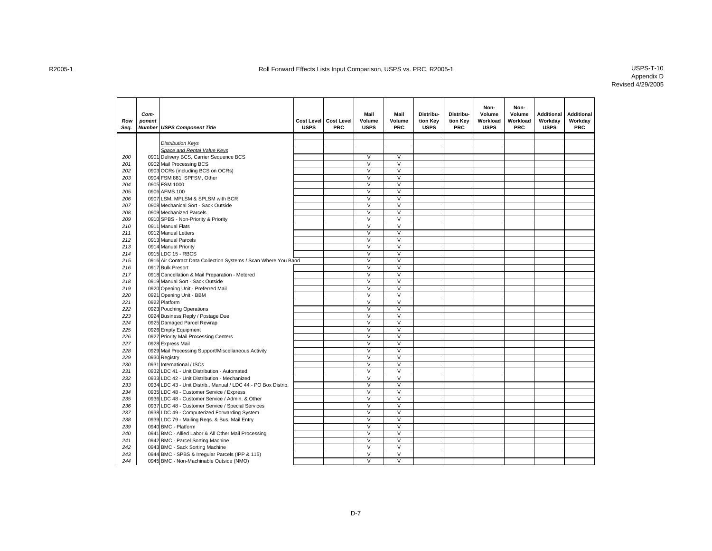| Row<br>Seq. | Com-<br>ponent | <b>Number USPS Component Title</b>                              | <b>USPS</b> | Cost Level   Cost Level<br><b>PRC</b> | Mail<br>Volume<br><b>USPS</b>     | Mail<br>Volume<br><b>PRC</b>      | Distribu-<br>tion Key<br><b>USPS</b> | Distribu-<br>tion Key<br><b>PRC</b> | Non-<br>Volume<br>Workload<br><b>USPS</b> | Non-<br>Volume<br>Workload<br><b>PRC</b> | <b>Additional</b><br>Workday<br><b>USPS</b> | <b>Additional</b><br>Workday<br><b>PRC</b> |
|-------------|----------------|-----------------------------------------------------------------|-------------|---------------------------------------|-----------------------------------|-----------------------------------|--------------------------------------|-------------------------------------|-------------------------------------------|------------------------------------------|---------------------------------------------|--------------------------------------------|
|             |                |                                                                 |             |                                       |                                   |                                   |                                      |                                     |                                           |                                          |                                             |                                            |
|             |                | <b>Distribution Keys</b>                                        |             |                                       |                                   |                                   |                                      |                                     |                                           |                                          |                                             |                                            |
|             |                | Space and Rental Value Keys                                     |             |                                       |                                   |                                   |                                      |                                     |                                           |                                          |                                             |                                            |
| 200         |                | 0901 Delivery BCS, Carrier Sequence BCS                         |             |                                       | $\vee$<br>$\overline{\mathsf{v}}$ | $\vee$<br>$\overline{\mathsf{v}}$ |                                      |                                     |                                           |                                          |                                             |                                            |
| 201<br>202  |                | 0902 Mail Processing BCS                                        |             |                                       | $\overline{\mathsf{v}}$           | $\overline{\mathsf{v}}$           |                                      |                                     |                                           |                                          |                                             |                                            |
|             |                | 0903 OCRs (including BCS on OCRs)                               |             |                                       | $\overline{\mathsf{v}}$           | $\overline{\vee}$                 |                                      |                                     |                                           |                                          |                                             |                                            |
| 203<br>204  |                | 0904 FSM 881, SPFSM, Other<br>0905 FSM 1000                     |             |                                       | $\overline{\mathsf{v}}$           | $\overline{V}$                    |                                      |                                     |                                           |                                          |                                             |                                            |
| 205         |                | 0906 AFMS 100                                                   |             |                                       | $\vee$                            | $\vee$                            |                                      |                                     |                                           |                                          |                                             |                                            |
| 206         |                | 0907 LSM, MPLSM & SPLSM with BCR                                |             |                                       | $\overline{\mathsf{v}}$           | $\overline{V}$                    |                                      |                                     |                                           |                                          |                                             |                                            |
| 207         |                | 0908 Mechanical Sort - Sack Outside                             |             |                                       | $\overline{\mathsf{v}}$           | $\vee$                            |                                      |                                     |                                           |                                          |                                             |                                            |
| 208         |                | 0909 Mechanized Parcels                                         |             |                                       | $\vee$                            | $\vee$                            |                                      |                                     |                                           |                                          |                                             |                                            |
| 209         |                | 0910 SPBS - Non-Priority & Priority                             |             |                                       | $\vee$                            | $\overline{\mathsf{v}}$           |                                      |                                     |                                           |                                          |                                             |                                            |
| 210         |                | 0911 Manual Flats                                               |             |                                       | V                                 | V                                 |                                      |                                     |                                           |                                          |                                             |                                            |
| 211         |                | 0912 Manual Letters                                             |             |                                       | $\overline{\mathsf{v}}$           | $\vee$                            |                                      |                                     |                                           |                                          |                                             |                                            |
| 212         |                | 0913 Manual Parcels                                             |             |                                       | $\overline{\mathsf{v}}$           | $\overline{\mathsf{v}}$           |                                      |                                     |                                           |                                          |                                             |                                            |
| 213         |                | 0914 Manual Priority                                            |             |                                       | $\vee$                            | $\vee$                            |                                      |                                     |                                           |                                          |                                             |                                            |
| 214         |                | 0915 LDC 15 - RBCS                                              |             |                                       | $\overline{\mathsf{v}}$           | $\overline{\mathsf{v}}$           |                                      |                                     |                                           |                                          |                                             |                                            |
| 215         |                | 0916 Air Contract Data Collection Systems / Scan Where You Band |             |                                       | $\vee$                            | $\vee$                            |                                      |                                     |                                           |                                          |                                             |                                            |
| 216         |                | 0917 Bulk Presort                                               |             |                                       | $\overline{\mathsf{v}}$           | $\overline{\mathsf{v}}$           |                                      |                                     |                                           |                                          |                                             |                                            |
| 217         |                | 0918 Cancellation & Mail Preparation - Metered                  |             |                                       | $\overline{\mathsf{v}}$           | $\overline{\mathsf{v}}$           |                                      |                                     |                                           |                                          |                                             |                                            |
| 218         |                | 0919 Manual Sort - Sack Outside                                 |             |                                       | $\overline{\mathsf{v}}$           | $\overline{\vee}$                 |                                      |                                     |                                           |                                          |                                             |                                            |
| 219         |                | 0920 Opening Unit - Preferred Mail                              |             |                                       | $\overline{\mathsf{v}}$           | $\overline{V}$                    |                                      |                                     |                                           |                                          |                                             |                                            |
| 220         |                | 0921 Opening Unit - BBM                                         |             |                                       | $\overline{\mathsf{v}}$           | $\overline{\vee}$                 |                                      |                                     |                                           |                                          |                                             |                                            |
| 221         |                | 0922 Platform                                                   |             |                                       | $\overline{\mathsf{v}}$           | $\overline{\mathsf{v}}$           |                                      |                                     |                                           |                                          |                                             |                                            |
| 222         |                | 0923 Pouching Operations                                        |             |                                       | $\vee$                            | $\vee$                            |                                      |                                     |                                           |                                          |                                             |                                            |
| 223         |                | 0924 Business Reply / Postage Due                               |             |                                       | $\vee$                            | $\vee$                            |                                      |                                     |                                           |                                          |                                             |                                            |
| 224         |                | 0925 Damaged Parcel Rewrap                                      |             |                                       | $\overline{\mathsf{v}}$           | $\overline{V}$                    |                                      |                                     |                                           |                                          |                                             |                                            |
| 225         |                | 0926 Empty Equipment                                            |             |                                       | V                                 | $\vee$                            |                                      |                                     |                                           |                                          |                                             |                                            |
| 226         |                | 0927 Priority Mail Processing Centers                           |             |                                       | V                                 | $\vee$                            |                                      |                                     |                                           |                                          |                                             |                                            |
| 227         |                | 0928 Express Mail                                               |             |                                       | $\overline{\mathsf{v}}$           | $\overline{\mathsf{v}}$           |                                      |                                     |                                           |                                          |                                             |                                            |
| 228         |                | 0929 Mail Processing Support/Miscellaneous Activity             |             |                                       | $\overline{\mathsf{v}}$           | $\overline{\mathsf{v}}$           |                                      |                                     |                                           |                                          |                                             |                                            |
| 229         |                | 0930 Registry                                                   |             |                                       | $\overline{\vee}$                 | $\overline{V}$                    |                                      |                                     |                                           |                                          |                                             |                                            |
| 230         |                | 0931 International / ISCs                                       |             |                                       | $\overline{\vee}$                 | $\overline{V}$                    |                                      |                                     |                                           |                                          |                                             |                                            |
| 231         |                | 0932 LDC 41 - Unit Distribution - Automated                     |             |                                       | V                                 | $\overline{\mathsf{v}}$           |                                      |                                     |                                           |                                          |                                             |                                            |
| 232         |                | 0933 LDC 42 - Unit Distribution - Mechanized                    |             |                                       | $\overline{\mathsf{v}}$           | $\overline{\mathsf{v}}$           |                                      |                                     |                                           |                                          |                                             |                                            |
| 233         |                | 0934 LDC 43 - Unit Distrib., Manual / LDC 44 - PO Box Distrib.  |             |                                       | $\overline{\mathsf{v}}$           | $\overline{\vee}$                 |                                      |                                     |                                           |                                          |                                             |                                            |
| 234         |                | 0935 LDC 48 - Customer Service / Express                        |             |                                       | $\overline{\mathsf{v}}$           | $\overline{\mathsf{v}}$           |                                      |                                     |                                           |                                          |                                             |                                            |
| 235         |                | 0936 LDC 48 - Customer Service / Admin. & Other                 |             |                                       | $\overline{\mathsf{v}}$           | $\overline{\vee}$                 |                                      |                                     |                                           |                                          |                                             |                                            |
| 236         |                | 0937 LDC 48 - Customer Service / Special Services               |             |                                       | $\overline{\mathsf{v}}$           | $\overline{\mathsf{v}}$           |                                      |                                     |                                           |                                          |                                             |                                            |
| 237         |                | 0938 LDC 49 - Computerized Forwarding System                    |             |                                       | $\overline{\mathsf{v}}$           | $\overline{\mathsf{v}}$           |                                      |                                     |                                           |                                          |                                             |                                            |
| 238         |                | 0939 LDC 79 - Mailing Reqs. & Bus. Mail Entry                   |             |                                       | $\vee$                            | $\vee$                            |                                      |                                     |                                           |                                          |                                             |                                            |
| 239         |                | 0940 BMC - Platform                                             |             |                                       | $\overline{\mathsf{v}}$           | $\overline{V}$                    |                                      |                                     |                                           |                                          |                                             |                                            |
| 240         |                | 0941 BMC - Allied Labor & All Other Mail Processing             |             |                                       | $\vee$                            | $\vee$                            |                                      |                                     |                                           |                                          |                                             |                                            |
| 241         |                | 0942 BMC - Parcel Sorting Machine                               |             |                                       | $\vee$                            | $\vee$                            |                                      |                                     |                                           |                                          |                                             |                                            |
| 242         |                | 0943 BMC - Sack Sorting Machine                                 |             |                                       | $\vee$                            | $\vee$                            |                                      |                                     |                                           |                                          |                                             |                                            |
| 243         |                | 0944 BMC - SPBS & Irregular Parcels (IPP & 115)                 |             |                                       | $\overline{\mathsf{v}}$           | V                                 |                                      |                                     |                                           |                                          |                                             |                                            |
| 244         |                | 0945 BMC - Non-Machinable Outside (NMO)                         |             |                                       | $\overline{\mathsf{v}}$           | $\overline{\vee}$                 |                                      |                                     |                                           |                                          |                                             |                                            |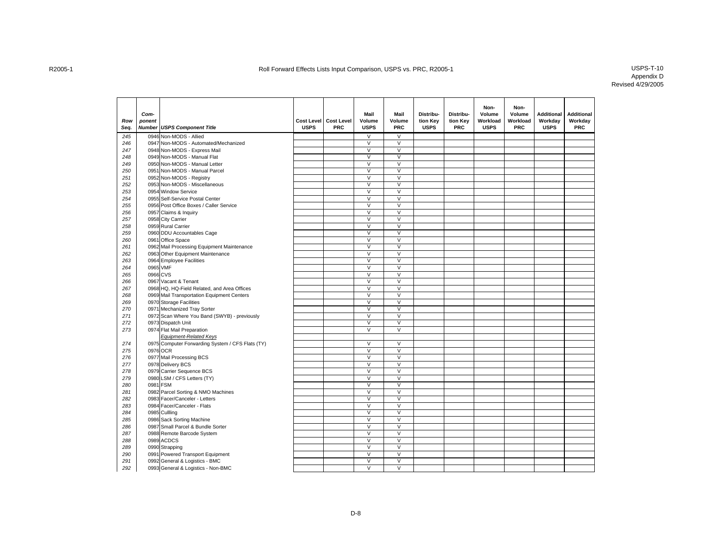| Row<br>Seq. | Com-<br>ponent | <b>Number USPS Component Title</b>               | <b>Cost Level</b><br><b>USPS</b> | <b>Cost Level</b><br><b>PRC</b> | Mail<br>Volume<br><b>USPS</b> | Mail<br>Volume<br><b>PRC</b> | Distribu-<br>tion Key<br><b>USPS</b> | Distribu-<br>tion Key<br><b>PRC</b> | Non-<br>Volume<br>Workload<br><b>USPS</b> | Non-<br>Volume<br>Workload<br><b>PRC</b> | <b>Additional</b><br>Workday<br><b>USPS</b> | <b>Additional</b><br>Workday<br><b>PRC</b> |
|-------------|----------------|--------------------------------------------------|----------------------------------|---------------------------------|-------------------------------|------------------------------|--------------------------------------|-------------------------------------|-------------------------------------------|------------------------------------------|---------------------------------------------|--------------------------------------------|
| 245         |                | 0946 Non-MODS - Allied                           |                                  |                                 | $\vee$                        | $\vee$                       |                                      |                                     |                                           |                                          |                                             |                                            |
| 246         |                | 0947 Non-MODS - Automated/Mechanized             |                                  |                                 | $\overline{\mathsf{v}}$       | $\overline{\mathsf{v}}$      |                                      |                                     |                                           |                                          |                                             |                                            |
| 247         |                | 0948 Non-MODS - Express Mail                     |                                  |                                 | $\overline{\mathsf{v}}$       | $\overline{\mathsf{v}}$      |                                      |                                     |                                           |                                          |                                             |                                            |
| 248         |                | 0949 Non-MODS - Manual Flat                      |                                  |                                 | V                             | $\overline{\mathsf{v}}$      |                                      |                                     |                                           |                                          |                                             |                                            |
| 249         |                | 0950 Non-MODS - Manual Letter                    |                                  |                                 | $\overline{\mathsf{v}}$       | $\overline{\mathsf{v}}$      |                                      |                                     |                                           |                                          |                                             |                                            |
| 250         |                | 0951 Non-MODS - Manual Parcel                    |                                  |                                 | V                             | $\overline{\mathsf{v}}$      |                                      |                                     |                                           |                                          |                                             |                                            |
| 251         |                | 0952 Non-MODS - Registry                         |                                  |                                 | V                             | $\overline{\mathsf{v}}$      |                                      |                                     |                                           |                                          |                                             |                                            |
| 252         |                | 0953 Non-MODS - Miscellaneous                    |                                  |                                 | V                             | $\overline{\mathsf{v}}$      |                                      |                                     |                                           |                                          |                                             |                                            |
| 253         |                | 0954 Window Service                              |                                  |                                 | $\overline{\mathsf{v}}$       | $\overline{\mathsf{v}}$      |                                      |                                     |                                           |                                          |                                             |                                            |
| 254         |                | 0955 Self-Service Postal Center                  |                                  |                                 | V                             | $\overline{\vee}$            |                                      |                                     |                                           |                                          |                                             |                                            |
| 255         |                | 0956 Post Office Boxes / Caller Service          |                                  |                                 | V                             | $\overline{\mathsf{v}}$      |                                      |                                     |                                           |                                          |                                             |                                            |
| 256         |                | 0957 Claims & Inquiry                            |                                  |                                 | V                             | $\overline{\mathsf{v}}$      |                                      |                                     |                                           |                                          |                                             |                                            |
| 257         |                | 0958 City Carrier                                |                                  |                                 | $\vee$                        | $\overline{\mathsf{v}}$      |                                      |                                     |                                           |                                          |                                             |                                            |
| 258         |                | 0959 Rural Carrier                               |                                  |                                 | $\overline{\mathsf{v}}$       | $\overline{\mathsf{v}}$      |                                      |                                     |                                           |                                          |                                             |                                            |
| 259         |                | 0960 DDU Accountables Cage                       |                                  |                                 | V                             | $\vee$                       |                                      |                                     |                                           |                                          |                                             |                                            |
| 260         |                | 0961 Office Space                                |                                  |                                 | V                             | $\overline{\mathsf{v}}$      |                                      |                                     |                                           |                                          |                                             |                                            |
| 261         |                | 0962 Mail Processing Equipment Maintenance       |                                  |                                 | $\vee$                        | $\vee$                       |                                      |                                     |                                           |                                          |                                             |                                            |
| 262         |                | 0963 Other Equipment Maintenance                 |                                  |                                 | $\overline{\mathsf{v}}$       | $\overline{\vee}$            |                                      |                                     |                                           |                                          |                                             |                                            |
| 263         |                | 0964 Employee Facilities                         |                                  |                                 | V                             | $\vee$                       |                                      |                                     |                                           |                                          |                                             |                                            |
| 264         |                | 0965 VMF                                         |                                  |                                 | $\overline{\mathsf{v}}$       | V                            |                                      |                                     |                                           |                                          |                                             |                                            |
| 265         | 0966 CVS       |                                                  |                                  |                                 | $\vee$                        | $\vee$                       |                                      |                                     |                                           |                                          |                                             |                                            |
| 266         |                | 0967 Vacant & Tenant                             |                                  |                                 | $\overline{\mathsf{v}}$       | $\overline{V}$               |                                      |                                     |                                           |                                          |                                             |                                            |
| 267         |                | 0968 HQ, HQ-Field Related, and Area Offices      |                                  |                                 | $\vee$                        | V                            |                                      |                                     |                                           |                                          |                                             |                                            |
| 268         |                | 0969 Mail Transportation Equipment Centers       |                                  |                                 | V                             | V                            |                                      |                                     |                                           |                                          |                                             |                                            |
| 269         |                | 0970 Storage Facilities                          |                                  |                                 | V                             | $\overline{\vee}$            |                                      |                                     |                                           |                                          |                                             |                                            |
| 270         |                | 0971 Mechanized Tray Sorter                      |                                  |                                 | $\overline{\mathsf{v}}$       | $\overline{V}$               |                                      |                                     |                                           |                                          |                                             |                                            |
| 271         |                | 0972 Scan Where You Band (SWYB) - previously     |                                  |                                 | V                             | V                            |                                      |                                     |                                           |                                          |                                             |                                            |
| 272         |                | 0973 Dispatch Unit                               |                                  |                                 | $\overline{\mathsf{v}}$       | $\overline{\mathsf{v}}$      |                                      |                                     |                                           |                                          |                                             |                                            |
| 273         |                | 0974 Flat Mail Preparation                       |                                  |                                 | $\vee$                        | $\overline{\vee}$            |                                      |                                     |                                           |                                          |                                             |                                            |
|             |                | <b>Equipment-Related Keys</b>                    |                                  |                                 |                               |                              |                                      |                                     |                                           |                                          |                                             |                                            |
| 274         |                | 0975 Computer Forwarding System / CFS Flats (TY) |                                  |                                 | $\vee$                        | V                            |                                      |                                     |                                           |                                          |                                             |                                            |
| 275         |                | 0976 OCR                                         |                                  |                                 | $\overline{\mathsf{v}}$       | $\overline{\mathsf{V}}$      |                                      |                                     |                                           |                                          |                                             |                                            |
| 276         |                | 0977 Mail Processing BCS                         |                                  |                                 | $\vee$                        | $\vee$                       |                                      |                                     |                                           |                                          |                                             |                                            |
| 277         |                | 0978 Delivery BCS                                |                                  |                                 | $\vee$                        | $\overline{V}$               |                                      |                                     |                                           |                                          |                                             |                                            |
| 278         |                | 0979 Carrier Sequence BCS                        |                                  |                                 | V                             | V                            |                                      |                                     |                                           |                                          |                                             |                                            |
| 279         |                | 0980 LSM / CFS Letters (TY)                      |                                  |                                 | $\overline{\mathsf{v}}$       | V                            |                                      |                                     |                                           |                                          |                                             |                                            |
| 280         |                | 0981 FSM                                         |                                  |                                 | $\vee$                        | V                            |                                      |                                     |                                           |                                          |                                             |                                            |
| 281         |                | 0982 Parcel Sorting & NMO Machines               |                                  |                                 | $\overline{\mathsf{v}}$       | $\overline{\mathsf{v}}$      |                                      |                                     |                                           |                                          |                                             |                                            |
| 282         |                | 0983 Facer/Canceler - Letters                    |                                  |                                 | $\vee$                        | V                            |                                      |                                     |                                           |                                          |                                             |                                            |
| 283         |                | 0984 Facer/Canceler - Flats                      |                                  |                                 | $\overline{\mathsf{v}}$       | $\overline{\mathsf{v}}$      |                                      |                                     |                                           |                                          |                                             |                                            |
| 284         |                | 0985 Cullling                                    |                                  |                                 | $\overline{\mathsf{v}}$       | $\overline{\vee}$            |                                      |                                     |                                           |                                          |                                             |                                            |
| 285         |                | 0986 Sack Sorting Machine                        |                                  |                                 | $\vee$                        | $\overline{\mathsf{v}}$      |                                      |                                     |                                           |                                          |                                             |                                            |
| 286         |                | 0987 Small Parcel & Bundle Sorter                |                                  |                                 | $\overline{\mathsf{v}}$       | $\overline{\mathsf{v}}$      |                                      |                                     |                                           |                                          |                                             |                                            |
| 287         |                | 0988 Remote Barcode System                       |                                  |                                 | V                             | $\overline{\mathsf{v}}$      |                                      |                                     |                                           |                                          |                                             |                                            |
| 288         |                | 0989 ACDCS                                       |                                  |                                 | $\overline{\mathsf{v}}$       | $\overline{\vee}$            |                                      |                                     |                                           |                                          |                                             |                                            |
| 289         |                | 0990 Strapping                                   |                                  |                                 | $\vee$                        | $\overline{V}$               |                                      |                                     |                                           |                                          |                                             |                                            |
| 290         |                | 0991 Powered Transport Equipment                 |                                  |                                 | V                             | $\overline{\mathsf{v}}$      |                                      |                                     |                                           |                                          |                                             |                                            |
| 291         |                | 0992 General & Logistics - BMC                   |                                  |                                 | V                             | $\overline{\mathsf{v}}$      |                                      |                                     |                                           |                                          |                                             |                                            |
| 292         |                | 0993 General & Logistics - Non-BMC               |                                  |                                 | $\overline{\mathsf{v}}$       | $\overline{\mathsf{v}}$      |                                      |                                     |                                           |                                          |                                             |                                            |
|             |                |                                                  |                                  |                                 |                               |                              |                                      |                                     |                                           |                                          |                                             |                                            |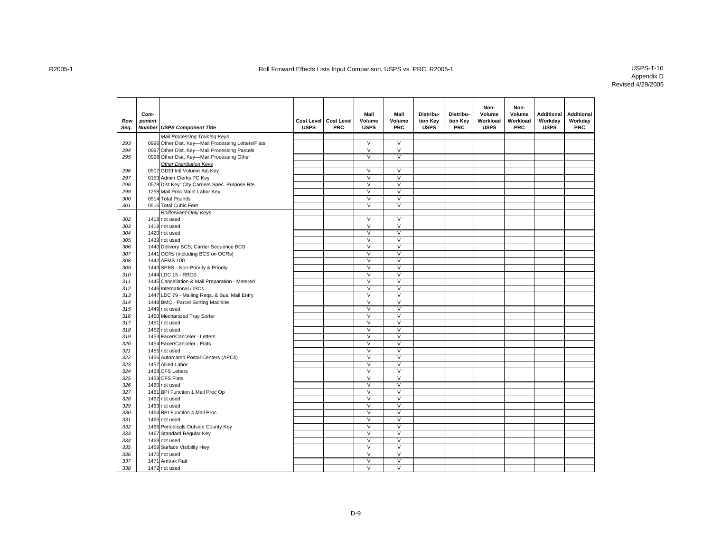| Row<br>Seq. | Com-<br>ponent | <b>Number USPS Component Title</b>                 | <b>USPS</b> | Cost Level Cost Level<br>PRC | Mail<br>Volume<br><b>USPS</b> | Mail<br>Volume<br>PRC   | Distribu-<br>tion Key<br><b>USPS</b> | Distribu-<br>tion Key<br><b>PRC</b> | Non-<br>Volume<br>Workload<br><b>USPS</b> | Non-<br>Volume<br>Workload<br><b>PRC</b> | <b>Additional</b><br>Workday<br><b>USPS</b> | <b>Additional</b><br>Workday<br>PRC |
|-------------|----------------|----------------------------------------------------|-------------|------------------------------|-------------------------------|-------------------------|--------------------------------------|-------------------------------------|-------------------------------------------|------------------------------------------|---------------------------------------------|-------------------------------------|
|             |                | Mail Processing Training Keys                      |             |                              |                               |                         |                                      |                                     |                                           |                                          |                                             |                                     |
| 293         |                | 0996 Other Dist. Key-Mail Processing Letters/Flats |             |                              | $\vee$                        | $\vee$                  |                                      |                                     |                                           |                                          |                                             |                                     |
| 294         |                | 0997 Other Dist. Key-Mail Processing Parcels       |             |                              | $\overline{\vee}$             | $\overline{\mathsf{v}}$ |                                      |                                     |                                           |                                          |                                             |                                     |
| 295         |                | 0998 Other Dist. Key-Mail Processing Other         |             |                              | $\vee$                        | $\vee$                  |                                      |                                     |                                           |                                          |                                             |                                     |
|             |                | <b>Other Distribution Keys</b>                     |             |                              |                               |                         |                                      |                                     |                                           |                                          |                                             |                                     |
| 296         |                | 0507 GDEI Intl Volume Adj Key                      |             |                              | $\vee$                        | $\vee$                  |                                      |                                     |                                           |                                          |                                             |                                     |
| 297         |                | 0153 Admin Clerks PC Key                           |             |                              | $\overline{\vee}$             | $\overline{\mathsf{v}}$ |                                      |                                     |                                           |                                          |                                             |                                     |
| 298         |                | 0578 Dist Key: City Carriers Spec. Purpose Rte     |             |                              | $\overline{\mathsf{v}}$       | $\overline{\mathsf{v}}$ |                                      |                                     |                                           |                                          |                                             |                                     |
| 299         |                | 1258 Mail Proc Maint Labor Key                     |             |                              | $\overline{\mathsf{v}}$       | $\overline{\vee}$       |                                      |                                     |                                           |                                          |                                             |                                     |
| 300         |                | 0514 Total Pounds                                  |             |                              | $\vee$                        | $\overline{V}$          |                                      |                                     |                                           |                                          |                                             |                                     |
| 301         |                | 0516 Total Cubic Feet                              |             |                              | $\overline{\mathsf{v}}$       | $\overline{V}$          |                                      |                                     |                                           |                                          |                                             |                                     |
|             |                | Rollforward-Only Keys                              |             |                              |                               |                         |                                      |                                     |                                           |                                          |                                             |                                     |
| 302         |                | 1418 not used                                      |             |                              | $\vee$                        | $\vee$                  |                                      |                                     |                                           |                                          |                                             |                                     |
| 303         |                | 1419 not used                                      |             |                              | $\overline{\vee}$             | $\overline{\mathsf{v}}$ |                                      |                                     |                                           |                                          |                                             |                                     |
| 304         |                | 1420 not used                                      |             |                              | $\vee$                        | $\vee$                  |                                      |                                     |                                           |                                          |                                             |                                     |
| 305         |                | 1439 not used                                      |             |                              | $\overline{\mathsf{v}}$       | $\overline{\mathsf{v}}$ |                                      |                                     |                                           |                                          |                                             |                                     |
| 306         |                | 1440 Delivery BCS, Carrier Sequence BCS            |             |                              | $\vee$                        | $\vee$                  |                                      |                                     |                                           |                                          |                                             |                                     |
| 307         |                | 1441 OCRs (including BCS on OCRs)                  |             |                              | $\overline{\vee}$             | $\overline{V}$          |                                      |                                     |                                           |                                          |                                             |                                     |
| 308         |                | 1442 AFMS 100                                      |             |                              | $\vee$                        | $\vee$                  |                                      |                                     |                                           |                                          |                                             |                                     |
| 309         |                | 1443 SPBS - Non-Priority & Priority                |             |                              | $\vee$                        | $\overline{\mathsf{v}}$ |                                      |                                     |                                           |                                          |                                             |                                     |
| 310         |                | 1444 LDC 15 - RBCS                                 |             |                              | $\vee$                        | $\vee$                  |                                      |                                     |                                           |                                          |                                             |                                     |
| 311         |                | 1445 Cancellation & Mail Preparation - Metered     |             |                              | $\overline{\vee}$             | $\overline{V}$          |                                      |                                     |                                           |                                          |                                             |                                     |
| 312         |                | 1446 International / ISCs                          |             |                              | $\vee$                        | $\vee$                  |                                      |                                     |                                           |                                          |                                             |                                     |
| 313         |                | 1447 LDC 79 - Mailing Reqs. & Bus. Mail Entry      |             |                              | $\overline{\mathsf{v}}$       | $\overline{V}$          |                                      |                                     |                                           |                                          |                                             |                                     |
| 314         |                | 1448 BMC - Parcel Sorting Machine                  |             |                              | $\vee$                        | $\overline{\mathsf{v}}$ |                                      |                                     |                                           |                                          |                                             |                                     |
| 315         |                | 1449 not used                                      |             |                              | $\overline{\vee}$             | $\overline{V}$          |                                      |                                     |                                           |                                          |                                             |                                     |
| 316         |                | 1450 Mechanized Tray Sorter                        |             |                              | $\vee$                        | $\overline{V}$          |                                      |                                     |                                           |                                          |                                             |                                     |
| 317         |                | 1451 not used                                      |             |                              | $\vee$                        | $\overline{\mathsf{v}}$ |                                      |                                     |                                           |                                          |                                             |                                     |
| 318         |                | 1452 not used                                      |             |                              | $\overline{\mathsf{v}}$       | $\overline{V}$          |                                      |                                     |                                           |                                          |                                             |                                     |
| 319         |                | 1453 Facer/Canceler - Letters                      |             |                              | $\overline{V}$                | $\overline{V}$          |                                      |                                     |                                           |                                          |                                             |                                     |
| 320         |                | 1454 Facer/Canceler - Flats                        |             |                              | $\vee$                        | V                       |                                      |                                     |                                           |                                          |                                             |                                     |
| 321         |                | 1455 not used                                      |             |                              | $\overline{\mathsf{v}}$       | $\overline{\mathsf{v}}$ |                                      |                                     |                                           |                                          |                                             |                                     |
| 322         |                | 1456 Automated Postal Centers (APCs)               |             |                              | $\vee$                        | $\vee$                  |                                      |                                     |                                           |                                          |                                             |                                     |
| 323         |                | 1457 Allied Labor                                  |             |                              | $\vee$                        | $\overline{V}$          |                                      |                                     |                                           |                                          |                                             |                                     |
| 324         |                | 1458 CFS Letters                                   |             |                              | $\vee$                        | $\overline{\mathsf{v}}$ |                                      |                                     |                                           |                                          |                                             |                                     |
| 325         |                | 1459 CFS Flats                                     |             |                              | $\vee$                        | $\vee$                  |                                      |                                     |                                           |                                          |                                             |                                     |
| 326         |                | 1460 not used                                      |             |                              | $\overline{\mathsf{v}}$       | $\overline{\mathsf{v}}$ |                                      |                                     |                                           |                                          |                                             |                                     |
| 327         |                | 1461 BPI Function 1 Mail Proc Op                   |             |                              | $\vee$                        | $\vee$                  |                                      |                                     |                                           |                                          |                                             |                                     |
| 328         |                | 1462 not used                                      |             |                              | $\overline{\mathsf{v}}$       | $\overline{\mathsf{v}}$ |                                      |                                     |                                           |                                          |                                             |                                     |
| 329         |                | 1463 not used                                      |             |                              | $\vee$                        | $\mathsf{V}$            |                                      |                                     |                                           |                                          |                                             |                                     |
| 330         |                | 1464 BPI Function 4 Mail Proc                      |             |                              | $\overline{\mathsf{v}}$       | $\overline{\mathsf{v}}$ |                                      |                                     |                                           |                                          |                                             |                                     |
| 331         |                | 1465 not used                                      |             |                              | $\vee$                        | $\mathsf{V}$            |                                      |                                     |                                           |                                          |                                             |                                     |
| 332         |                | 1466 Periodicals Outside County Key                |             |                              | $\overline{\mathsf{v}}$       | $\overline{V}$          |                                      |                                     |                                           |                                          |                                             |                                     |
| 333         |                | 1467 Standard Regular Key                          |             |                              | $\vee$                        | $\vee$                  |                                      |                                     |                                           |                                          |                                             |                                     |
| 334         |                | 1468 not used                                      |             |                              | $\overline{\mathsf{V}}$       | $\overline{V}$          |                                      |                                     |                                           |                                          |                                             |                                     |
| 335         |                | 1469 Surface Visibility Hwy                        |             |                              | $\vee$                        | $\vee$                  |                                      |                                     |                                           |                                          |                                             |                                     |
| 336         |                | 1470 not used                                      |             |                              | $\overline{\mathsf{v}}$       | $\overline{\vee}$       |                                      |                                     |                                           |                                          |                                             |                                     |
| 337         |                | 1471 Amtrak Rail                                   |             |                              | $\overline{\mathsf{v}}$       | V                       |                                      |                                     |                                           |                                          |                                             |                                     |
| 338         |                | 1472 not used                                      |             |                              | V                             | $\overline{\vee}$       |                                      |                                     |                                           |                                          |                                             |                                     |
|             |                |                                                    |             |                              |                               |                         |                                      |                                     |                                           |                                          |                                             |                                     |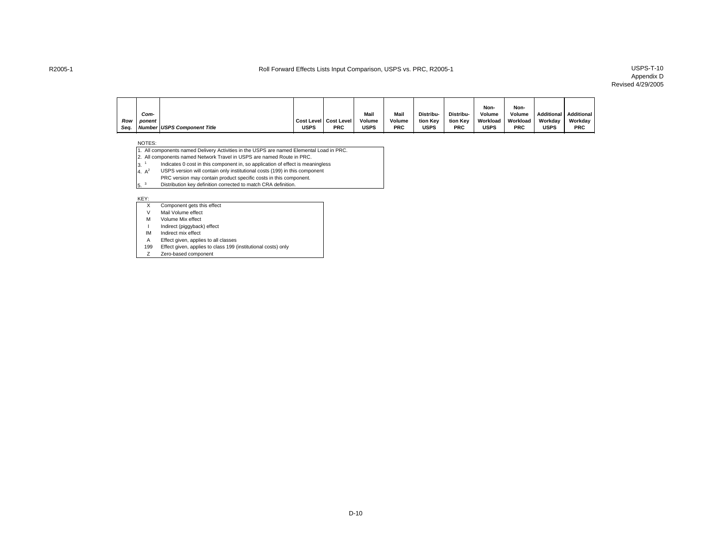### Appendix D Revised 4/29/2005

|      |        |                             |      |                         |             |            |                  |            | Non-        | Non-       |           |            |
|------|--------|-----------------------------|------|-------------------------|-------------|------------|------------------|------------|-------------|------------|-----------|------------|
|      |        |                             |      |                         |             |            |                  |            |             |            |           |            |
|      | Com-   |                             |      |                         | Mail        | Mail       | <b>Distribu-</b> | Distribu-  | Volume      | Volume     | Additiona | Additional |
| Row  | ponent |                             |      | Cost Level   Cost Level | Volume      | Volume     | tion Key         | tion Kev   | Workload    | Workload   | Workdav   | Workday    |
| Seq. |        | Number USPS Component Title | USPS | <b>PRC</b>              | <b>USPS</b> | <b>PRC</b> | USPS             | <b>PRC</b> | <b>USPS</b> | <b>PRC</b> | USPS      | <b>PRC</b> |

#### NOTES:

- 1. All components named Delivery Activities in the USPS are named Elemental Load in PRC.
- 2. All components named Network Travel in USPS are named Route in PRC.
- 3.<sup>1</sup> Indicates 0 cost in this component in, so application of effect is meaningless
- $4. A<sup>2</sup>$  USPS version will contain only institutional costs (199) in this component
- PRC version may contain product specific costs in this component.
- <sup>3</sup> Distribution key definition corrected to match CRA definition.

#### KEY:

- X Component gets this effect
- V Mail Volume effect
- M Volume Mix effect
- I Indirect (piggyback) effect
- IM Indirect mix effect
- A Effect given, applies to all classes
- 199 Effect given, applies to class 199 (institutional costs) only
- Zero-based component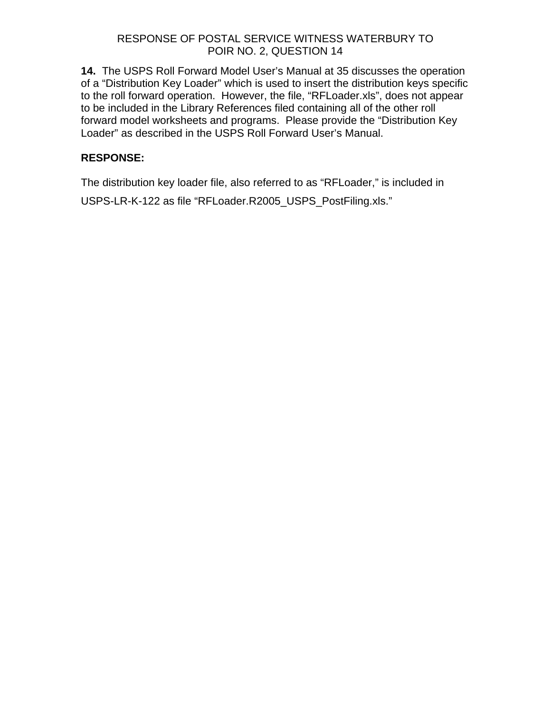# RESPONSE OF POSTAL SERVICE WITNESS WATERBURY TO POIR NO. 2, QUESTION 14

**14.** The USPS Roll Forward Model User's Manual at 35 discusses the operation of a "Distribution Key Loader" which is used to insert the distribution keys specific to the roll forward operation. However, the file, "RFLoader.xls", does not appear to be included in the Library References filed containing all of the other roll forward model worksheets and programs. Please provide the "Distribution Key Loader" as described in the USPS Roll Forward User's Manual.

# **RESPONSE:**

The distribution key loader file, also referred to as "RFLoader," is included in USPS-LR-K-122 as file "RFLoader.R2005\_USPS\_PostFiling.xls."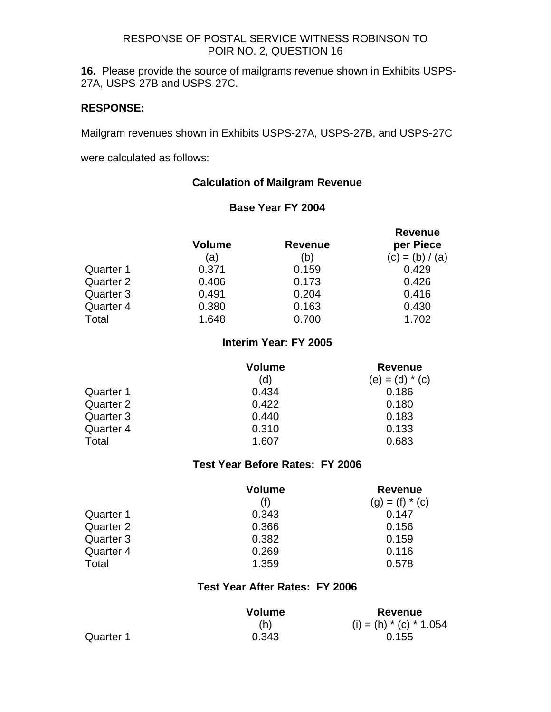# RESPONSE OF POSTAL SERVICE WITNESS ROBINSON TO POIR NO. 2, QUESTION 16

**16.** Please provide the source of mailgrams revenue shown in Exhibits USPS-27A, USPS-27B and USPS-27C.

# **RESPONSE:**

Mailgram revenues shown in Exhibits USPS-27A, USPS-27B, and USPS-27C

were calculated as follows:

# **Calculation of Mailgram Revenue**

# **Base Year FY 2004**

|                  | Volume | <b>Revenue</b> | <b>Revenue</b><br>per Piece |
|------------------|--------|----------------|-----------------------------|
|                  | (a)    | (b)            | $(c) = (b) / (a)$           |
| Quarter 1        | 0.371  | 0.159          | 0.429                       |
| Quarter 2        | 0.406  | 0.173          | 0.426                       |
| Quarter 3        | 0.491  | 0.204          | 0.416                       |
| <b>Quarter 4</b> | 0.380  | 0.163          | 0.430                       |
| Total            | 1.648  | 0.700          | 1.702                       |

# **Interim Year: FY 2005**

|           | Volume | <b>Revenue</b>    |
|-----------|--------|-------------------|
|           | (d)    | $(e) = (d) * (c)$ |
| Quarter 1 | 0.434  | 0.186             |
| Quarter 2 | 0.422  | 0.180             |
| Quarter 3 | 0.440  | 0.183             |
| Quarter 4 | 0.310  | 0.133             |
| Total     | 1.607  | 0.683             |

### **Test Year Before Rates: FY 2006**

|           | Volume | <b>Revenue</b>    |
|-----------|--------|-------------------|
|           |        | $(g) = (f) * (c)$ |
| Quarter 1 | 0.343  | 0.147             |
| Quarter 2 | 0.366  | 0.156             |
| Quarter 3 | 0.382  | 0.159             |
| Quarter 4 | 0.269  | 0.116             |
| Total     | 1.359  | 0.578             |

# **Test Year After Rates: FY 2006**

|           | <b>Volume</b> | Revenue                  |
|-----------|---------------|--------------------------|
|           | (h)           | (i) = (h) $*(c) * 1.054$ |
| Quarter 1 | 0.343         | 0.155                    |